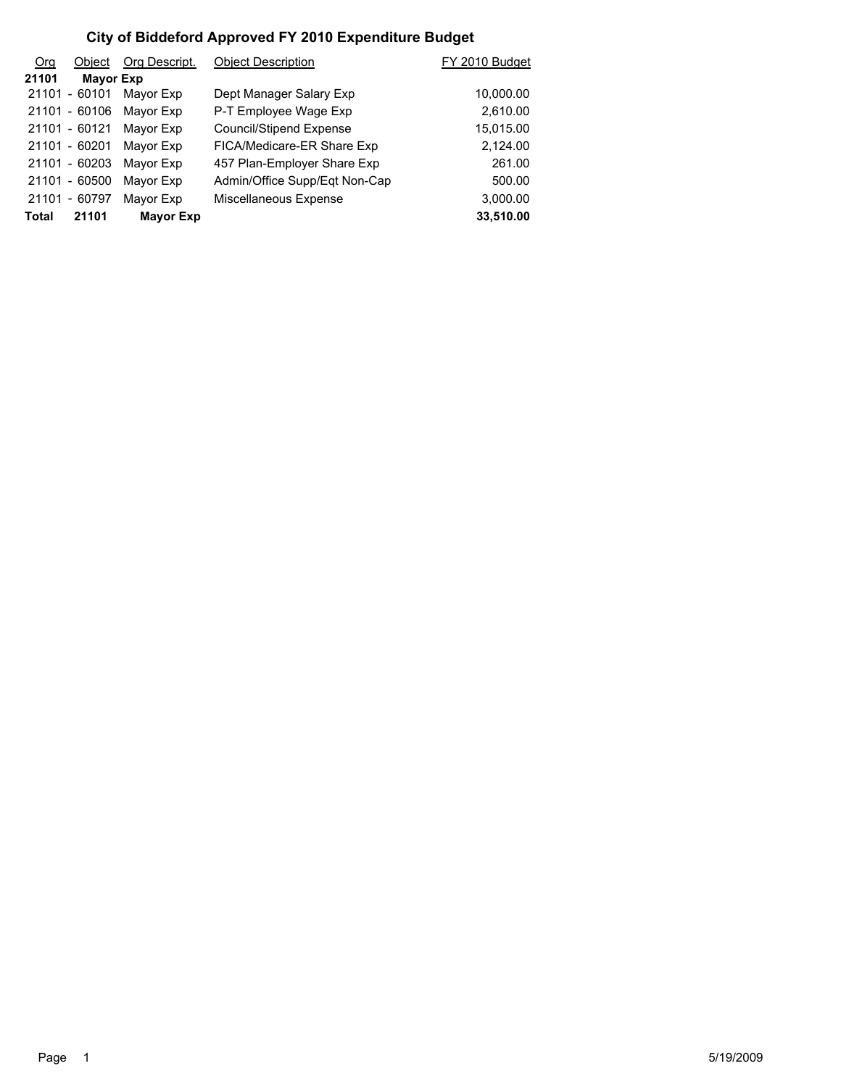| <b>Org</b>   | Object           | Org Descript.    | <b>Object Description</b>     | FY 2010 Budget |
|--------------|------------------|------------------|-------------------------------|----------------|
| 21101        | <b>Mayor Exp</b> |                  |                               |                |
|              | 21101 - 60101    | Mayor Exp        | Dept Manager Salary Exp       | 10,000.00      |
|              | 21101 - 60106    | Mayor Exp        | P-T Employee Wage Exp         | 2,610.00       |
|              | 21101 - 60121    | Mayor Exp        | Council/Stipend Expense       | 15,015.00      |
|              | 21101 - 60201    | Mayor Exp        | FICA/Medicare-ER Share Exp    | 2,124.00       |
|              | 21101 - 60203    | Mayor Exp        | 457 Plan-Employer Share Exp   | 261.00         |
|              | 21101 - 60500    | Mayor Exp        | Admin/Office Supp/Eqt Non-Cap | 500.00         |
|              | 21101 - 60797    | Mayor Exp        | Miscellaneous Expense         | 3,000.00       |
| <b>Total</b> | 21101            | <b>Mayor Exp</b> |                               | 33,510.00      |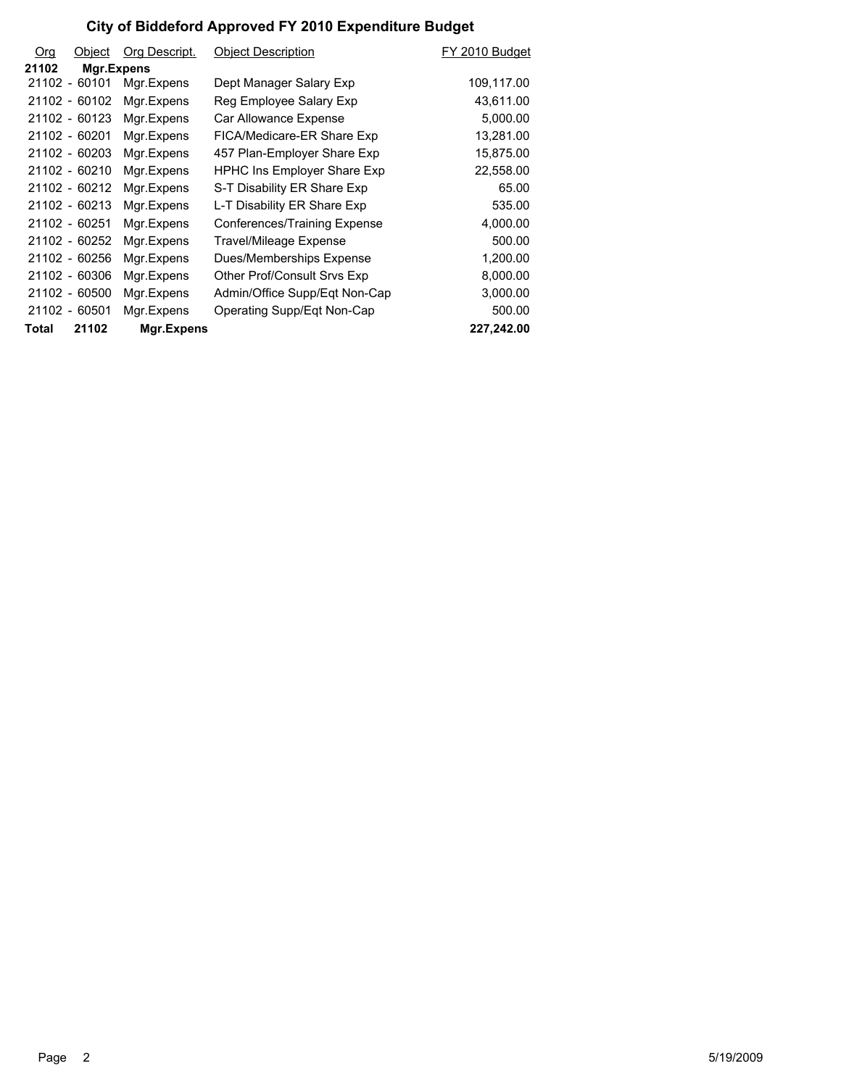| Org   | Object        | Org Descript. | <b>Object Description</b>     | FY 2010 Budget |
|-------|---------------|---------------|-------------------------------|----------------|
| 21102 | Mgr.Expens    |               |                               |                |
|       | 21102 - 60101 | Mgr.Expens    | Dept Manager Salary Exp       | 109,117.00     |
|       | 21102 - 60102 | Mgr.Expens    | Reg Employee Salary Exp       | 43,611.00      |
|       | 21102 - 60123 | Mgr.Expens    | Car Allowance Expense         | 5,000.00       |
|       | 21102 - 60201 | Mgr.Expens    | FICA/Medicare-ER Share Exp    | 13,281.00      |
|       | 21102 - 60203 | Mgr.Expens    | 457 Plan-Employer Share Exp   | 15,875.00      |
|       | 21102 - 60210 | Mgr.Expens    | HPHC Ins Employer Share Exp   | 22,558.00      |
|       | 21102 - 60212 | Mgr.Expens    | S-T Disability ER Share Exp   | 65.00          |
|       | 21102 - 60213 | Mgr.Expens    | L-T Disability ER Share Exp   | 535.00         |
|       | 21102 - 60251 | Mgr.Expens    | Conferences/Training Expense  | 4,000.00       |
|       | 21102 - 60252 | Mgr.Expens    | <b>Travel/Mileage Expense</b> | 500.00         |
|       | 21102 - 60256 | Mgr.Expens    | Dues/Memberships Expense      | 1,200.00       |
|       | 21102 - 60306 | Mgr.Expens    | Other Prof/Consult Srvs Exp   | 8,000.00       |
|       | 21102 - 60500 | Mgr.Expens    | Admin/Office Supp/Eqt Non-Cap | 3,000.00       |
|       | 21102 - 60501 | Mgr.Expens    | Operating Supp/Egt Non-Cap    | 500.00         |
| Total | 21102         | Mgr.Expens    |                               | 227,242.00     |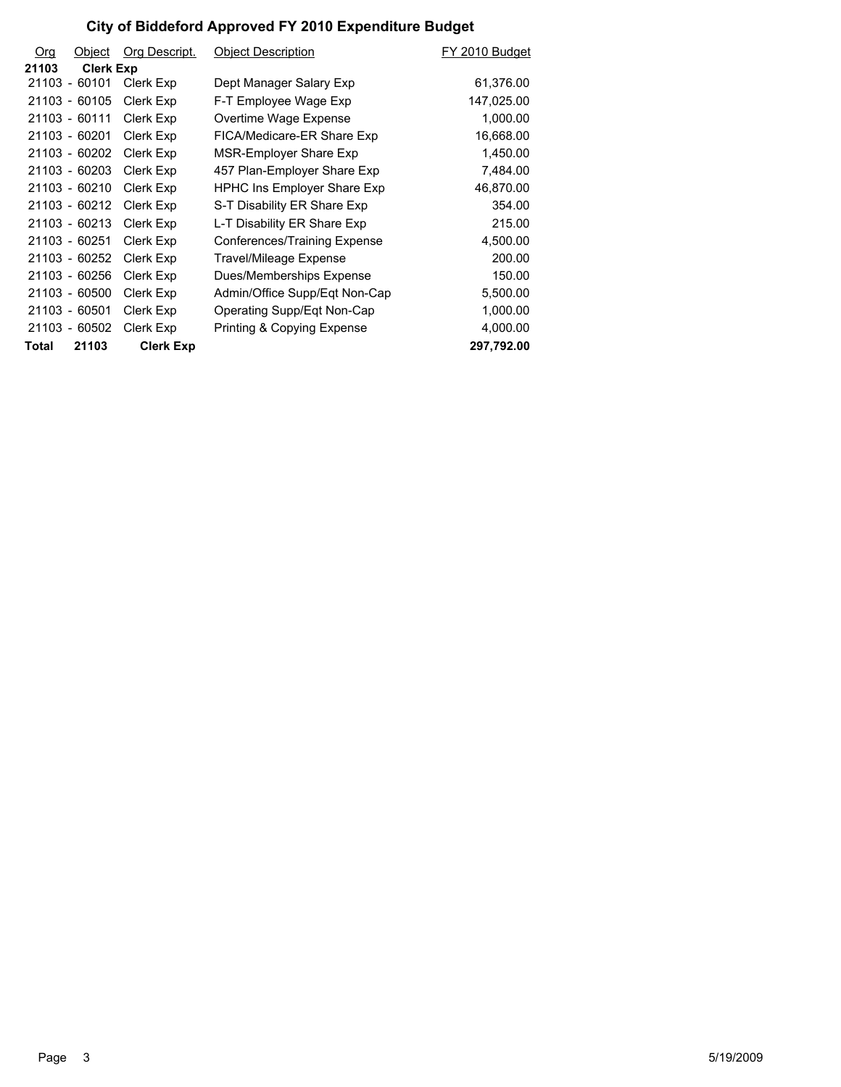| Org   | Object           | Org Descript.    | <b>Object Description</b>          | FY 2010 Budget |
|-------|------------------|------------------|------------------------------------|----------------|
| 21103 | <b>Clerk Exp</b> |                  |                                    |                |
|       | 21103 - 60101    | Clerk Exp        | Dept Manager Salary Exp            | 61,376.00      |
|       | 21103 - 60105    | Clerk Exp        | F-T Employee Wage Exp              | 147,025.00     |
|       | 21103 - 60111    | Clerk Exp        | Overtime Wage Expense              | 1,000.00       |
|       | 21103 - 60201    | Clerk Exp        | FICA/Medicare-ER Share Exp         | 16,668.00      |
|       | 21103 - 60202    | Clerk Exp        | MSR-Employer Share Exp             | 1,450.00       |
|       | 21103 - 60203    | Clerk Exp        | 457 Plan-Employer Share Exp        | 7,484.00       |
|       | 21103 - 60210    | Clerk Exp        | <b>HPHC Ins Employer Share Exp</b> | 46,870.00      |
|       | 21103 - 60212    | Clerk Exp        | S-T Disability ER Share Exp        | 354.00         |
|       | 21103 - 60213    | Clerk Exp        | L-T Disability ER Share Exp        | 215.00         |
|       | 21103 - 60251    | Clerk Exp        | Conferences/Training Expense       | 4,500.00       |
|       | 21103 - 60252    | Clerk Exp        | Travel/Mileage Expense             | 200.00         |
|       | 21103 - 60256    | Clerk Exp        | Dues/Memberships Expense           | 150.00         |
|       | 21103 - 60500    | Clerk Exp        | Admin/Office Supp/Eqt Non-Cap      | 5,500.00       |
|       | 21103 - 60501    | Clerk Exp        | Operating Supp/Eqt Non-Cap         | 1,000.00       |
|       | 21103 - 60502    | Clerk Exp        | Printing & Copying Expense         | 4,000.00       |
| Total | 21103            | <b>Clerk Exp</b> |                                    | 297,792.00     |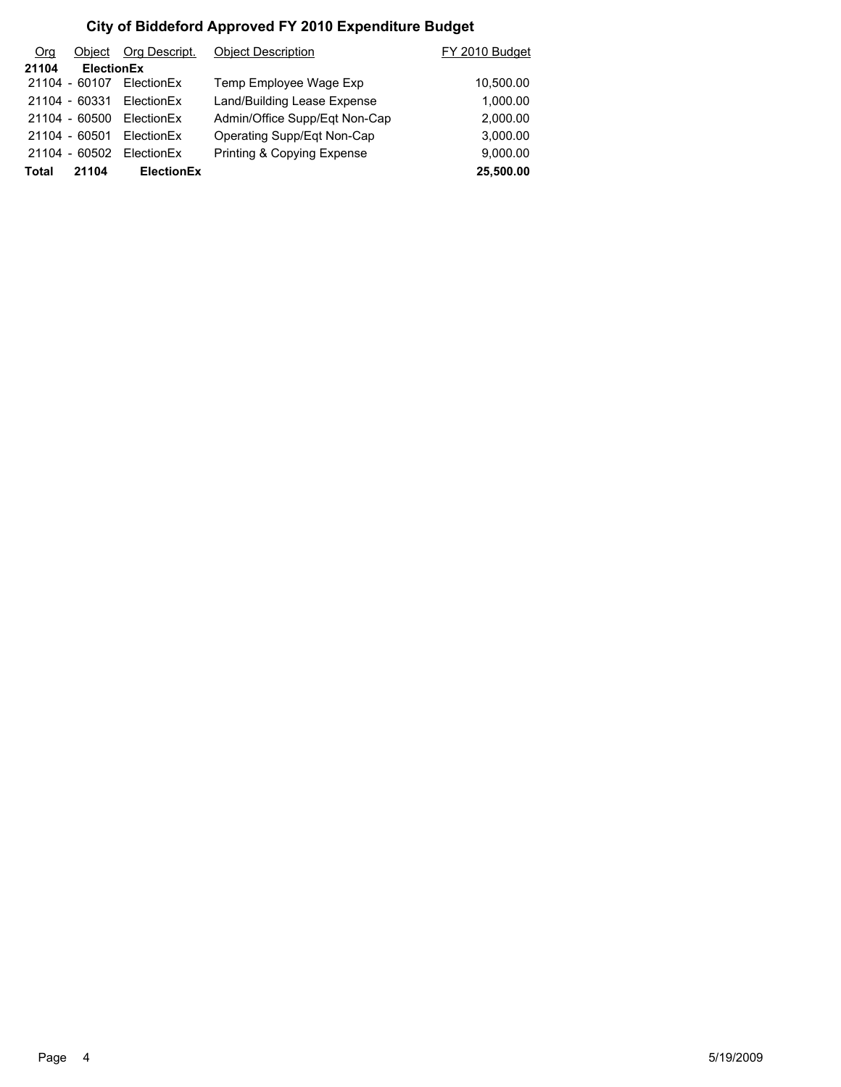| Org   | Object            | Org Descript.     | <b>Object Description</b>     | FY 2010 Budget |
|-------|-------------------|-------------------|-------------------------------|----------------|
| 21104 | <b>ElectionEx</b> |                   |                               |                |
|       | 21104 - 60107     | <b>FlectionFx</b> | Temp Employee Wage Exp        | 10,500.00      |
|       | 21104 - 60331     | FlectionFx        | Land/Building Lease Expense   | 1,000.00       |
|       | 21104 - 60500     | <b>FlectionFx</b> | Admin/Office Supp/Eqt Non-Cap | 2,000.00       |
|       | 21104 - 60501     | <b>FlectionFx</b> | Operating Supp/Eqt Non-Cap    | 3,000.00       |
|       | 21104 - 60502     | <b>FlectionFx</b> | Printing & Copying Expense    | 9,000.00       |
| Total | 21104             | <b>ElectionEx</b> |                               | 25,500.00      |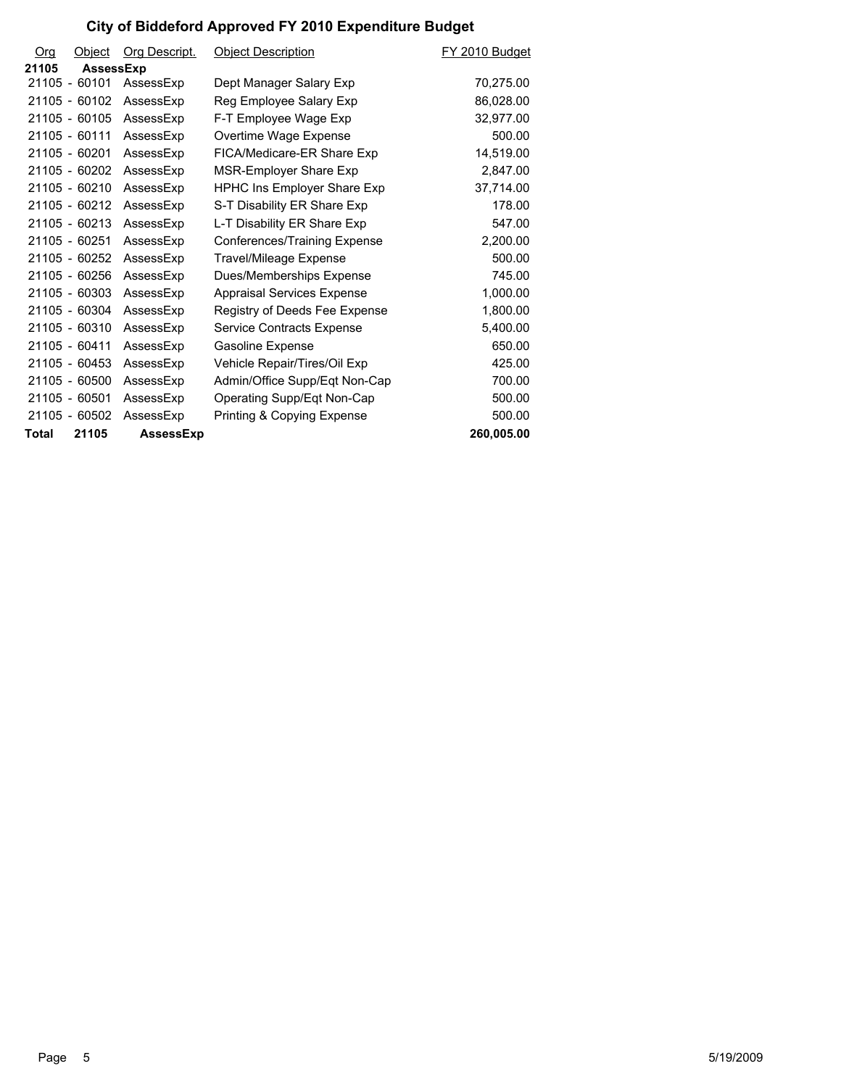| Org   | Object           | Org Descript.    | <b>Object Description</b>          | FY 2010 Budget |
|-------|------------------|------------------|------------------------------------|----------------|
| 21105 | <b>AssessExp</b> |                  |                                    |                |
|       | 21105 - 60101    | AssessExp        | Dept Manager Salary Exp            | 70.275.00      |
|       | 21105 - 60102    | AssessExp        | Reg Employee Salary Exp            | 86,028.00      |
|       | 21105 - 60105    | AssessExp        | F-T Employee Wage Exp              | 32,977.00      |
|       | 21105 - 60111    | AssessExp        | Overtime Wage Expense              | 500.00         |
|       | 21105 - 60201    | AssessExp        | FICA/Medicare-ER Share Exp         | 14,519.00      |
|       | 21105 - 60202    | AssessExp        | MSR-Employer Share Exp             | 2,847.00       |
|       | 21105 - 60210    | AssessExp        | <b>HPHC Ins Employer Share Exp</b> | 37,714.00      |
|       | 21105 - 60212    | AssessExp        | S-T Disability ER Share Exp        | 178.00         |
|       | $21105 - 60213$  | AssessExp        | L-T Disability ER Share Exp        | 547.00         |
|       | 21105 - 60251    | AssessExp        | Conferences/Training Expense       | 2,200.00       |
|       | 21105 - 60252    | AssessExp        | Travel/Mileage Expense             | 500.00         |
|       | 21105 - 60256    | AssessExp        | Dues/Memberships Expense           | 745.00         |
|       | 21105 - 60303    | AssessExp        | <b>Appraisal Services Expense</b>  | 1,000.00       |
|       | 21105 - 60304    | AssessExp        | Registry of Deeds Fee Expense      | 1,800.00       |
|       | 21105 - 60310    | AssessExp        | Service Contracts Expense          | 5,400.00       |
|       | 21105 - 60411    | AssessExp        | Gasoline Expense                   | 650.00         |
|       | 21105 - 60453    | AssessExp        | Vehicle Repair/Tires/Oil Exp       | 425.00         |
|       | 21105 - 60500    | AssessExp        | Admin/Office Supp/Eqt Non-Cap      | 700.00         |
|       | 21105 - 60501    | AssessExp        | Operating Supp/Eqt Non-Cap         | 500.00         |
|       | 21105 - 60502    | AssessExp        | Printing & Copying Expense         | 500.00         |
| Total | 21105            | <b>AssessExp</b> |                                    | 260,005.00     |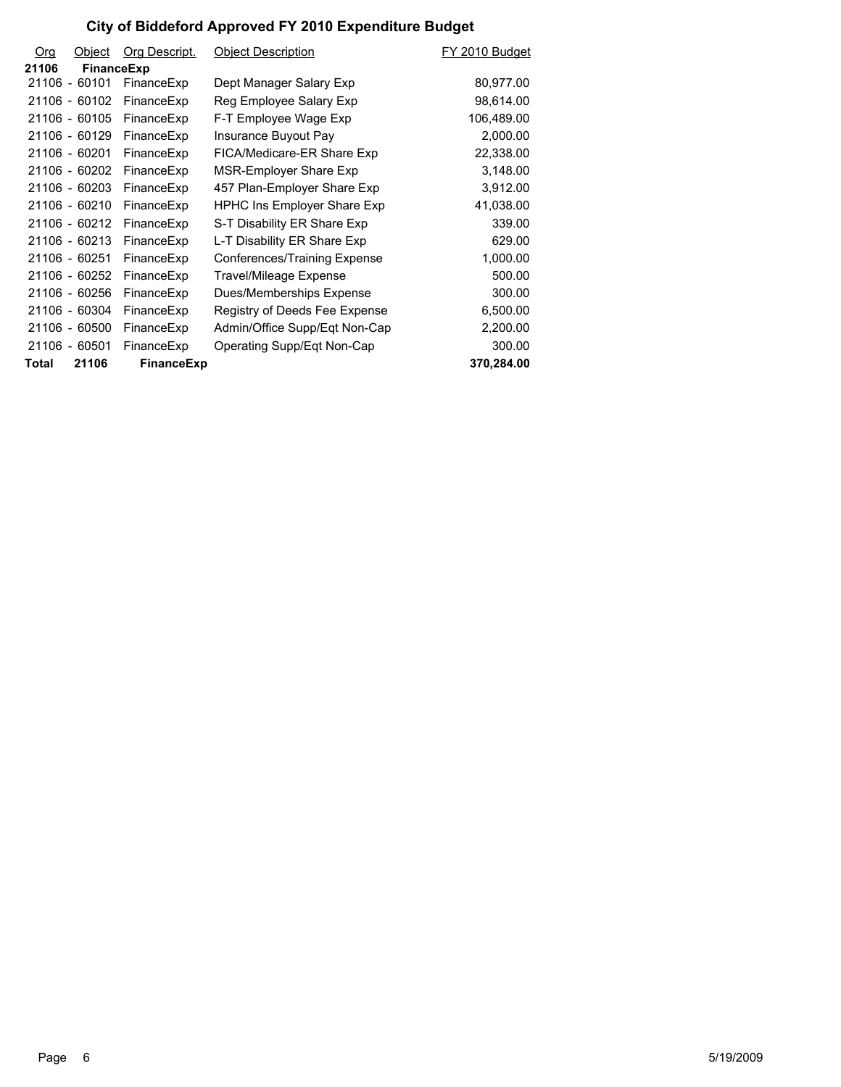| <b>Org</b> | Object        | Org Descript. | <b>Object Description</b>          | FY 2010 Budget |
|------------|---------------|---------------|------------------------------------|----------------|
| 21106      | FinanceExp    |               |                                    |                |
|            | 21106 - 60101 | FinanceExp    | Dept Manager Salary Exp            | 80,977.00      |
|            | 21106 - 60102 | FinanceExp    | Reg Employee Salary Exp            | 98,614.00      |
|            | 21106 - 60105 | FinanceExp    | F-T Employee Wage Exp              | 106,489.00     |
|            | 21106 - 60129 | FinanceExp    | Insurance Buyout Pay               | 2,000.00       |
|            | 21106 - 60201 | FinanceExp    | FICA/Medicare-ER Share Exp         | 22,338.00      |
|            | 21106 - 60202 | FinanceExp    | MSR-Employer Share Exp             | 3,148.00       |
|            | 21106 - 60203 | FinanceExp    | 457 Plan-Employer Share Exp        | 3,912.00       |
|            | 21106 - 60210 | FinanceExp    | <b>HPHC Ins Employer Share Exp</b> | 41,038.00      |
|            | 21106 - 60212 | FinanceExp    | S-T Disability ER Share Exp        | 339.00         |
|            | 21106 - 60213 | FinanceExp    | L-T Disability ER Share Exp        | 629.00         |
|            | 21106 - 60251 | FinanceExp    | Conferences/Training Expense       | 1,000.00       |
|            | 21106 - 60252 | FinanceExp    | Travel/Mileage Expense             | 500.00         |
|            | 21106 - 60256 | FinanceExp    | Dues/Memberships Expense           | 300.00         |
|            | 21106 - 60304 | FinanceExp    | Registry of Deeds Fee Expense      | 6,500.00       |
|            | 21106 - 60500 | FinanceExp    | Admin/Office Supp/Eqt Non-Cap      | 2,200.00       |
|            | 21106 - 60501 | FinanceExp    | Operating Supp/Eqt Non-Cap         | 300.00         |
| Total      | 21106         | FinanceExp    |                                    | 370,284.00     |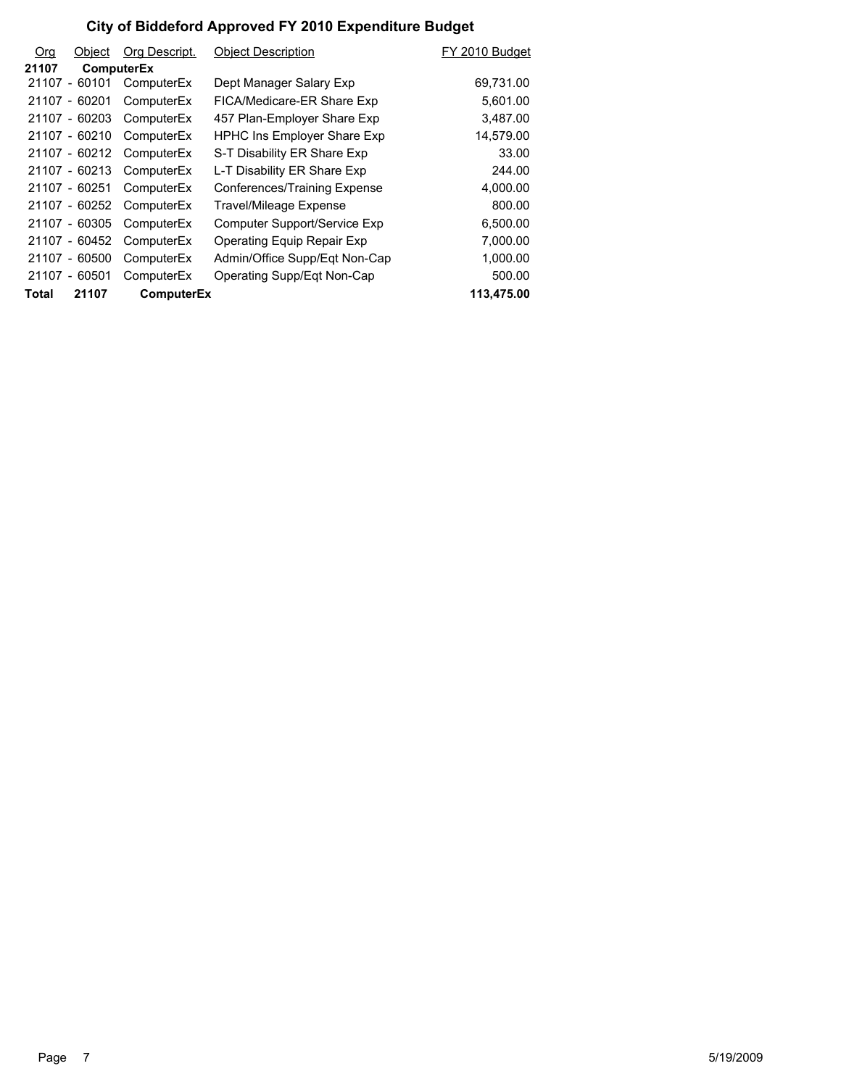| Org   | Object            | Org Descript.     | <b>Object Description</b>          | FY 2010 Budget |
|-------|-------------------|-------------------|------------------------------------|----------------|
| 21107 | <b>ComputerEx</b> |                   |                                    |                |
|       | 21107 - 60101     | ComputerEx        | Dept Manager Salary Exp            | 69,731.00      |
|       | 21107 - 60201     | ComputerEx        | FICA/Medicare-ER Share Exp         | 5,601.00       |
|       | 21107 - 60203     | ComputerEx        | 457 Plan-Employer Share Exp        | 3,487.00       |
|       | 21107 - 60210     | ComputerEx        | <b>HPHC Ins Employer Share Exp</b> | 14,579.00      |
|       | 21107 - 60212     | ComputerEx        | S-T Disability ER Share Exp        | 33.00          |
|       | 21107 - 60213     | ComputerEx        | L-T Disability ER Share Exp        | 244.00         |
|       | 21107 - 60251     | ComputerEx        | Conferences/Training Expense       | 4,000.00       |
|       | 21107 - 60252     | ComputerEx        | Travel/Mileage Expense             | 800.00         |
|       | 21107 - 60305     | ComputerEx        | Computer Support/Service Exp       | 6,500.00       |
|       | 21107 - 60452     | ComputerEx        | Operating Equip Repair Exp         | 7,000.00       |
|       | 21107 - 60500     | ComputerEx        | Admin/Office Supp/Eqt Non-Cap      | 1,000.00       |
|       | 21107 - 60501     | ComputerEx        | Operating Supp/Eqt Non-Cap         | 500.00         |
| Total | 21107             | <b>ComputerEx</b> |                                    | 113,475.00     |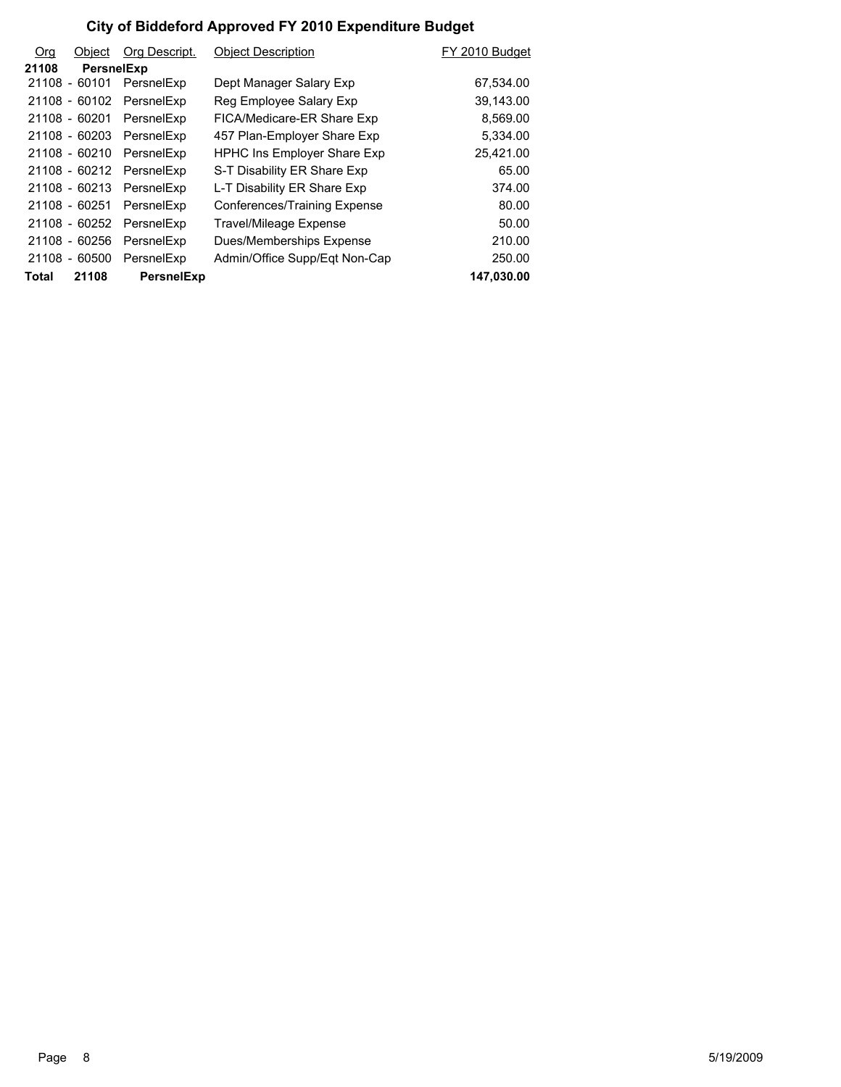| O <sub>rg</sub> | Object            | Org Descript.            | <b>Object Description</b>          | FY 2010 Budget |
|-----------------|-------------------|--------------------------|------------------------------------|----------------|
| 21108           | <b>PersnelExp</b> |                          |                                    |                |
|                 |                   | 21108 - 60101 PersnelExp | Dept Manager Salary Exp            | 67,534.00      |
|                 | 21108 - 60102     | PersnelExp               | Reg Employee Salary Exp            | 39,143.00      |
|                 | 21108 - 60201     | PersnelExp               | FICA/Medicare-ER Share Exp         | 8,569.00       |
|                 |                   | 21108 - 60203 PersnelExp | 457 Plan-Employer Share Exp        | 5,334.00       |
|                 | 21108 - 60210     | PersnelExp               | <b>HPHC Ins Employer Share Exp</b> | 25,421.00      |
|                 |                   | 21108 - 60212 PersnelExp | S-T Disability ER Share Exp        | 65.00          |
|                 | 21108 - 60213     | PersnelExp               | L-T Disability ER Share Exp        | 374.00         |
|                 | 21108 - 60251     | PersnelExp               | Conferences/Training Expense       | 80.00          |
|                 | 21108 - 60252     | PersnelExp               | <b>Travel/Mileage Expense</b>      | 50.00          |
|                 | 21108 - 60256     | PersnelExp               | Dues/Memberships Expense           | 210.00         |
|                 | 21108 - 60500     | PersnelExp               | Admin/Office Supp/Eqt Non-Cap      | 250.00         |
| Total           | 21108             | <b>PersnelExp</b>        |                                    | 147,030.00     |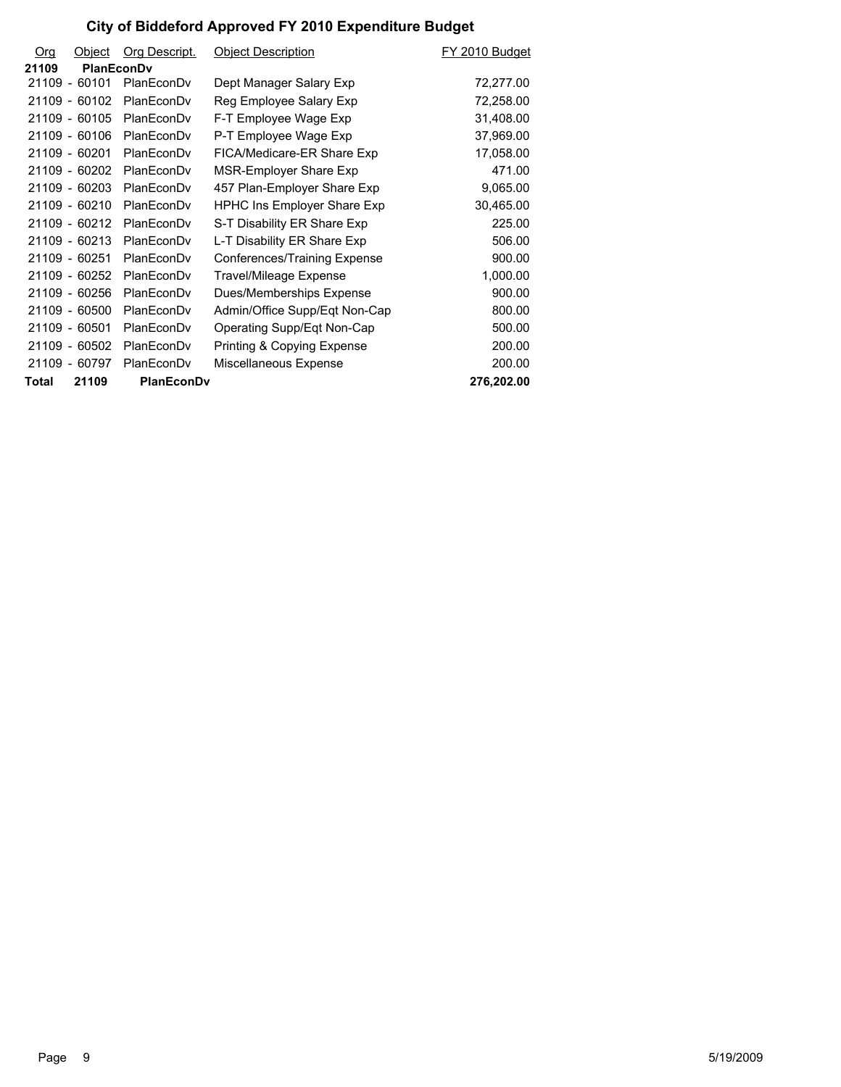| Org   | Object        | Org Descript.     | <b>Object Description</b>          | FY 2010 Budget |
|-------|---------------|-------------------|------------------------------------|----------------|
| 21109 | PlanEconDv    |                   |                                    |                |
|       | 21109 - 60101 | PlanEconDv        | Dept Manager Salary Exp            | 72,277.00      |
|       | 21109 - 60102 | PlanEconDv        | Reg Employee Salary Exp            | 72,258.00      |
|       | 21109 - 60105 | PlanEconDv        | F-T Employee Wage Exp              | 31,408.00      |
|       | 21109 - 60106 | PlanEconDv        | P-T Employee Wage Exp              | 37,969.00      |
|       | 21109 - 60201 | PlanEconDv        | FICA/Medicare-ER Share Exp         | 17,058.00      |
|       | 21109 - 60202 | PlanEconDv        | <b>MSR-Employer Share Exp</b>      | 471.00         |
|       | 21109 - 60203 | PlanEconDv        | 457 Plan-Employer Share Exp        | 9,065.00       |
|       | 21109 - 60210 | PlanEconDv        | <b>HPHC Ins Employer Share Exp</b> | 30,465.00      |
|       | 21109 - 60212 | PlanEconDv        | S-T Disability ER Share Exp        | 225.00         |
|       | 21109 - 60213 | PlanEconDv        | L-T Disability ER Share Exp        | 506.00         |
|       | 21109 - 60251 | PlanEconDv        | Conferences/Training Expense       | 900.00         |
|       | 21109 - 60252 | PlanEconDv        | Travel/Mileage Expense             | 1,000.00       |
|       | 21109 - 60256 | PlanEconDv        | Dues/Memberships Expense           | 900.00         |
|       | 21109 - 60500 | PlanEconDv        | Admin/Office Supp/Eqt Non-Cap      | 800.00         |
|       | 21109 - 60501 | PlanEconDv        | Operating Supp/Eqt Non-Cap         | 500.00         |
|       | 21109 - 60502 | PlanEconDv        | Printing & Copying Expense         | 200.00         |
|       | 21109 - 60797 | PlanEconDv        | Miscellaneous Expense              | 200.00         |
| Total | 21109         | <b>PlanEconDv</b> |                                    | 276,202.00     |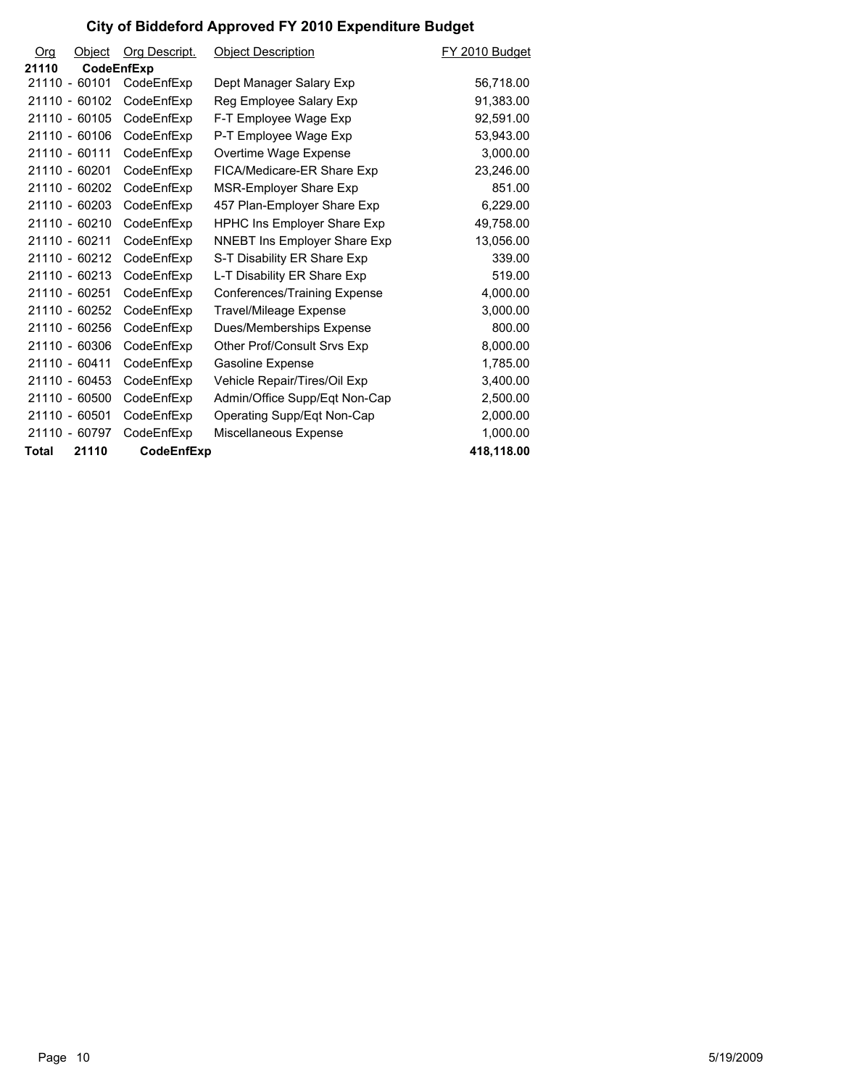| O <sub>rg</sub> | Object     | Org Descript. | <b>Object Description</b>           | FY 2010 Budget |
|-----------------|------------|---------------|-------------------------------------|----------------|
| 21110           | CodeEnfExp |               |                                     |                |
| 21110 - 60101   |            | CodeEnfExp    | Dept Manager Salary Exp             | 56,718.00      |
| 21110 - 60102   |            | CodeEnfExp    | Reg Employee Salary Exp             | 91,383.00      |
| 21110 - 60105   |            | CodeEnfExp    | F-T Employee Wage Exp               | 92,591.00      |
| 21110 - 60106   |            | CodeEnfExp    | P-T Employee Wage Exp               | 53,943.00      |
| 21110 - 60111   |            | CodeEnfExp    | Overtime Wage Expense               | 3,000.00       |
| 21110 - 60201   |            | CodeEnfExp    | FICA/Medicare-ER Share Exp          | 23,246.00      |
| 21110 - 60202   |            | CodeEnfExp    | MSR-Employer Share Exp              | 851.00         |
| 21110 - 60203   |            | CodeEnfExp    | 457 Plan-Employer Share Exp         | 6,229.00       |
| 21110 - 60210   |            | CodeEnfExp    | <b>HPHC Ins Employer Share Exp</b>  | 49,758.00      |
| 21110 - 60211   |            | CodeEnfExp    | <b>NNEBT Ins Employer Share Exp</b> | 13,056.00      |
| 21110 - 60212   |            | CodeEnfExp    | S-T Disability ER Share Exp         | 339.00         |
| 21110 - 60213   |            | CodeEnfExp    | L-T Disability ER Share Exp         | 519.00         |
| 21110 - 60251   |            | CodeEnfExp    | Conferences/Training Expense        | 4,000.00       |
| 21110 - 60252   |            | CodeEnfExp    | Travel/Mileage Expense              | 3,000.00       |
| 21110 - 60256   |            | CodeEnfExp    | Dues/Memberships Expense            | 800.00         |
| 21110 - 60306   |            | CodeEnfExp    | Other Prof/Consult Srvs Exp         | 8,000.00       |
| 21110 - 60411   |            | CodeEnfExp    | Gasoline Expense                    | 1,785.00       |
| 21110 - 60453   |            | CodeEnfExp    | Vehicle Repair/Tires/Oil Exp        | 3,400.00       |
| 21110 - 60500   |            | CodeEnfExp    | Admin/Office Supp/Eqt Non-Cap       | 2.500.00       |
| 21110 - 60501   |            | CodeEnfExp    | Operating Supp/Eqt Non-Cap          | 2,000.00       |
| 21110 - 60797   |            | CodeEnfExp    | Miscellaneous Expense               | 1,000.00       |
| Total           | 21110      | CodeEnfExp    |                                     | 418,118.00     |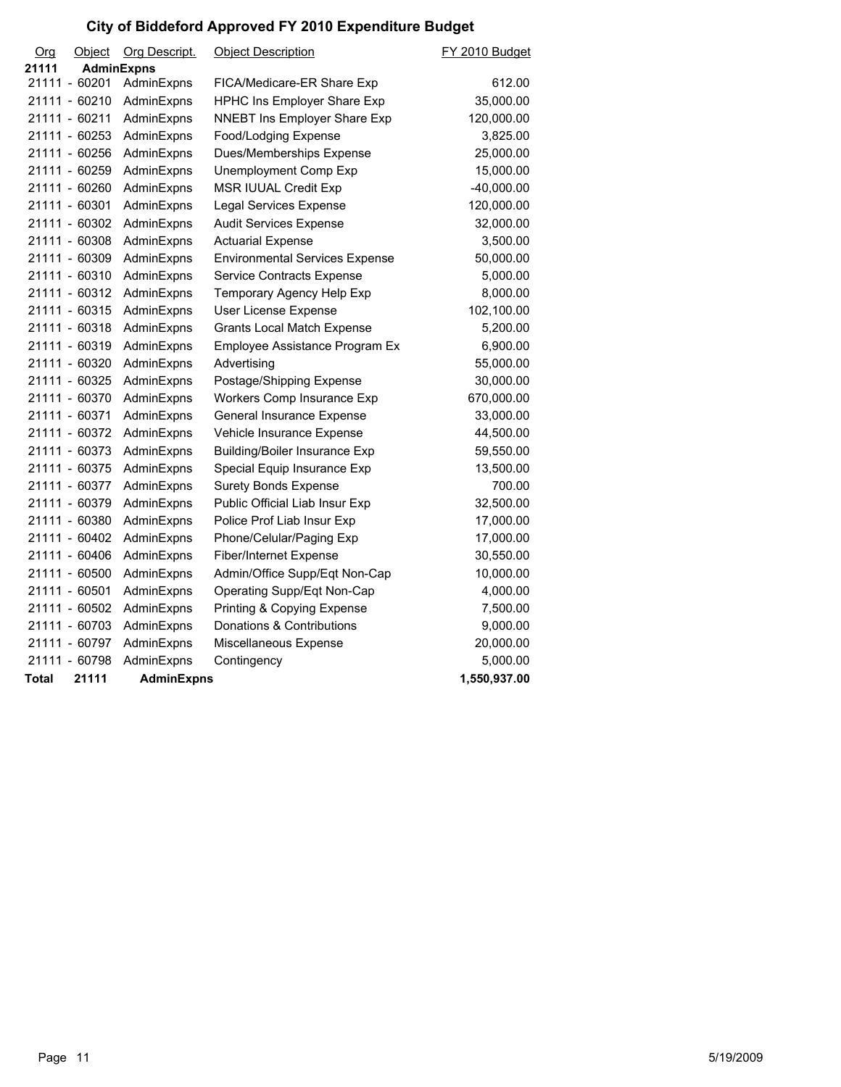| Org   | Object            | Org Descript.     | <b>Object Description</b>             | <b>FY 2010 Budget</b> |
|-------|-------------------|-------------------|---------------------------------------|-----------------------|
| 21111 | <b>AdminExpns</b> |                   |                                       |                       |
|       | 21111 - 60201     | AdminExpns        | FICA/Medicare-ER Share Exp            | 612.00                |
|       | 21111 - 60210     | AdminExpns        | HPHC Ins Employer Share Exp           | 35,000.00             |
|       | 21111 - 60211     | AdminExpns        | NNEBT Ins Employer Share Exp          | 120,000.00            |
|       | 21111 - 60253     | AdminExpns        | Food/Lodging Expense                  | 3,825.00              |
|       | 21111 - 60256     | AdminExpns        | Dues/Memberships Expense              | 25,000.00             |
|       | 21111 - 60259     | AdminExpns        | Unemployment Comp Exp                 | 15,000.00             |
|       | 21111 - 60260     | AdminExpns        | <b>MSR IUUAL Credit Exp</b>           | $-40,000.00$          |
|       | 21111 - 60301     | AdminExpns        | <b>Legal Services Expense</b>         | 120,000.00            |
|       | 21111 - 60302     | AdminExpns        | <b>Audit Services Expense</b>         | 32,000.00             |
|       | 21111 - 60308     | AdminExpns        | <b>Actuarial Expense</b>              | 3,500.00              |
|       | 21111 - 60309     | AdminExpns        | <b>Environmental Services Expense</b> | 50,000.00             |
|       | 21111 - 60310     | AdminExpns        | Service Contracts Expense             | 5,000.00              |
|       | 21111 - 60312     | AdminExpns        | Temporary Agency Help Exp             | 8,000.00              |
|       | 21111 - 60315     | AdminExpns        | User License Expense                  | 102,100.00            |
|       | 21111 - 60318     | AdminExpns        | <b>Grants Local Match Expense</b>     | 5,200.00              |
|       | 21111 - 60319     | AdminExpns        | Employee Assistance Program Ex        | 6,900.00              |
|       | 21111 - 60320     | AdminExpns        | Advertising                           | 55,000.00             |
|       | 21111 - 60325     | AdminExpns        | Postage/Shipping Expense              | 30,000.00             |
|       | 21111 - 60370     | AdminExpns        | Workers Comp Insurance Exp            | 670,000.00            |
|       | 21111 - 60371     | AdminExpns        | General Insurance Expense             | 33,000.00             |
|       | 21111 - 60372     | AdminExpns        | Vehicle Insurance Expense             | 44,500.00             |
|       | 21111 - 60373     | AdminExpns        | <b>Building/Boiler Insurance Exp</b>  | 59,550.00             |
|       | 21111 - 60375     | AdminExpns        | Special Equip Insurance Exp           | 13,500.00             |
|       | 21111 - 60377     | AdminExpns        | <b>Surety Bonds Expense</b>           | 700.00                |
|       | 21111 - 60379     | AdminExpns        | Public Official Liab Insur Exp        | 32,500.00             |
|       | 21111 - 60380     | AdminExpns        | Police Prof Liab Insur Exp            | 17,000.00             |
|       | 21111 - 60402     | AdminExpns        | Phone/Celular/Paging Exp              | 17,000.00             |
|       | 21111 - 60406     | AdminExpns        | <b>Fiber/Internet Expense</b>         | 30,550.00             |
|       | 21111 - 60500     | AdminExpns        | Admin/Office Supp/Eqt Non-Cap         | 10,000.00             |
|       | 21111 - 60501     | AdminExpns        | Operating Supp/Eqt Non-Cap            | 4,000.00              |
|       | 21111 - 60502     | AdminExpns        | Printing & Copying Expense            | 7,500.00              |
|       | 21111 - 60703     | AdminExpns        | Donations & Contributions             | 9,000.00              |
|       | 21111 - 60797     | AdminExpns        | Miscellaneous Expense                 | 20,000.00             |
|       | 21111 - 60798     | AdminExpns        | Contingency                           | 5,000.00              |
| Total | 21111             | <b>AdminExpns</b> |                                       | 1,550,937.00          |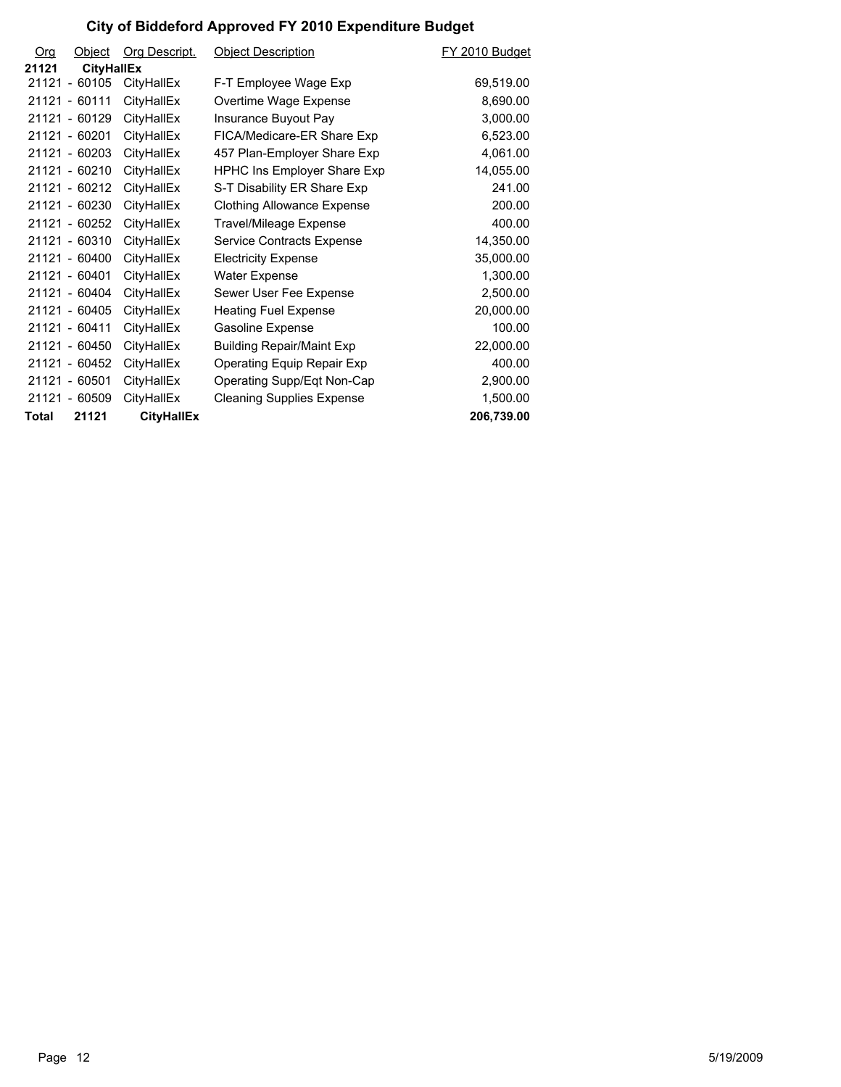| O <sub>10</sub> | Object            | <b>Org Descript.</b> | <b>Object Description</b>          | FY 2010 Budget |
|-----------------|-------------------|----------------------|------------------------------------|----------------|
| 21121           | <b>CityHallEx</b> |                      |                                    |                |
|                 | 21121 - 60105     | CityHallEx           | F-T Employee Wage Exp              | 69,519.00      |
|                 | 21121 - 60111     | CityHallEx           | Overtime Wage Expense              | 8,690.00       |
|                 | 21121 - 60129     | CityHallEx           | Insurance Buyout Pay               | 3,000.00       |
|                 | 21121 - 60201     | CityHallEx           | FICA/Medicare-ER Share Exp         | 6,523.00       |
|                 | 21121 - 60203     | CityHallEx           | 457 Plan-Employer Share Exp        | 4,061.00       |
|                 | 21121 - 60210     | CityHallEx           | <b>HPHC Ins Employer Share Exp</b> | 14,055.00      |
|                 | 21121 - 60212     | CityHallEx           | S-T Disability ER Share Exp        | 241.00         |
|                 | 21121 - 60230     | CityHallEx           | <b>Clothing Allowance Expense</b>  | 200.00         |
|                 | 21121 - 60252     | CityHallEx           | Travel/Mileage Expense             | 400.00         |
|                 | 21121 - 60310     | <b>CityHallEx</b>    | Service Contracts Expense          | 14,350.00      |
|                 | 21121 - 60400     | CityHallEx           | <b>Electricity Expense</b>         | 35,000.00      |
|                 | 21121 - 60401     | CityHallEx           | <b>Water Expense</b>               | 1,300.00       |
|                 | 21121 - 60404     | CityHallEx           | Sewer User Fee Expense             | 2,500.00       |
|                 | 21121 - 60405     | CityHallEx           | <b>Heating Fuel Expense</b>        | 20,000.00      |
|                 | 21121 - 60411     | CityHallEx           | Gasoline Expense                   | 100.00         |
|                 | 21121 - 60450     | CityHallEx           | <b>Building Repair/Maint Exp</b>   | 22,000.00      |
|                 | 21121 - 60452     | CityHallEx           | Operating Equip Repair Exp         | 400.00         |
|                 | 21121 - 60501     | CityHallEx           | Operating Supp/Eqt Non-Cap         | 2,900.00       |
|                 | 21121 - 60509     | CityHallEx           | <b>Cleaning Supplies Expense</b>   | 1,500.00       |
| Total           | 21121             | <b>CityHallEx</b>    |                                    | 206,739.00     |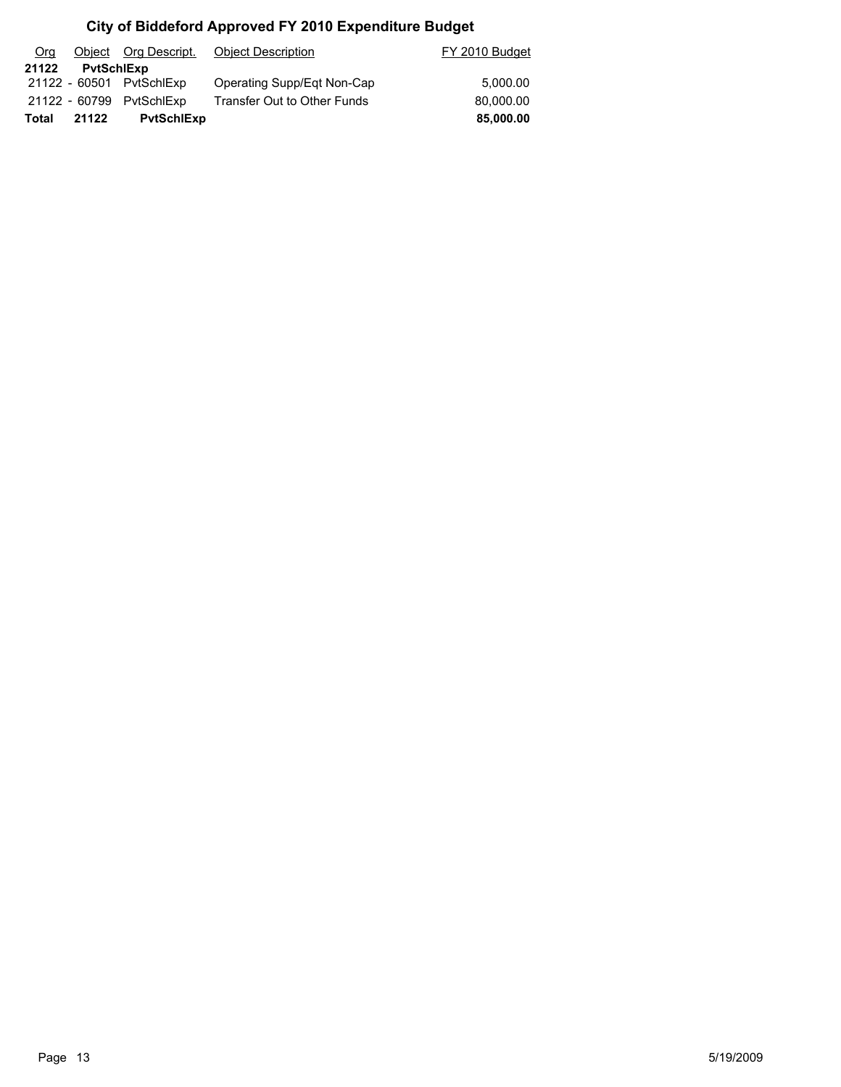| Org   |                   |                          | Object Org Descript. Object Description | FY 2010 Budget |
|-------|-------------------|--------------------------|-----------------------------------------|----------------|
| 21122 | <b>PytSchlExp</b> |                          |                                         |                |
|       |                   | 21122 - 60501 PytSchlExp | Operating Supp/Eqt Non-Cap              | 5.000.00       |
|       |                   | 21122 - 60799 PvtSchlExp | Transfer Out to Other Funds             | 80,000.00      |
| Total | 21122             | <b>PytSchlExp</b>        |                                         | 85,000.00      |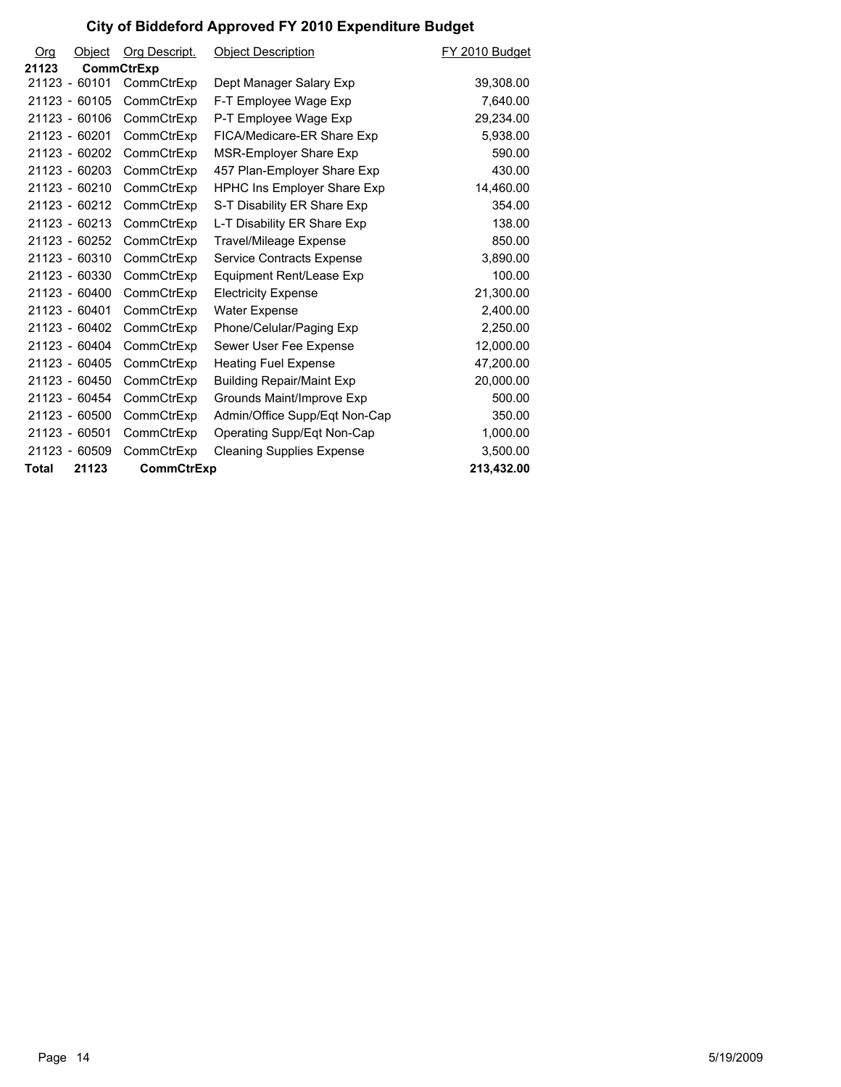| <u>Org</u>   | Object        | Org Descript.     | <b>Object Description</b>          | FY 2010 Budget |
|--------------|---------------|-------------------|------------------------------------|----------------|
| 21123        |               | <b>CommCtrExp</b> |                                    |                |
|              | 21123 - 60101 | CommCtrExp        | Dept Manager Salary Exp            | 39,308.00      |
|              | 21123 - 60105 | CommCtrExp        | F-T Employee Wage Exp              | 7,640.00       |
|              | 21123 - 60106 | CommCtrExp        | P-T Employee Wage Exp              | 29,234.00      |
|              | 21123 - 60201 | CommCtrExp        | FICA/Medicare-ER Share Exp         | 5,938.00       |
|              | 21123 - 60202 | CommCtrExp        | MSR-Employer Share Exp             | 590.00         |
|              | 21123 - 60203 | CommCtrExp        | 457 Plan-Employer Share Exp        | 430.00         |
|              | 21123 - 60210 | CommCtrExp        | <b>HPHC Ins Employer Share Exp</b> | 14,460.00      |
|              | 21123 - 60212 | CommCtrExp        | S-T Disability ER Share Exp        | 354.00         |
|              | 21123 - 60213 | CommCtrExp        | L-T Disability ER Share Exp        | 138.00         |
|              | 21123 - 60252 | CommCtrExp        | Travel/Mileage Expense             | 850.00         |
|              | 21123 - 60310 | CommCtrExp        | Service Contracts Expense          | 3,890.00       |
|              | 21123 - 60330 | CommCtrExp        | Equipment Rent/Lease Exp           | 100.00         |
|              | 21123 - 60400 | CommCtrExp        | <b>Electricity Expense</b>         | 21,300.00      |
|              | 21123 - 60401 | CommCtrExp        | <b>Water Expense</b>               | 2,400.00       |
|              | 21123 - 60402 | CommCtrExp        | Phone/Celular/Paging Exp           | 2,250.00       |
|              | 21123 - 60404 | CommCtrExp        | Sewer User Fee Expense             | 12,000.00      |
|              | 21123 - 60405 | CommCtrExp        | <b>Heating Fuel Expense</b>        | 47,200.00      |
|              | 21123 - 60450 | CommCtrExp        | <b>Building Repair/Maint Exp</b>   | 20,000.00      |
|              | 21123 - 60454 | CommCtrExp        | Grounds Maint/Improve Exp          | 500.00         |
|              | 21123 - 60500 | CommCtrExp        | Admin/Office Supp/Eqt Non-Cap      | 350.00         |
|              | 21123 - 60501 | CommCtrExp        | Operating Supp/Eqt Non-Cap         | 1,000.00       |
|              | 21123 - 60509 | CommCtrExp        | <b>Cleaning Supplies Expense</b>   | 3,500.00       |
| <b>Total</b> | 21123         | CommCtrExp        |                                    | 213,432.00     |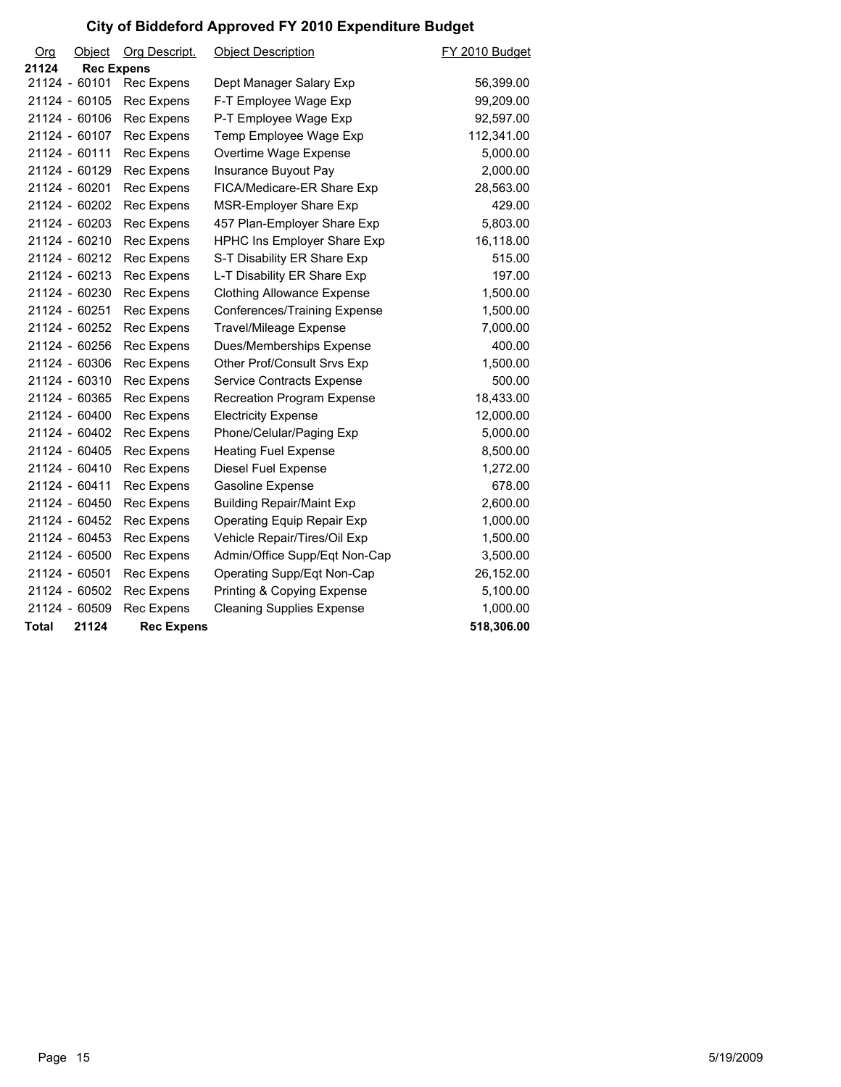| Org   | Object            | Org Descript.     | <b>Object Description</b>          | FY 2010 Budget |
|-------|-------------------|-------------------|------------------------------------|----------------|
| 21124 | <b>Rec Expens</b> |                   |                                    |                |
|       | 21124 - 60101     | Rec Expens        | Dept Manager Salary Exp            | 56,399.00      |
|       | 21124 - 60105     | Rec Expens        | F-T Employee Wage Exp              | 99,209.00      |
|       | 21124 - 60106     | Rec Expens        | P-T Employee Wage Exp              | 92,597.00      |
|       | 21124 - 60107     | Rec Expens        | Temp Employee Wage Exp             | 112,341.00     |
|       | 21124 - 60111     | Rec Expens        | Overtime Wage Expense              | 5,000.00       |
|       | 21124 - 60129     | Rec Expens        | Insurance Buyout Pay               | 2,000.00       |
|       | 21124 - 60201     | Rec Expens        | FICA/Medicare-ER Share Exp         | 28,563.00      |
|       | 21124 - 60202     | Rec Expens        | MSR-Employer Share Exp             | 429.00         |
|       | 21124 - 60203     | Rec Expens        | 457 Plan-Employer Share Exp        | 5,803.00       |
|       | 21124 - 60210     | Rec Expens        | <b>HPHC Ins Employer Share Exp</b> | 16,118.00      |
|       | 21124 - 60212     | Rec Expens        | S-T Disability ER Share Exp        | 515.00         |
|       | 21124 - 60213     | Rec Expens        | L-T Disability ER Share Exp        | 197.00         |
|       | 21124 - 60230     | Rec Expens        | <b>Clothing Allowance Expense</b>  | 1,500.00       |
|       | 21124 - 60251     | Rec Expens        | Conferences/Training Expense       | 1,500.00       |
|       | 21124 - 60252     | Rec Expens        | <b>Travel/Mileage Expense</b>      | 7,000.00       |
|       | 21124 - 60256     | Rec Expens        | Dues/Memberships Expense           | 400.00         |
|       | 21124 - 60306     | Rec Expens        | Other Prof/Consult Srvs Exp        | 1,500.00       |
|       | 21124 - 60310     | Rec Expens        | Service Contracts Expense          | 500.00         |
|       | 21124 - 60365     | Rec Expens        | Recreation Program Expense         | 18,433.00      |
|       | 21124 - 60400     | Rec Expens        | <b>Electricity Expense</b>         | 12,000.00      |
|       | 21124 - 60402     | Rec Expens        | Phone/Celular/Paging Exp           | 5,000.00       |
|       | 21124 - 60405     | Rec Expens        | <b>Heating Fuel Expense</b>        | 8,500.00       |
|       | 21124 - 60410     | Rec Expens        | Diesel Fuel Expense                | 1,272.00       |
|       | 21124 - 60411     | Rec Expens        | Gasoline Expense                   | 678.00         |
|       | 21124 - 60450     | Rec Expens        | <b>Building Repair/Maint Exp</b>   | 2,600.00       |
|       | 21124 - 60452     | Rec Expens        | <b>Operating Equip Repair Exp</b>  | 1,000.00       |
|       | 21124 - 60453     | Rec Expens        | Vehicle Repair/Tires/Oil Exp       | 1,500.00       |
|       | 21124 - 60500     | Rec Expens        | Admin/Office Supp/Eqt Non-Cap      | 3,500.00       |
|       | 21124 - 60501     | Rec Expens        | Operating Supp/Eqt Non-Cap         | 26,152.00      |
|       | 21124 - 60502     | Rec Expens        | Printing & Copying Expense         | 5,100.00       |
|       | 21124 - 60509     | Rec Expens        | <b>Cleaning Supplies Expense</b>   | 1,000.00       |
| Total | 21124             | <b>Rec Expens</b> |                                    | 518,306.00     |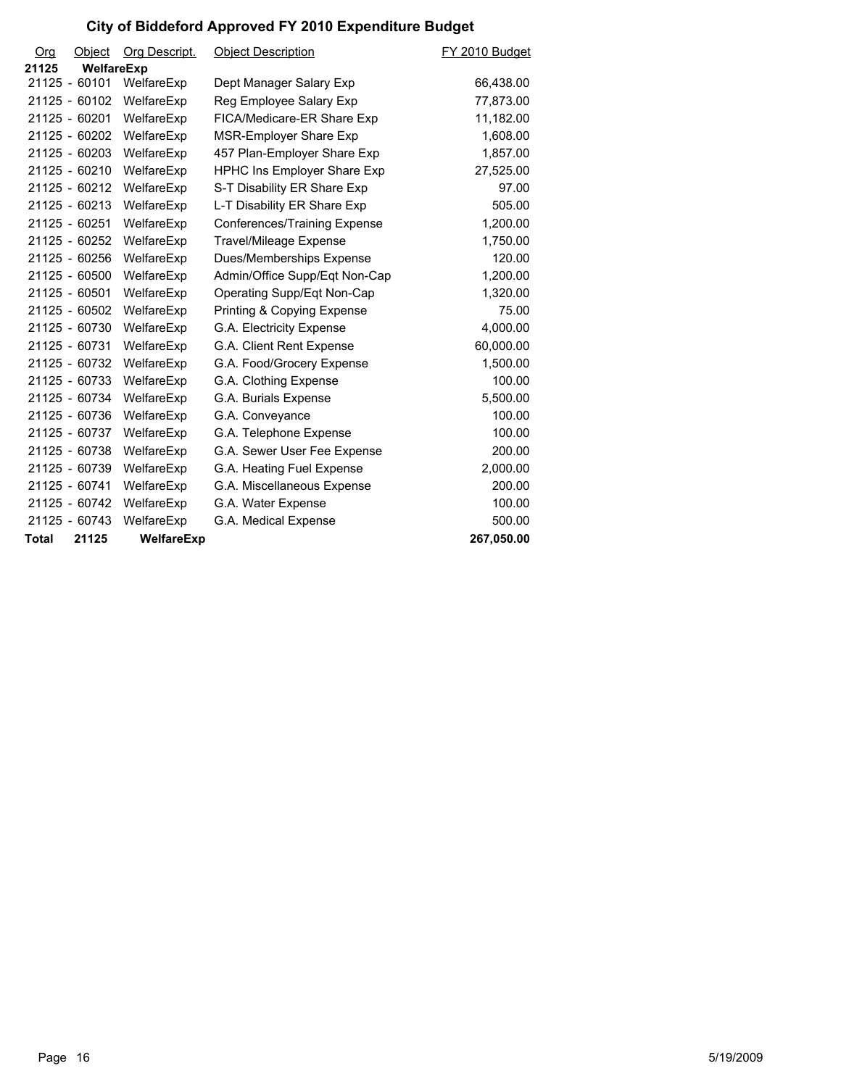| Org          | Object        | <b>Org Descript.</b> | <b>Object Description</b>          | FY 2010 Budget |
|--------------|---------------|----------------------|------------------------------------|----------------|
| 21125        | WelfareExp    |                      |                                    |                |
|              | 21125 - 60101 | WelfareExp           | Dept Manager Salary Exp            | 66,438.00      |
|              | 21125 - 60102 | WelfareExp           | Reg Employee Salary Exp            | 77,873.00      |
|              | 21125 - 60201 | WelfareExp           | FICA/Medicare-ER Share Exp         | 11,182.00      |
|              | 21125 - 60202 | WelfareExp           | MSR-Employer Share Exp             | 1,608.00       |
|              | 21125 - 60203 | WelfareExp           | 457 Plan-Employer Share Exp        | 1,857.00       |
|              | 21125 - 60210 | WelfareExp           | <b>HPHC Ins Employer Share Exp</b> | 27,525.00      |
|              | 21125 - 60212 | WelfareExp           | S-T Disability ER Share Exp        | 97.00          |
|              | 21125 - 60213 | WelfareExp           | L-T Disability ER Share Exp        | 505.00         |
|              | 21125 - 60251 | WelfareExp           | Conferences/Training Expense       | 1,200.00       |
|              | 21125 - 60252 | WelfareExp           | <b>Travel/Mileage Expense</b>      | 1,750.00       |
|              | 21125 - 60256 | WelfareExp           | Dues/Memberships Expense           | 120.00         |
|              | 21125 - 60500 | WelfareExp           | Admin/Office Supp/Eqt Non-Cap      | 1,200.00       |
|              | 21125 - 60501 | WelfareExp           | Operating Supp/Eqt Non-Cap         | 1,320.00       |
|              | 21125 - 60502 | WelfareExp           | Printing & Copying Expense         | 75.00          |
|              | 21125 - 60730 | WelfareExp           | G.A. Electricity Expense           | 4,000.00       |
|              | 21125 - 60731 | WelfareExp           | G.A. Client Rent Expense           | 60,000.00      |
|              | 21125 - 60732 | WelfareExp           | G.A. Food/Grocery Expense          | 1,500.00       |
|              | 21125 - 60733 | WelfareExp           | G.A. Clothing Expense              | 100.00         |
|              | 21125 - 60734 | WelfareExp           | G.A. Burials Expense               | 5,500.00       |
|              | 21125 - 60736 | WelfareExp           | G.A. Conveyance                    | 100.00         |
|              | 21125 - 60737 | WelfareExp           | G.A. Telephone Expense             | 100.00         |
|              | 21125 - 60738 | WelfareExp           | G.A. Sewer User Fee Expense        | 200.00         |
|              | 21125 - 60739 | WelfareExp           | G.A. Heating Fuel Expense          | 2,000.00       |
|              | 21125 - 60741 | WelfareExp           | G.A. Miscellaneous Expense         | 200.00         |
|              | 21125 - 60742 | WelfareExp           | G.A. Water Expense                 | 100.00         |
|              | 21125 - 60743 | WelfareExp           | G.A. Medical Expense               | 500.00         |
| <b>Total</b> | 21125         | WelfareExp           |                                    | 267,050.00     |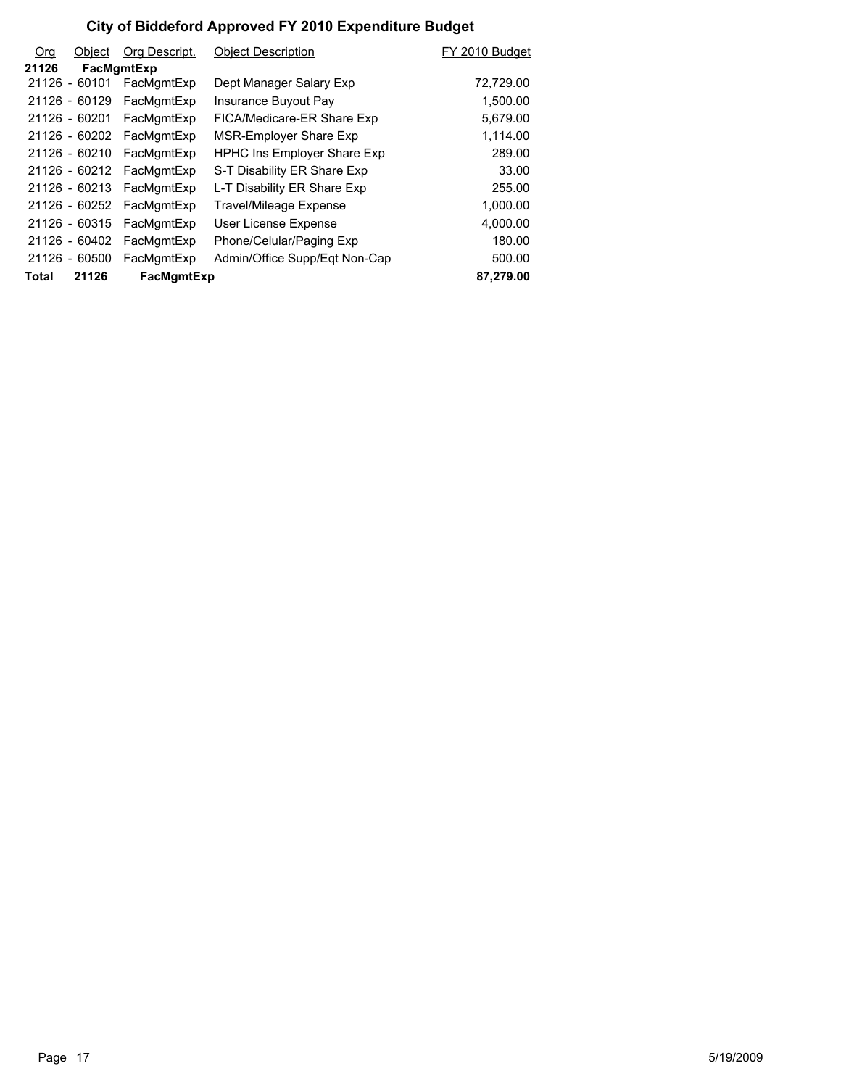| <b>Org</b> | Object        | Org Descript. | <b>Obiect Description</b>          | FY 2010 Budget |
|------------|---------------|---------------|------------------------------------|----------------|
| 21126      |               | FacMgmtExp    |                                    |                |
|            | 21126 - 60101 | FacMgmtExp    | Dept Manager Salary Exp            | 72,729.00      |
|            | 21126 - 60129 | FacMgmtExp    | Insurance Buyout Pay               | 1,500.00       |
|            | 21126 - 60201 | FacMgmtExp    | FICA/Medicare-ER Share Exp         | 5,679.00       |
|            | 21126 - 60202 | FacMgmtExp    | MSR-Employer Share Exp             | 1,114.00       |
|            | 21126 - 60210 | FacMgmtExp    | <b>HPHC Ins Employer Share Exp</b> | 289.00         |
|            | 21126 - 60212 | FacMgmtExp    | S-T Disability ER Share Exp        | 33.00          |
|            | 21126 - 60213 | FacMgmtExp    | L-T Disability ER Share Exp        | 255.00         |
|            | 21126 - 60252 | FacMgmtExp    | Travel/Mileage Expense             | 1,000.00       |
|            | 21126 - 60315 | FacMgmtExp    | User License Expense               | 4,000.00       |
|            | 21126 - 60402 | FacMgmtExp    | Phone/Celular/Paging Exp           | 180.00         |
|            | 21126 - 60500 | FacMgmtExp    | Admin/Office Supp/Eqt Non-Cap      | 500.00         |
| Total      | 21126         | FacMgmtExp    |                                    | 87.279.00      |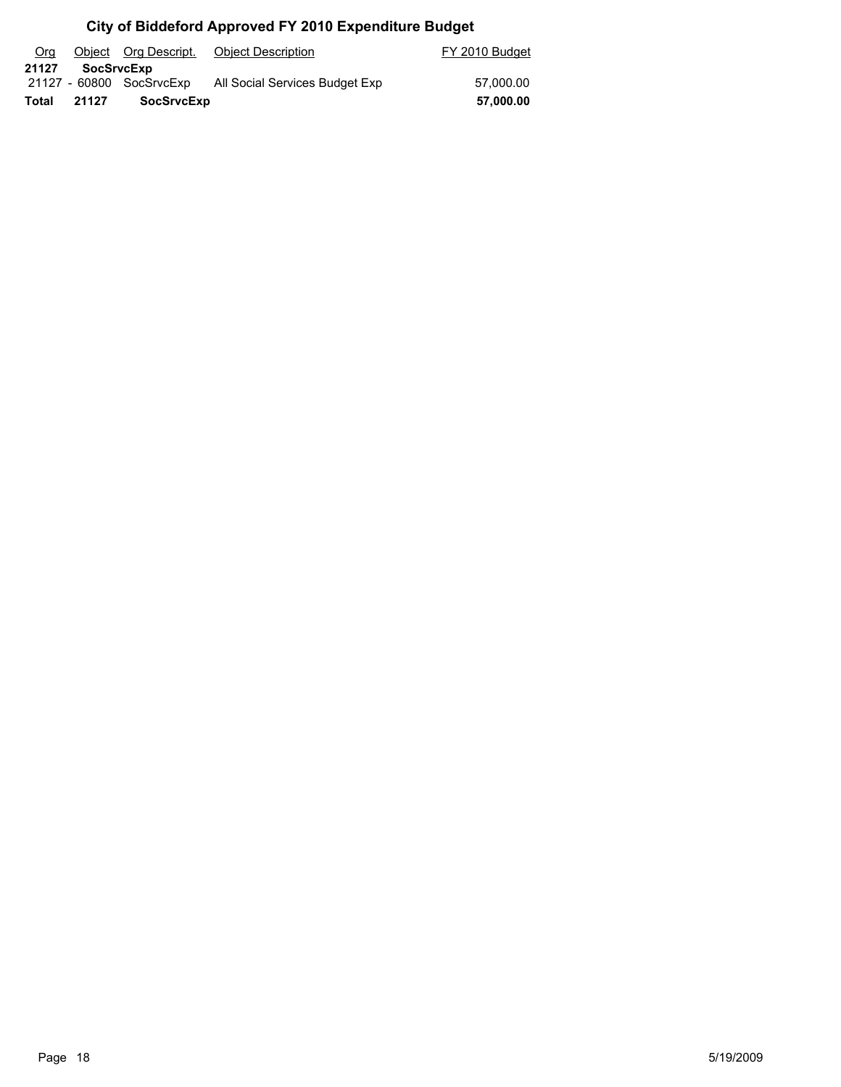| Org   |                   | Object Org Descript.     | Object Description             | FY 2010 Budget |
|-------|-------------------|--------------------------|--------------------------------|----------------|
| 21127 | <b>SocSrvcExp</b> |                          |                                |                |
|       |                   | 21127 - 60800 SocSrvcExp | All Social Services Budget Exp | 57.000.00      |
| Total | 21127             | <b>SocSrvcExp</b>        |                                | 57,000.00      |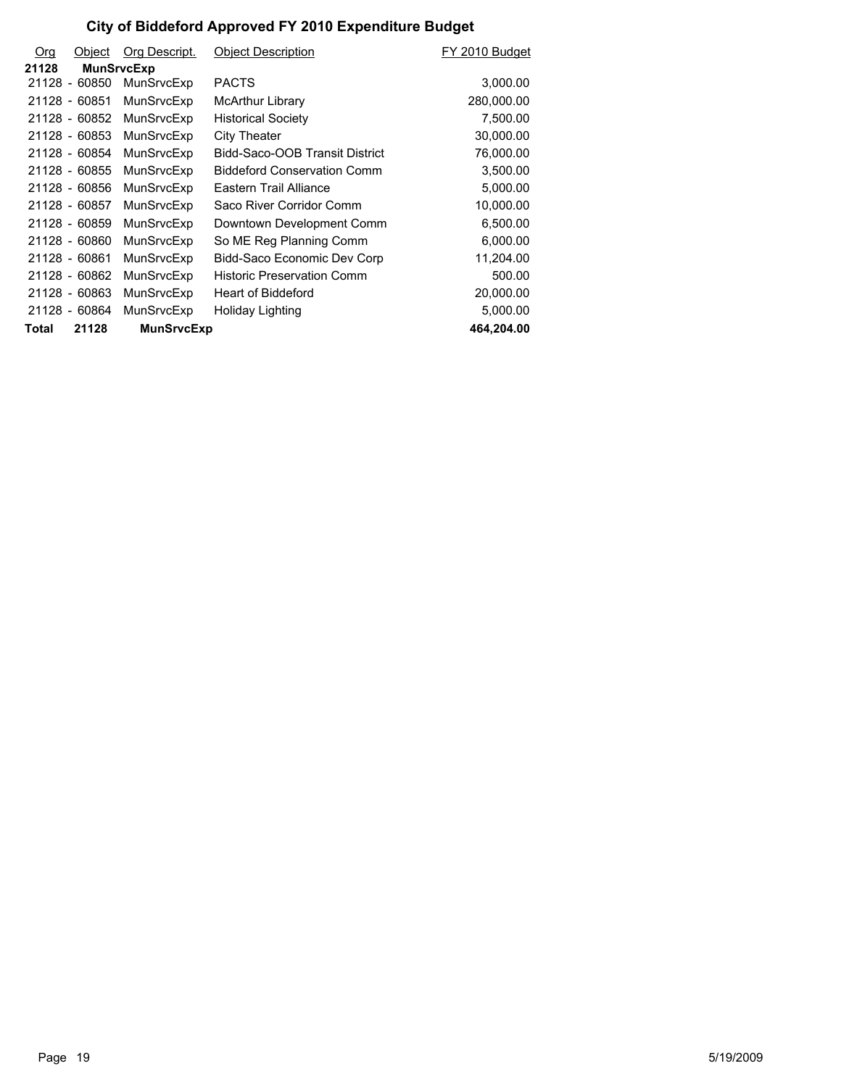| <b>Org</b> | Object        | Org Descript.     | <b>Object Description</b>          | FY 2010 Budget |
|------------|---------------|-------------------|------------------------------------|----------------|
| 21128      |               | <b>MunSrvcExp</b> |                                    |                |
|            | 21128 - 60850 | MunSrvcExp        | <b>PACTS</b>                       | 3,000.00       |
|            | 21128 - 60851 | MunSrvcExp        | <b>McArthur Library</b>            | 280,000.00     |
|            | 21128 - 60852 | MunSrvcExp        | <b>Historical Society</b>          | 7,500.00       |
|            | 21128 - 60853 | MunSrvcExp        | City Theater                       | 30,000.00      |
|            | 21128 - 60854 | MunSrvcExp        | Bidd-Saco-OOB Transit District     | 76,000.00      |
|            | 21128 - 60855 | MunSrvcExp        | <b>Biddeford Conservation Comm</b> | 3,500.00       |
|            | 21128 - 60856 | MunSrvcExp        | Eastern Trail Alliance             | 5,000.00       |
|            | 21128 - 60857 | MunSrvcExp        | Saco River Corridor Comm           | 10,000.00      |
|            | 21128 - 60859 | MunSrvcExp        | Downtown Development Comm          | 6,500.00       |
|            | 21128 - 60860 | MunSrvcExp        | So ME Reg Planning Comm            | 6,000.00       |
|            | 21128 - 60861 | MunSrvcExp        | Bidd-Saco Economic Dev Corp        | 11,204.00      |
|            | 21128 - 60862 | MunSrvcExp        | <b>Historic Preservation Comm</b>  | 500.00         |
|            | 21128 - 60863 | MunSrvcExp        | Heart of Biddeford                 | 20,000.00      |
|            | 21128 - 60864 | MunSrvcExp        | Holiday Lighting                   | 5,000.00       |
| Total      | 21128         | <b>MunSrvcExp</b> |                                    | 464,204.00     |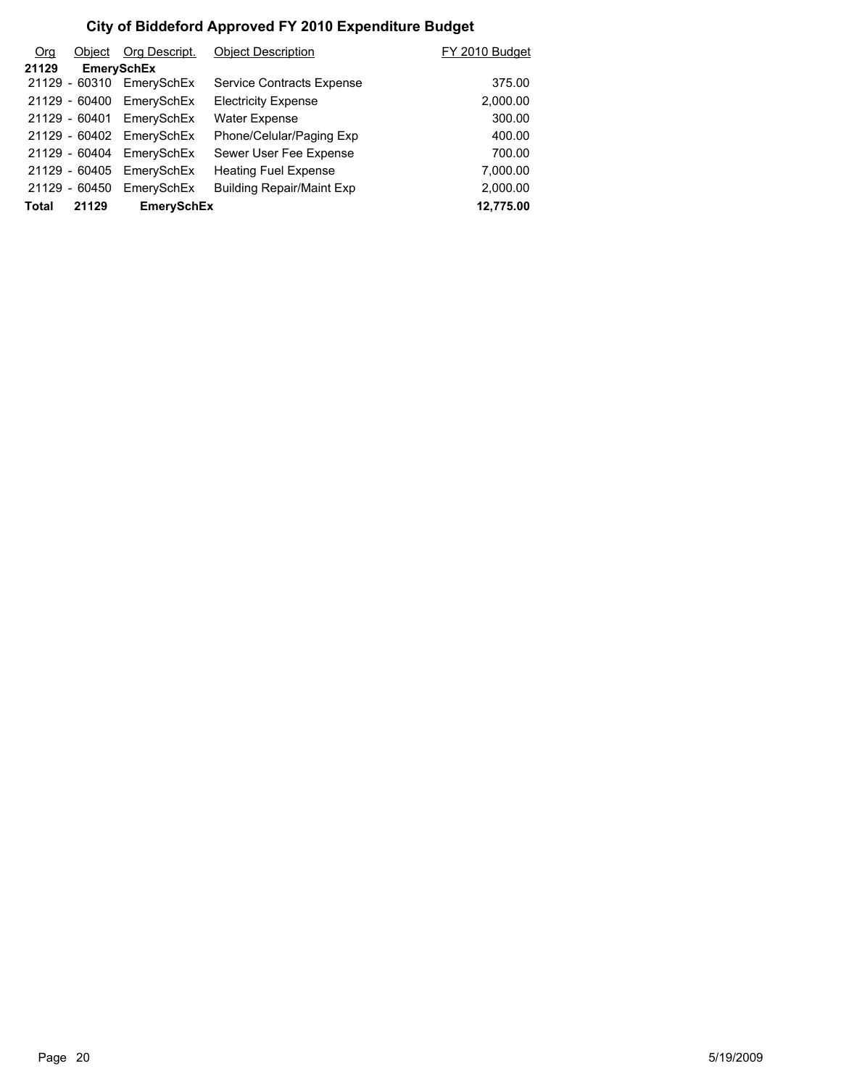| O <sub>rg</sub> | Object        | Org Descript.            | <b>Object Description</b>        | FY 2010 Budget |
|-----------------|---------------|--------------------------|----------------------------------|----------------|
| 21129           |               | <b>EmerySchEx</b>        |                                  |                |
|                 |               | 21129 - 60310 EmerySchEx | Service Contracts Expense        | 375.00         |
|                 | 21129 - 60400 | EmerySchEx               | <b>Electricity Expense</b>       | 2,000.00       |
|                 | 21129 - 60401 | EmerySchEx               | <b>Water Expense</b>             | 300.00         |
|                 |               | 21129 - 60402 EmerySchEx | Phone/Celular/Paging Exp         | 400.00         |
|                 | 21129 - 60404 | EmerySchEx               | Sewer User Fee Expense           | 700.00         |
|                 | 21129 - 60405 | EmerySchEx               | <b>Heating Fuel Expense</b>      | 7,000.00       |
|                 | 21129 - 60450 | EmerySchEx               | <b>Building Repair/Maint Exp</b> | 2,000.00       |
| <b>Total</b>    | 21129         | <b>EmerySchEx</b>        |                                  | 12,775.00      |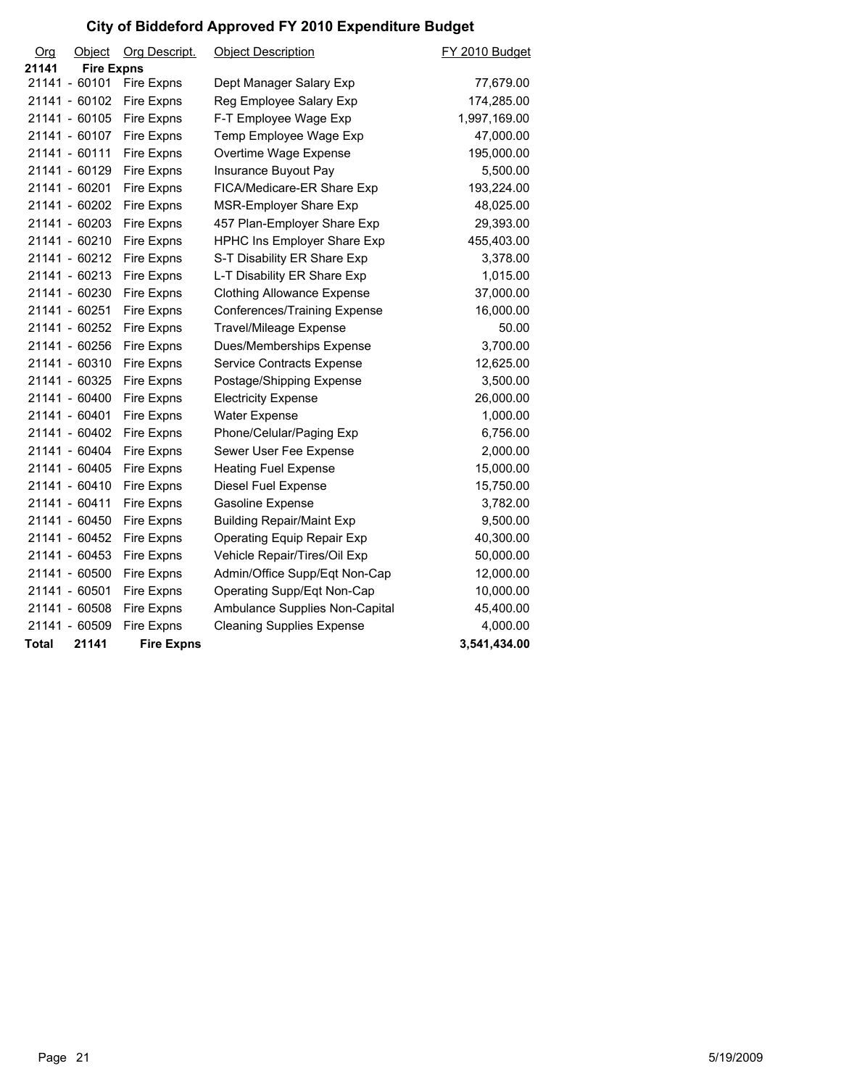| Org          | Object            | Org Descript.     | <b>Object Description</b>          | FY 2010 Budget |
|--------------|-------------------|-------------------|------------------------------------|----------------|
| 21141        | <b>Fire Expns</b> |                   |                                    |                |
|              | 21141 - 60101     | Fire Expns        | Dept Manager Salary Exp            | 77,679.00      |
|              | 21141 - 60102     | Fire Expns        | Reg Employee Salary Exp            | 174,285.00     |
|              | 21141 - 60105     | Fire Expns        | F-T Employee Wage Exp              | 1,997,169.00   |
|              | 21141 - 60107     | Fire Expns        | Temp Employee Wage Exp             | 47,000.00      |
|              | 21141 - 60111     | Fire Expns        | Overtime Wage Expense              | 195,000.00     |
|              | 21141 - 60129     | Fire Expns        | Insurance Buyout Pay               | 5,500.00       |
|              | 21141 - 60201     | Fire Expns        | FICA/Medicare-ER Share Exp         | 193,224.00     |
|              | 21141 - 60202     | Fire Expns        | MSR-Employer Share Exp             | 48,025.00      |
|              | 21141 - 60203     | Fire Expns        | 457 Plan-Employer Share Exp        | 29,393.00      |
|              | 21141 - 60210     | Fire Expns        | <b>HPHC Ins Employer Share Exp</b> | 455,403.00     |
|              | 21141 - 60212     | Fire Expns        | S-T Disability ER Share Exp        | 3,378.00       |
|              | 21141 - 60213     | Fire Expns        | L-T Disability ER Share Exp        | 1,015.00       |
|              | 21141 - 60230     | Fire Expns        | <b>Clothing Allowance Expense</b>  | 37,000.00      |
|              | 21141 - 60251     | Fire Expns        | Conferences/Training Expense       | 16,000.00      |
|              | 21141 - 60252     | Fire Expns        | <b>Travel/Mileage Expense</b>      | 50.00          |
|              | 21141 - 60256     | Fire Expns        | Dues/Memberships Expense           | 3,700.00       |
|              | 21141 - 60310     | Fire Expns        | Service Contracts Expense          | 12,625.00      |
|              | 21141 - 60325     | Fire Expns        | Postage/Shipping Expense           | 3,500.00       |
|              | 21141 - 60400     | Fire Expns        | <b>Electricity Expense</b>         | 26,000.00      |
|              | 21141 - 60401     | Fire Expns        | <b>Water Expense</b>               | 1,000.00       |
|              | 21141 - 60402     | Fire Expns        | Phone/Celular/Paging Exp           | 6,756.00       |
|              | 21141 - 60404     | Fire Expns        | Sewer User Fee Expense             | 2,000.00       |
|              | 21141 - 60405     | Fire Expns        | <b>Heating Fuel Expense</b>        | 15,000.00      |
|              | 21141 - 60410     | Fire Expns        | Diesel Fuel Expense                | 15,750.00      |
|              | 21141 - 60411     | Fire Expns        | Gasoline Expense                   | 3,782.00       |
|              | 21141 - 60450     | Fire Expns        | <b>Building Repair/Maint Exp</b>   | 9,500.00       |
|              | 21141 - 60452     | Fire Expns        | Operating Equip Repair Exp         | 40,300.00      |
|              | 21141 - 60453     | Fire Expns        | Vehicle Repair/Tires/Oil Exp       | 50,000.00      |
|              | 21141 - 60500     | Fire Expns        | Admin/Office Supp/Eqt Non-Cap      | 12,000.00      |
|              | 21141 - 60501     | Fire Expns        | Operating Supp/Eqt Non-Cap         | 10,000.00      |
|              | 21141 - 60508     | Fire Expns        | Ambulance Supplies Non-Capital     | 45,400.00      |
|              | 21141 - 60509     | Fire Expns        | <b>Cleaning Supplies Expense</b>   | 4,000.00       |
| <b>Total</b> | 21141             | <b>Fire Expns</b> |                                    | 3,541,434.00   |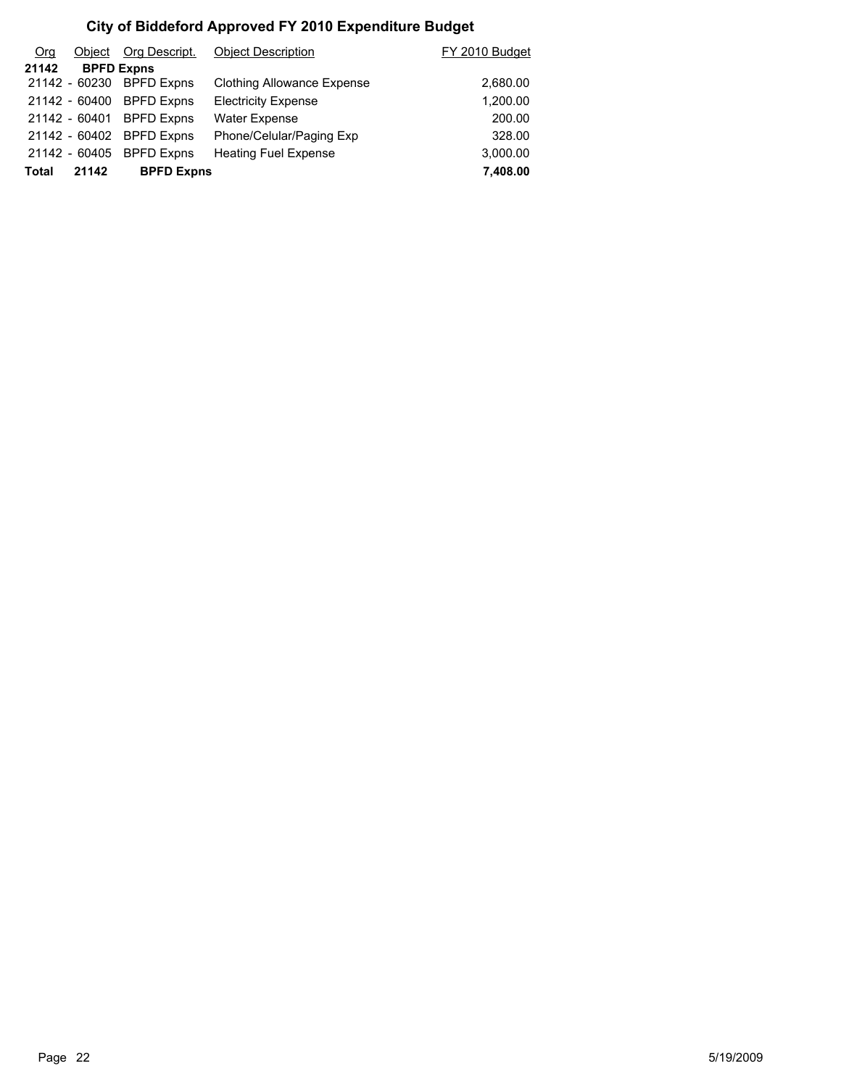| O <sub>rg</sub> | Object        | Org Descript.            | <b>Object Description</b>   | FY 2010 Budget |
|-----------------|---------------|--------------------------|-----------------------------|----------------|
| 21142           |               | <b>BPFD Expns</b>        |                             |                |
|                 |               | 21142 - 60230 BPFD Expns | Clothing Allowance Expense  | 2,680.00       |
|                 |               | 21142 - 60400 BPFD Expns | <b>Electricity Expense</b>  | 1,200.00       |
|                 | 21142 - 60401 | <b>BPFD Expns</b>        | <b>Water Expense</b>        | 200.00         |
|                 |               | 21142 - 60402 BPFD Expns | Phone/Celular/Paging Exp    | 328.00         |
|                 | 21142 - 60405 | <b>BPFD Expns</b>        | <b>Heating Fuel Expense</b> | 3,000.00       |
| Total           | 21142         | <b>BPFD Expns</b>        |                             | 7,408.00       |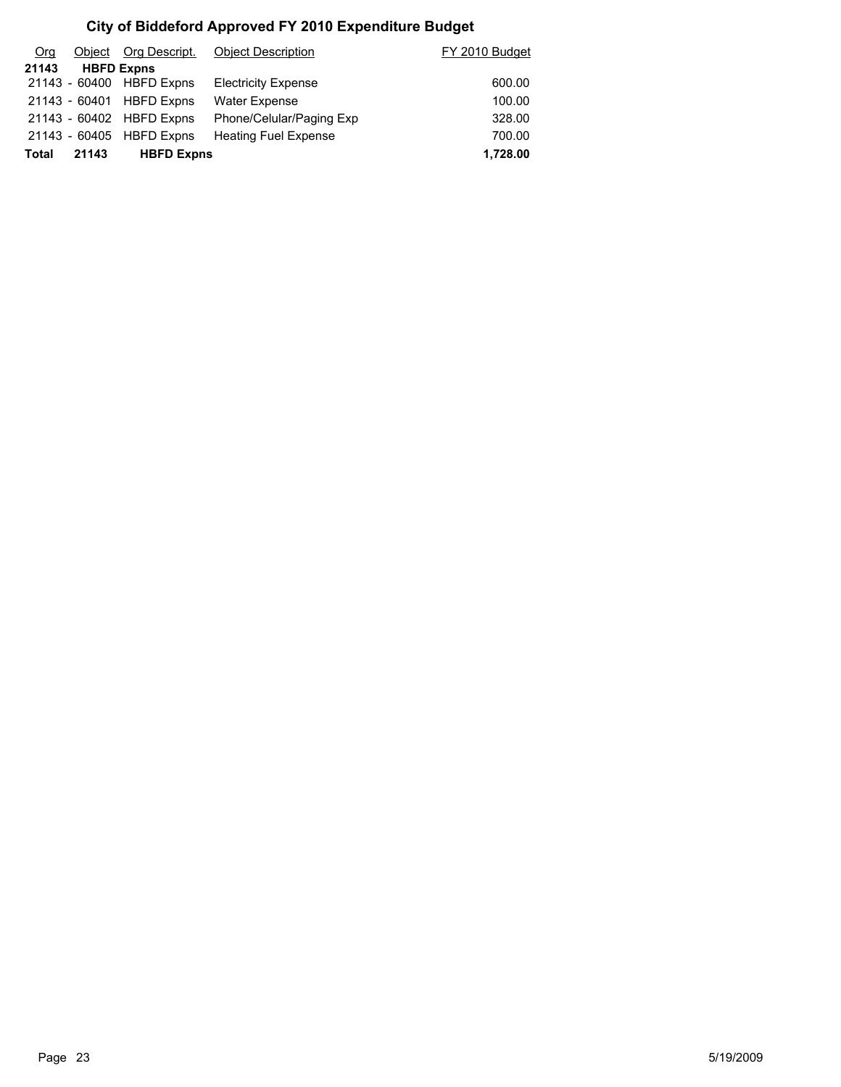| Org   | Obiect | Org Descript.            | <b>Object Description</b>   | FY 2010 Budget |
|-------|--------|--------------------------|-----------------------------|----------------|
| 21143 |        | <b>HBFD Expns</b>        |                             |                |
|       |        | 21143 - 60400 HBFD Expns | <b>Electricity Expense</b>  | 600.00         |
|       |        | 21143 - 60401 HBFD Expns | <b>Water Expense</b>        | 100.00         |
|       |        | 21143 - 60402 HBFD Expns | Phone/Celular/Paging Exp    | 328.00         |
|       |        | 21143 - 60405 HBFD Expns | <b>Heating Fuel Expense</b> | 700.00         |
| Total | 21143  | <b>HBFD Expns</b>        |                             | 1,728.00       |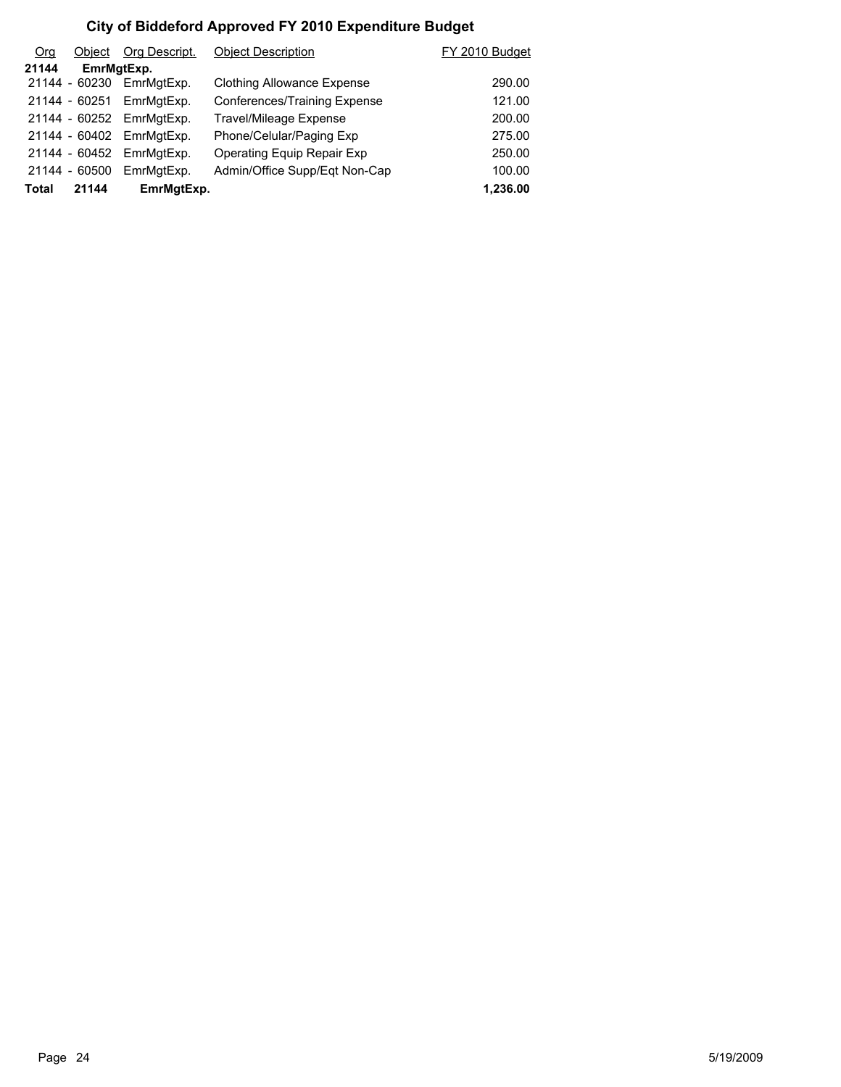| O <sub>rg</sub> | Object        | Org Descript. | <b>Object Description</b>         | FY 2010 Budget |
|-----------------|---------------|---------------|-----------------------------------|----------------|
| 21144           | EmrMgtExp.    |               |                                   |                |
|                 | 21144 - 60230 | EmrMgtExp.    | <b>Clothing Allowance Expense</b> | 290.00         |
|                 | 21144 - 60251 | EmrMgtExp.    | Conferences/Training Expense      | 121.00         |
|                 | 21144 - 60252 | EmrMgtExp.    | <b>Travel/Mileage Expense</b>     | 200.00         |
|                 | 21144 - 60402 | EmrMgtExp.    | Phone/Celular/Paging Exp          | 275.00         |
|                 | 21144 - 60452 | EmrMatExp.    | Operating Equip Repair Exp        | 250.00         |
|                 | 21144 - 60500 | EmrMgtExp.    | Admin/Office Supp/Eqt Non-Cap     | 100.00         |
| Total           | 21144         | EmrMgtExp.    |                                   | 1,236.00       |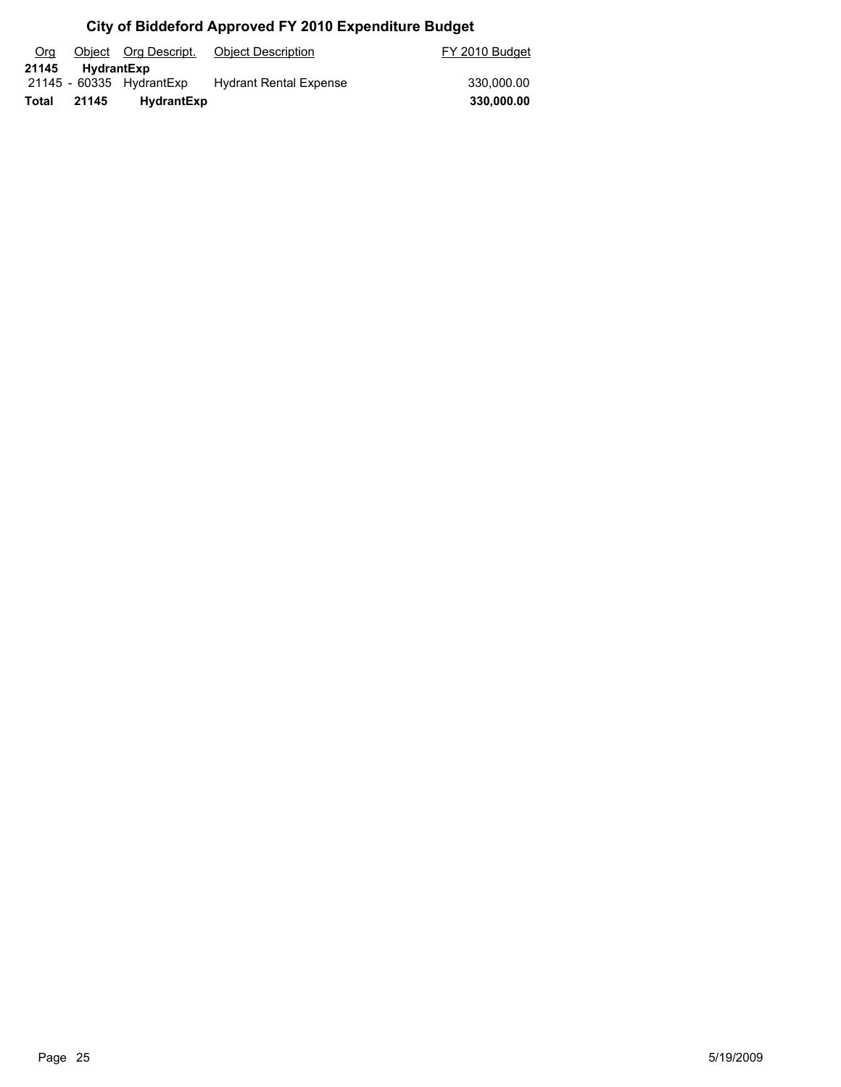| Org   |                   | Object Org Descript.     | <b>Object Description</b>     | FY 2010 Budget |
|-------|-------------------|--------------------------|-------------------------------|----------------|
| 21145 | <b>HydrantExp</b> |                          |                               |                |
|       |                   | 21145 - 60335 HydrantExp | <b>Hydrant Rental Expense</b> | 330.000.00     |
| Total | 21145             | <b>HydrantExp</b>        |                               | 330.000.00     |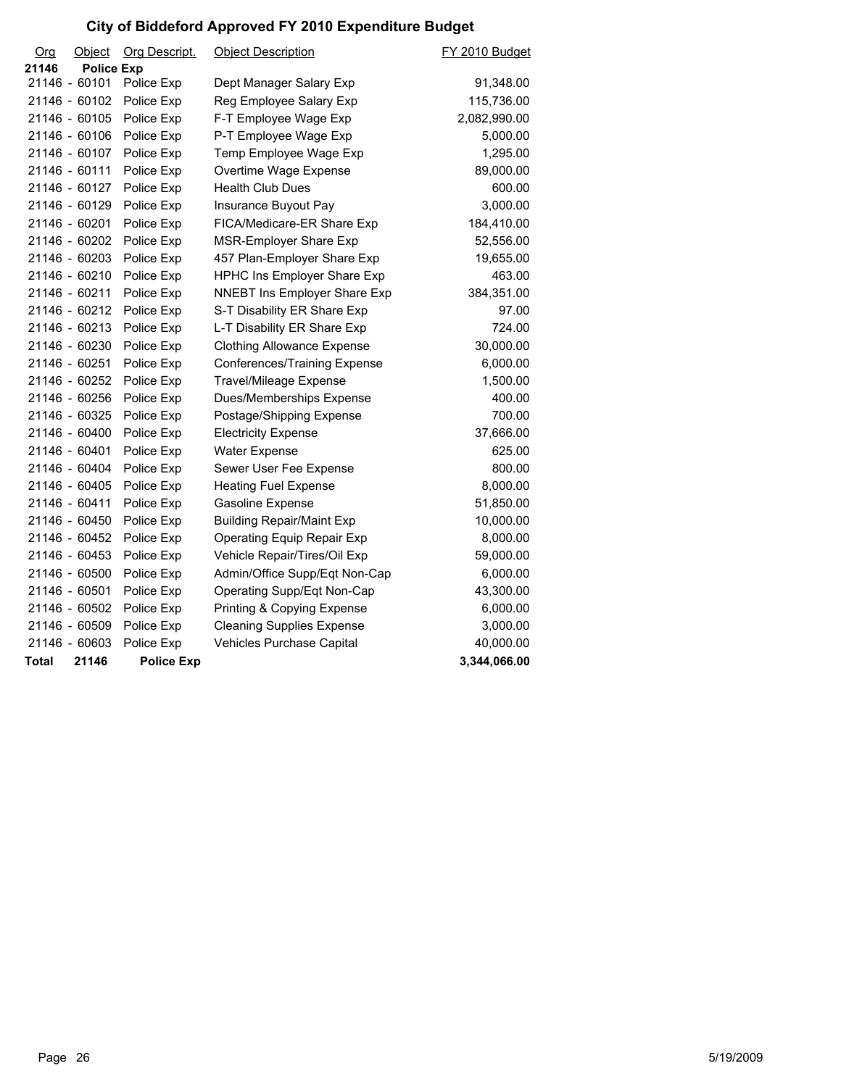| O <sub>rg</sub> | <b>Object</b>     | <b>Org Descript.</b> | <b>Object Description</b>          | FY 2010 Budget |
|-----------------|-------------------|----------------------|------------------------------------|----------------|
| 21146           | <b>Police Exp</b> |                      |                                    |                |
| 21146 - 60101   |                   | Police Exp           | Dept Manager Salary Exp            | 91,348.00      |
| 21146 - 60102   |                   | Police Exp           | Reg Employee Salary Exp            | 115,736.00     |
| 21146 - 60105   |                   | Police Exp           | F-T Employee Wage Exp              | 2,082,990.00   |
| 21146 - 60106   |                   | Police Exp           | P-T Employee Wage Exp              | 5,000.00       |
| 21146 - 60107   |                   | Police Exp           | Temp Employee Wage Exp             | 1,295.00       |
| 21146 - 60111   |                   | Police Exp           | Overtime Wage Expense              | 89,000.00      |
| 21146 - 60127   |                   | Police Exp           | <b>Health Club Dues</b>            | 600.00         |
| 21146 - 60129   |                   | Police Exp           | Insurance Buyout Pay               | 3,000.00       |
| 21146 - 60201   |                   | Police Exp           | FICA/Medicare-ER Share Exp         | 184,410.00     |
| 21146 - 60202   |                   | Police Exp           | MSR-Employer Share Exp             | 52,556.00      |
| 21146 - 60203   |                   | Police Exp           | 457 Plan-Employer Share Exp        | 19,655.00      |
| 21146 - 60210   |                   | Police Exp           | <b>HPHC Ins Employer Share Exp</b> | 463.00         |
| 21146 - 60211   |                   | Police Exp           | NNEBT Ins Employer Share Exp       | 384,351.00     |
| 21146 - 60212   |                   | Police Exp           | S-T Disability ER Share Exp        | 97.00          |
| 21146 - 60213   |                   | Police Exp           | L-T Disability ER Share Exp        | 724.00         |
| 21146 - 60230   |                   | Police Exp           | <b>Clothing Allowance Expense</b>  | 30,000.00      |
| 21146 - 60251   |                   | Police Exp           | Conferences/Training Expense       | 6,000.00       |
| 21146 - 60252   |                   | Police Exp           | Travel/Mileage Expense             | 1,500.00       |
| 21146 - 60256   |                   | Police Exp           | Dues/Memberships Expense           | 400.00         |
| 21146 - 60325   |                   | Police Exp           | Postage/Shipping Expense           | 700.00         |
| 21146 - 60400   |                   | Police Exp           | <b>Electricity Expense</b>         | 37,666.00      |
| 21146 - 60401   |                   | Police Exp           | <b>Water Expense</b>               | 625.00         |
| 21146 - 60404   |                   | Police Exp           | Sewer User Fee Expense             | 800.00         |
| 21146 - 60405   |                   | Police Exp           | <b>Heating Fuel Expense</b>        | 8,000.00       |
| 21146 - 60411   |                   | Police Exp           | Gasoline Expense                   | 51,850.00      |
| 21146 - 60450   |                   | Police Exp           | <b>Building Repair/Maint Exp</b>   | 10,000.00      |
| 21146 - 60452   |                   | Police Exp           | <b>Operating Equip Repair Exp</b>  | 8,000.00       |
| 21146 - 60453   |                   | Police Exp           | Vehicle Repair/Tires/Oil Exp       | 59,000.00      |
| 21146 - 60500   |                   | Police Exp           | Admin/Office Supp/Eqt Non-Cap      | 6,000.00       |
| 21146 - 60501   |                   | Police Exp           | Operating Supp/Eqt Non-Cap         | 43,300.00      |
| 21146 - 60502   |                   | Police Exp           | Printing & Copying Expense         | 6,000.00       |
| 21146 - 60509   |                   | Police Exp           | <b>Cleaning Supplies Expense</b>   | 3,000.00       |
| 21146 - 60603   |                   | Police Exp           | Vehicles Purchase Capital          | 40,000.00      |
| <b>Total</b>    | 21146             | <b>Police Exp</b>    |                                    | 3,344,066.00   |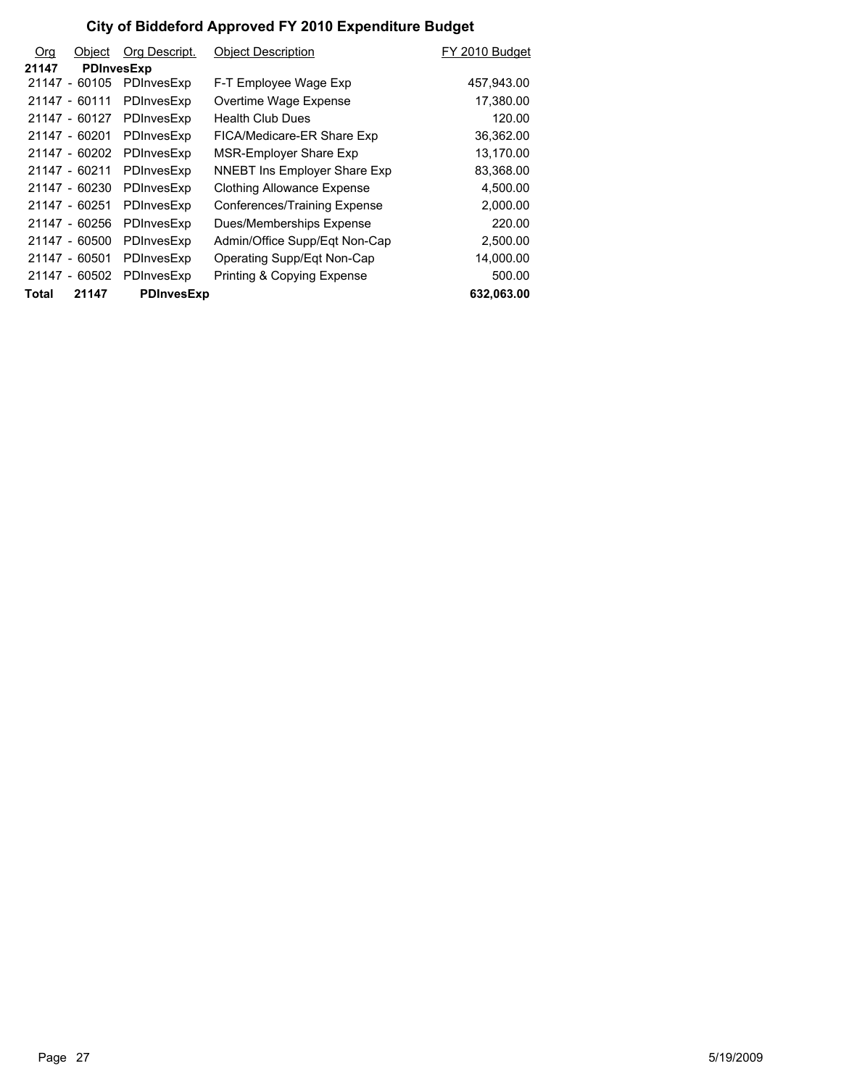| <b>Org</b> | Object            | Org Descript.     | <b>Object Description</b>           | FY 2010 Budget |
|------------|-------------------|-------------------|-------------------------------------|----------------|
| 21147      | <b>PDInvesExp</b> |                   |                                     |                |
|            | 21147 - 60105     | PDInvesExp        | F-T Employee Wage Exp               | 457,943.00     |
|            | 21147 - 60111     | PDInvesExp        | Overtime Wage Expense               | 17,380.00      |
|            | 21147 - 60127     | PDInvesExp        | <b>Health Club Dues</b>             | 120.00         |
|            | 21147 - 60201     | PDInvesExp        | FICA/Medicare-ER Share Exp          | 36,362.00      |
|            | 21147 - 60202     | PDInvesExp        | MSR-Employer Share Exp              | 13,170.00      |
|            | 21147 - 60211     | PDInvesExp        | <b>NNEBT Ins Employer Share Exp</b> | 83,368.00      |
|            | 21147 - 60230     | PDInvesExp        | <b>Clothing Allowance Expense</b>   | 4,500.00       |
|            | 21147 - 60251     | PDInvesExp        | Conferences/Training Expense        | 2,000.00       |
|            | 21147 - 60256     | PDInvesExp        | Dues/Memberships Expense            | 220.00         |
|            | 21147 - 60500     | PDInvesExp        | Admin/Office Supp/Eqt Non-Cap       | 2,500.00       |
|            | 21147 - 60501     | PDInvesExp        | Operating Supp/Eqt Non-Cap          | 14,000.00      |
|            | 21147 - 60502     | PDInvesExp        | Printing & Copying Expense          | 500.00         |
| Total      | 21147             | <b>PDInvesExp</b> |                                     | 632,063.00     |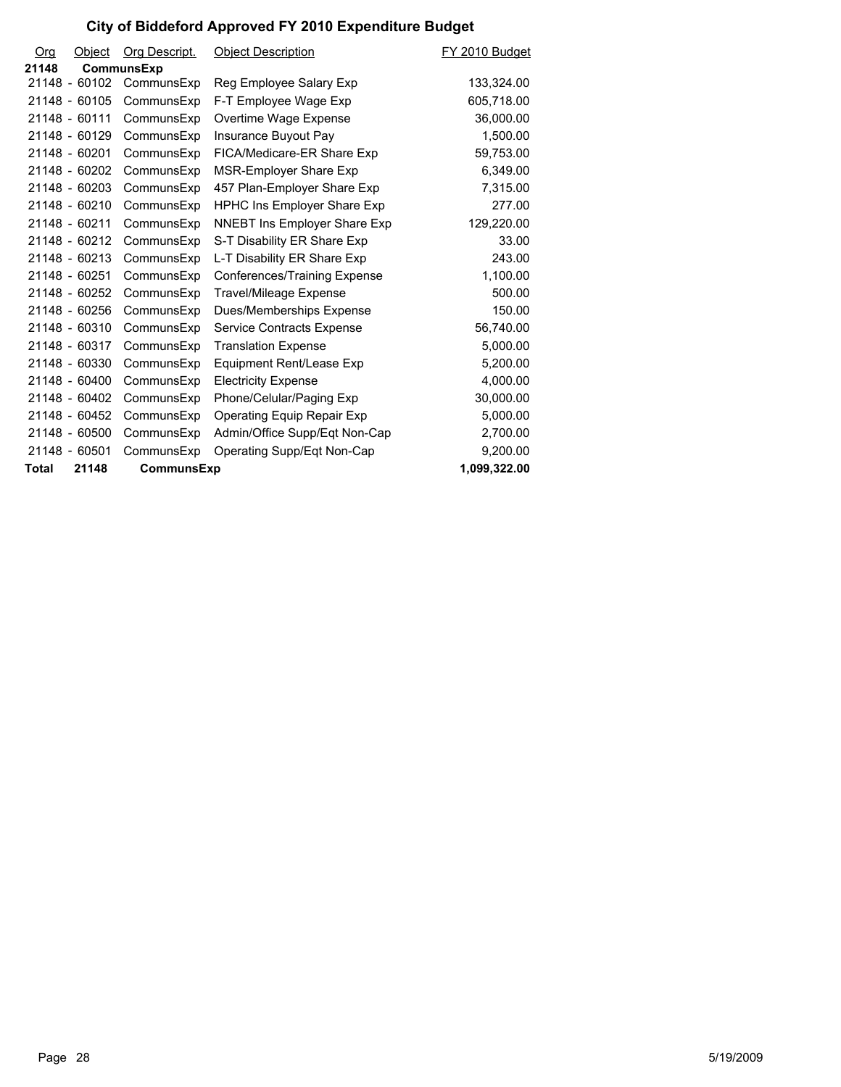| O <sub>rg</sub> | Object        | Org Descript.     | <b>Object Description</b>     | FY 2010 Budget |
|-----------------|---------------|-------------------|-------------------------------|----------------|
| 21148           |               | <b>CommunsExp</b> |                               |                |
|                 | 21148 - 60102 | CommunsExp        | Reg Employee Salary Exp       | 133,324.00     |
|                 | 21148 - 60105 | CommunsExp        | F-T Employee Wage Exp         | 605,718.00     |
| 21148 - 60111   |               | CommunsExp        | Overtime Wage Expense         | 36,000.00      |
|                 | 21148 - 60129 | CommunsExp        | Insurance Buyout Pay          | 1,500.00       |
| 21148 - 60201   |               | CommunsExp        | FICA/Medicare-ER Share Exp    | 59,753.00      |
|                 | 21148 - 60202 | CommunsExp        | MSR-Employer Share Exp        | 6,349.00       |
|                 | 21148 - 60203 | CommunsExp        | 457 Plan-Employer Share Exp   | 7,315.00       |
|                 | 21148 - 60210 | CommunsExp        | HPHC Ins Employer Share Exp   | 277.00         |
| 21148 - 60211   |               | CommunsExp        | NNEBT Ins Employer Share Exp  | 129,220.00     |
|                 | 21148 - 60212 | CommunsExp        | S-T Disability ER Share Exp   | 33.00          |
|                 | 21148 - 60213 | CommunsExp        | L-T Disability ER Share Exp   | 243.00         |
| 21148 - 60251   |               | CommunsExp        | Conferences/Training Expense  | 1,100.00       |
|                 | 21148 - 60252 | CommunsExp        | Travel/Mileage Expense        | 500.00         |
|                 | 21148 - 60256 | CommunsExp        | Dues/Memberships Expense      | 150.00         |
|                 | 21148 - 60310 | CommunsExp        | Service Contracts Expense     | 56,740.00      |
|                 | 21148 - 60317 | CommunsExp        | <b>Translation Expense</b>    | 5,000.00       |
|                 | 21148 - 60330 | CommunsExp        | Equipment Rent/Lease Exp      | 5,200.00       |
|                 | 21148 - 60400 | CommunsExp        | <b>Electricity Expense</b>    | 4,000.00       |
|                 | 21148 - 60402 | CommunsExp        | Phone/Celular/Paging Exp      | 30,000.00      |
|                 | 21148 - 60452 | CommunsExp        | Operating Equip Repair Exp    | 5,000.00       |
|                 | 21148 - 60500 | CommunsExp        | Admin/Office Supp/Eqt Non-Cap | 2,700.00       |
| 21148 - 60501   |               | CommunsExp        | Operating Supp/Eqt Non-Cap    | 9,200.00       |
| <b>Total</b>    | 21148         | CommunsExp        |                               | 1,099,322.00   |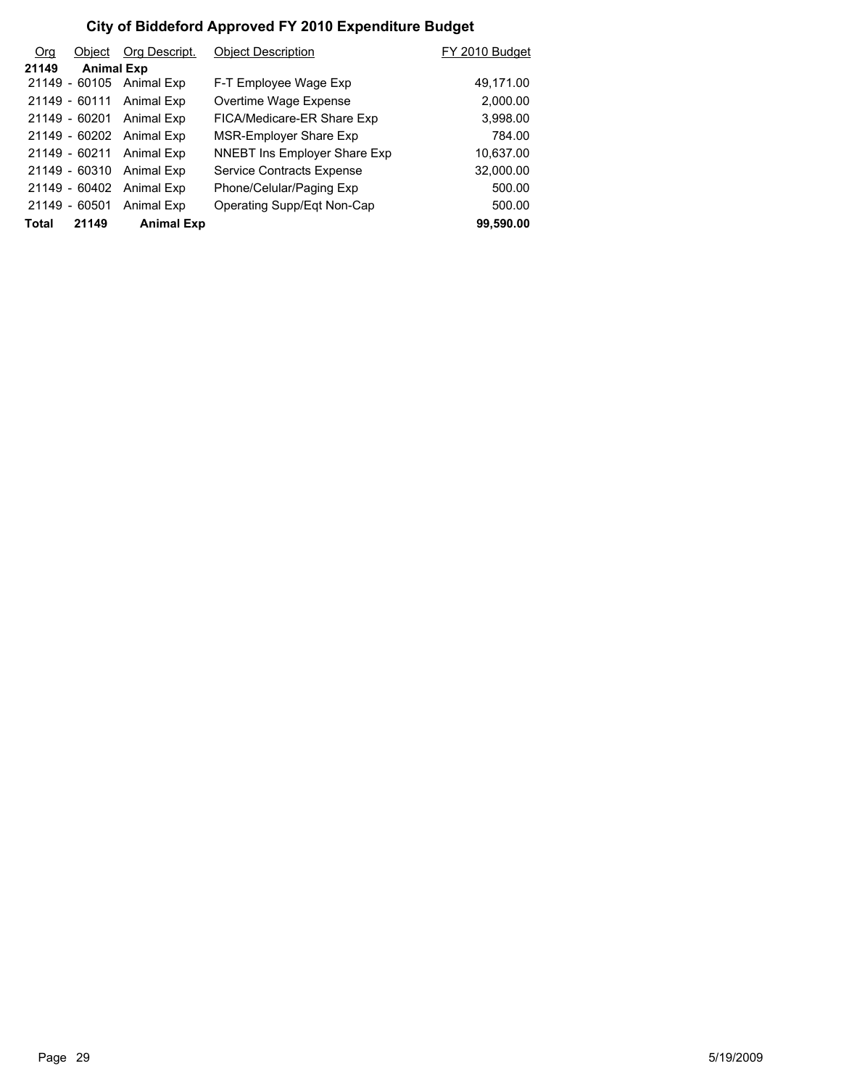| O <sub>rg</sub> | Object            | Org Descript.            | <b>Object Description</b>        | FY 2010 Budget |
|-----------------|-------------------|--------------------------|----------------------------------|----------------|
| 21149           | <b>Animal Exp</b> |                          |                                  |                |
|                 |                   | 21149 - 60105 Animal Exp | F-T Employee Wage Exp            | 49,171.00      |
|                 | 21149 - 60111     | Animal Exp               | Overtime Wage Expense            | 2,000.00       |
|                 | 21149 - 60201     | Animal Exp               | FICA/Medicare-ER Share Exp       | 3,998.00       |
|                 | 21149 - 60202     | Animal Exp               | MSR-Employer Share Exp           | 784.00         |
|                 | 21149 - 60211     | Animal Exp               | NNEBT Ins Employer Share Exp     | 10,637.00      |
|                 | 21149 - 60310     | Animal Exp               | <b>Service Contracts Expense</b> | 32,000.00      |
|                 | 21149 - 60402     | Animal Exp               | Phone/Celular/Paging Exp         | 500.00         |
|                 | 21149 - 60501     | Animal Exp               | Operating Supp/Egt Non-Cap       | 500.00         |
| <b>Total</b>    | 21149             | <b>Animal Exp</b>        |                                  | 99,590.00      |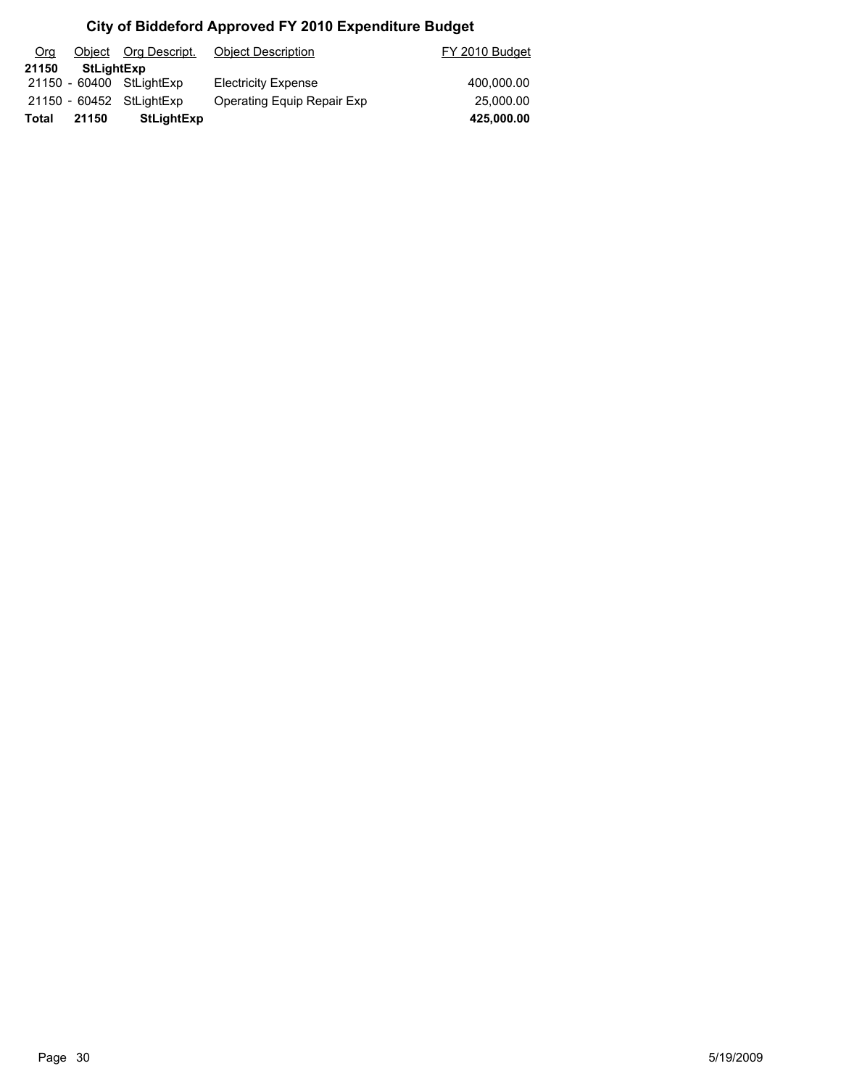| Org   |            | Object Org Descript.     | <b>Object Description</b>  | FY 2010 Budget |
|-------|------------|--------------------------|----------------------------|----------------|
| 21150 | StLightExp |                          |                            |                |
|       |            | 21150 - 60400 StLightExp | <b>Electricity Expense</b> | 400.000.00     |
|       |            | 21150 - 60452 StLightExp | Operating Equip Repair Exp | 25,000.00      |
| Total | 21150      | <b>StLightExp</b>        |                            | 425,000.00     |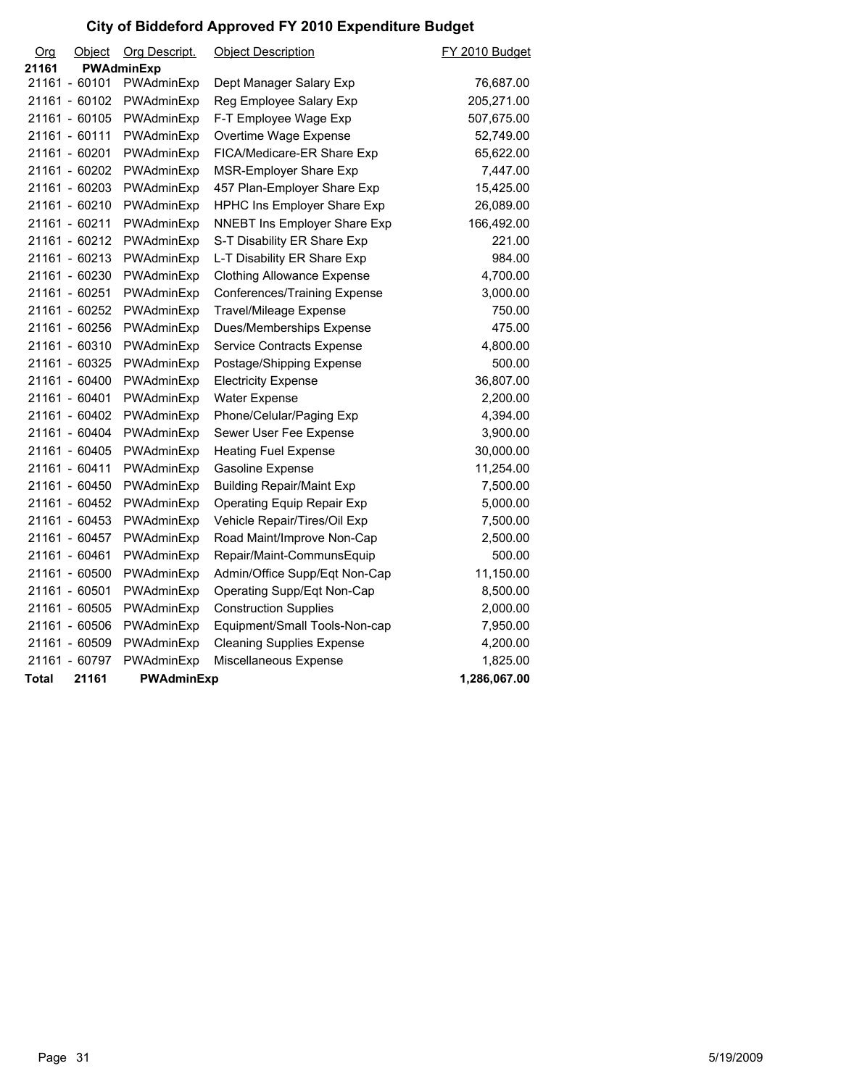| Org   | Object        | Org Descript.     | <b>Object Description</b>         | FY 2010 Budget |
|-------|---------------|-------------------|-----------------------------------|----------------|
| 21161 |               | <b>PWAdminExp</b> |                                   |                |
|       | 21161 - 60101 | PWAdminExp        | Dept Manager Salary Exp           | 76,687.00      |
|       | 21161 - 60102 | PWAdminExp        | Reg Employee Salary Exp           | 205,271.00     |
|       | 21161 - 60105 | PWAdminExp        | F-T Employee Wage Exp             | 507,675.00     |
|       | 21161 - 60111 | PWAdminExp        | Overtime Wage Expense             | 52,749.00      |
|       | 21161 - 60201 | PWAdminExp        | FICA/Medicare-ER Share Exp        | 65,622.00      |
|       | 21161 - 60202 | PWAdminExp        | MSR-Employer Share Exp            | 7,447.00       |
|       | 21161 - 60203 | PWAdminExp        | 457 Plan-Employer Share Exp       | 15,425.00      |
|       | 21161 - 60210 | PWAdminExp        | HPHC Ins Employer Share Exp       | 26,089.00      |
|       | 21161 - 60211 | PWAdminExp        | NNEBT Ins Employer Share Exp      | 166,492.00     |
|       | 21161 - 60212 | PWAdminExp        | S-T Disability ER Share Exp       | 221.00         |
|       | 21161 - 60213 | PWAdminExp        | L-T Disability ER Share Exp       | 984.00         |
|       | 21161 - 60230 | PWAdminExp        | <b>Clothing Allowance Expense</b> | 4,700.00       |
|       | 21161 - 60251 | PWAdminExp        | Conferences/Training Expense      | 3,000.00       |
|       | 21161 - 60252 | PWAdminExp        | Travel/Mileage Expense            | 750.00         |
|       | 21161 - 60256 | PWAdminExp        | Dues/Memberships Expense          | 475.00         |
|       | 21161 - 60310 | PWAdminExp        | Service Contracts Expense         | 4,800.00       |
|       | 21161 - 60325 | PWAdminExp        | Postage/Shipping Expense          | 500.00         |
|       | 21161 - 60400 | PWAdminExp        | <b>Electricity Expense</b>        | 36,807.00      |
|       | 21161 - 60401 | PWAdminExp        | Water Expense                     | 2,200.00       |
|       | 21161 - 60402 | PWAdminExp        | Phone/Celular/Paging Exp          | 4,394.00       |
|       | 21161 - 60404 | PWAdminExp        | Sewer User Fee Expense            | 3,900.00       |
|       | 21161 - 60405 | PWAdminExp        | <b>Heating Fuel Expense</b>       | 30,000.00      |
|       | 21161 - 60411 | PWAdminExp        | Gasoline Expense                  | 11,254.00      |
|       | 21161 - 60450 | PWAdminExp        | <b>Building Repair/Maint Exp</b>  | 7,500.00       |
|       | 21161 - 60452 | PWAdminExp        | Operating Equip Repair Exp        | 5,000.00       |
|       | 21161 - 60453 | PWAdminExp        | Vehicle Repair/Tires/Oil Exp      | 7,500.00       |
|       | 21161 - 60457 | PWAdminExp        | Road Maint/Improve Non-Cap        | 2,500.00       |
|       | 21161 - 60461 | PWAdminExp        | Repair/Maint-CommunsEquip         | 500.00         |
|       | 21161 - 60500 | PWAdminExp        | Admin/Office Supp/Eqt Non-Cap     | 11,150.00      |
|       | 21161 - 60501 | PWAdminExp        | Operating Supp/Eqt Non-Cap        | 8,500.00       |
|       | 21161 - 60505 | PWAdminExp        | <b>Construction Supplies</b>      | 2,000.00       |
|       | 21161 - 60506 | PWAdminExp        | Equipment/Small Tools-Non-cap     | 7,950.00       |
|       | 21161 - 60509 | PWAdminExp        | <b>Cleaning Supplies Expense</b>  | 4,200.00       |
|       | 21161 - 60797 | PWAdminExp        | Miscellaneous Expense             | 1,825.00       |
| Total | 21161         | <b>PWAdminExp</b> |                                   | 1,286,067.00   |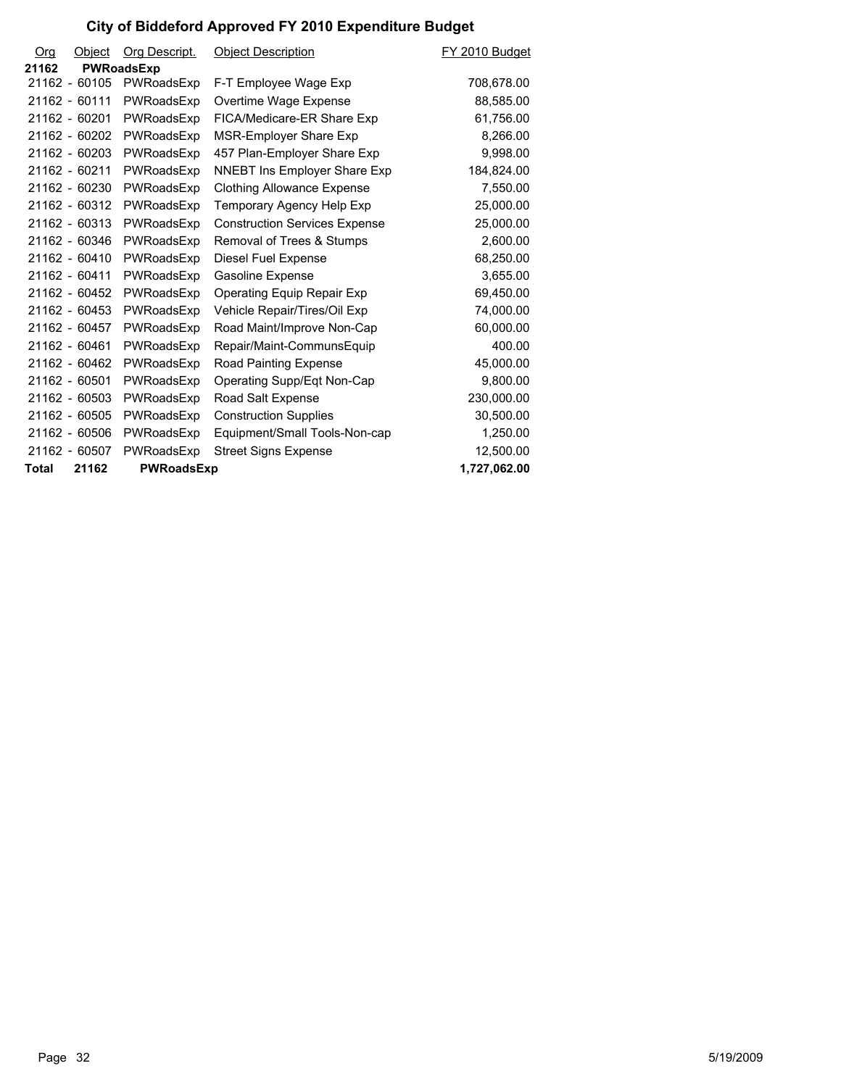| Org   | Object        | Org Descript.     | <b>Object Description</b>            | FY 2010 Budget |
|-------|---------------|-------------------|--------------------------------------|----------------|
| 21162 |               | <b>PWRoadsExp</b> |                                      |                |
|       | 21162 - 60105 | PWRoadsExp        | F-T Employee Wage Exp                | 708,678.00     |
|       | 21162 - 60111 | PWRoadsExp        | Overtime Wage Expense                | 88,585.00      |
|       | 21162 - 60201 | PWRoadsExp        | FICA/Medicare-ER Share Exp           | 61,756.00      |
|       | 21162 - 60202 | PWRoadsExp        | MSR-Employer Share Exp               | 8,266.00       |
|       | 21162 - 60203 | PWRoadsExp        | 457 Plan-Employer Share Exp          | 9,998.00       |
|       | 21162 - 60211 | PWRoadsExp        | <b>NNEBT Ins Employer Share Exp</b>  | 184,824.00     |
|       | 21162 - 60230 | PWRoadsExp        | <b>Clothing Allowance Expense</b>    | 7,550.00       |
|       | 21162 - 60312 | PWRoadsExp        | Temporary Agency Help Exp            | 25,000.00      |
|       | 21162 - 60313 | PWRoadsExp        | <b>Construction Services Expense</b> | 25,000.00      |
|       | 21162 - 60346 | PWRoadsExp        | Removal of Trees & Stumps            | 2,600.00       |
|       | 21162 - 60410 | PWRoadsExp        | Diesel Fuel Expense                  | 68,250.00      |
|       | 21162 - 60411 | PWRoadsExp        | <b>Gasoline Expense</b>              | 3,655.00       |
|       | 21162 - 60452 | PWRoadsExp        | Operating Equip Repair Exp           | 69,450.00      |
|       | 21162 - 60453 | PWRoadsExp        | Vehicle Repair/Tires/Oil Exp         | 74,000.00      |
|       | 21162 - 60457 | PWRoadsExp        | Road Maint/Improve Non-Cap           | 60,000.00      |
|       | 21162 - 60461 | PWRoadsExp        | Repair/Maint-CommunsEquip            | 400.00         |
|       | 21162 - 60462 | PWRoadsExp        | Road Painting Expense                | 45,000.00      |
|       | 21162 - 60501 | PWRoadsExp        | Operating Supp/Eqt Non-Cap           | 9,800.00       |
|       | 21162 - 60503 | PWRoadsExp        | Road Salt Expense                    | 230,000.00     |
|       | 21162 - 60505 | PWRoadsExp        | <b>Construction Supplies</b>         | 30,500.00      |
|       | 21162 - 60506 | PWRoadsExp        | Equipment/Small Tools-Non-cap        | 1,250.00       |
|       | 21162 - 60507 | PWRoadsExp        | <b>Street Signs Expense</b>          | 12,500.00      |
| Total | 21162         | PWRoadsExp        |                                      | 1,727,062.00   |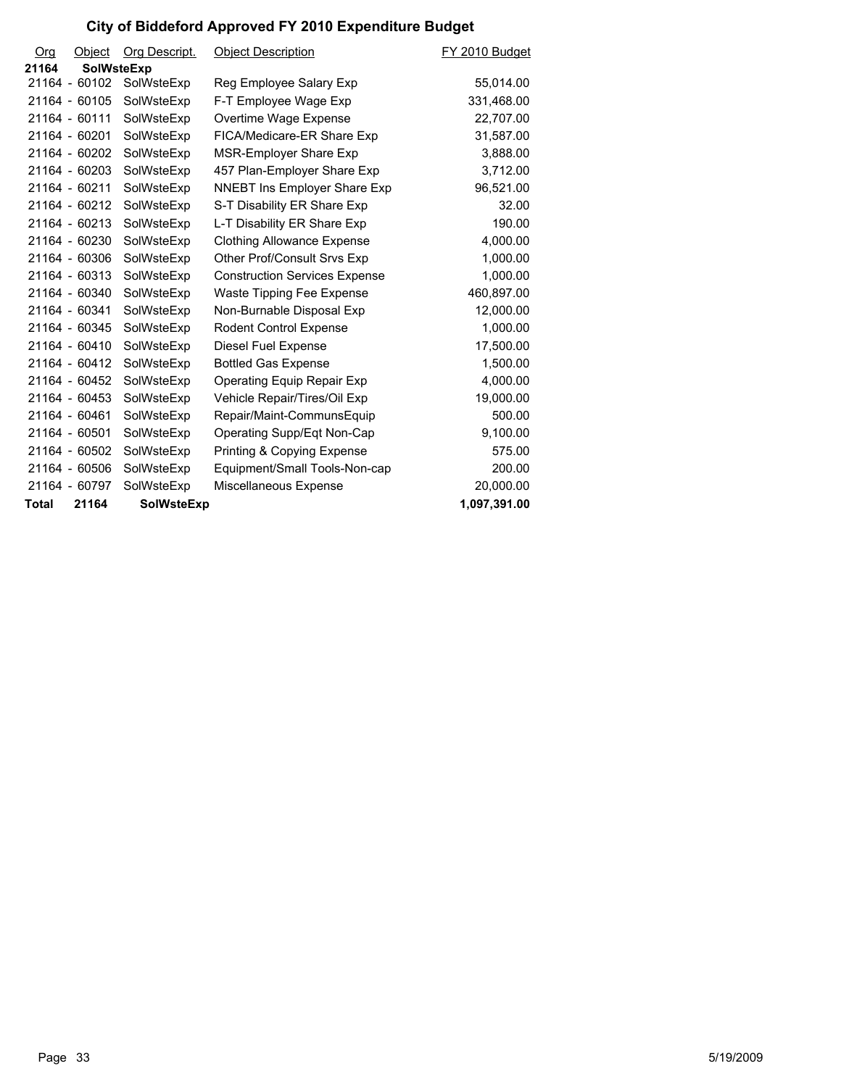| Org          | Object            | Org Descript.     | <b>Object Description</b>             | FY 2010 Budget |
|--------------|-------------------|-------------------|---------------------------------------|----------------|
| 21164        | <b>SolWsteExp</b> |                   |                                       |                |
|              | 21164 - 60102     | SolWsteExp        | Reg Employee Salary Exp               | 55,014.00      |
|              | 21164 - 60105     | SolWsteExp        | F-T Employee Wage Exp                 | 331,468.00     |
|              | 21164 - 60111     | SolWsteExp        | Overtime Wage Expense                 | 22,707.00      |
|              | 21164 - 60201     | SolWsteExp        | FICA/Medicare-ER Share Exp            | 31,587.00      |
|              | 21164 - 60202     | SolWsteExp        | MSR-Employer Share Exp                | 3,888.00       |
|              | 21164 - 60203     | SolWsteExp        | 457 Plan-Employer Share Exp           | 3,712.00       |
|              | 21164 - 60211     | SolWsteExp        | <b>NNEBT Ins Employer Share Exp</b>   | 96,521.00      |
|              | 21164 - 60212     | SolWsteExp        | S-T Disability ER Share Exp           | 32.00          |
|              | 21164 - 60213     | SolWsteExp        | L-T Disability ER Share Exp           | 190.00         |
|              | 21164 - 60230     | SolWsteExp        | <b>Clothing Allowance Expense</b>     | 4,000.00       |
|              | 21164 - 60306     | SolWsteExp        | Other Prof/Consult Srvs Exp           | 1,000.00       |
|              | 21164 - 60313     | SolWsteExp        | <b>Construction Services Expense</b>  | 1,000.00       |
|              | 21164 - 60340     | SolWsteExp        | Waste Tipping Fee Expense             | 460,897.00     |
|              | 21164 - 60341     | SolWsteExp        | Non-Burnable Disposal Exp             | 12,000.00      |
|              | 21164 - 60345     | SolWsteExp        | <b>Rodent Control Expense</b>         | 1,000.00       |
|              | 21164 - 60410     | SolWsteExp        | Diesel Fuel Expense                   | 17,500.00      |
|              | 21164 - 60412     | SolWsteExp        | <b>Bottled Gas Expense</b>            | 1,500.00       |
|              | 21164 - 60452     | SolWsteExp        | Operating Equip Repair Exp            | 4,000.00       |
|              | 21164 - 60453     | SolWsteExp        | Vehicle Repair/Tires/Oil Exp          | 19,000.00      |
|              | 21164 - 60461     | SolWsteExp        | Repair/Maint-CommunsEquip             | 500.00         |
|              | 21164 - 60501     | SolWsteExp        | Operating Supp/Eqt Non-Cap            | 9,100.00       |
|              | 21164 - 60502     | SolWsteExp        | <b>Printing &amp; Copying Expense</b> | 575.00         |
|              | 21164 - 60506     | SolWsteExp        | Equipment/Small Tools-Non-cap         | 200.00         |
|              | 21164 - 60797     | SolWsteExp        | Miscellaneous Expense                 | 20,000.00      |
| <b>Total</b> | 21164             | <b>SolWsteExp</b> |                                       | 1,097,391.00   |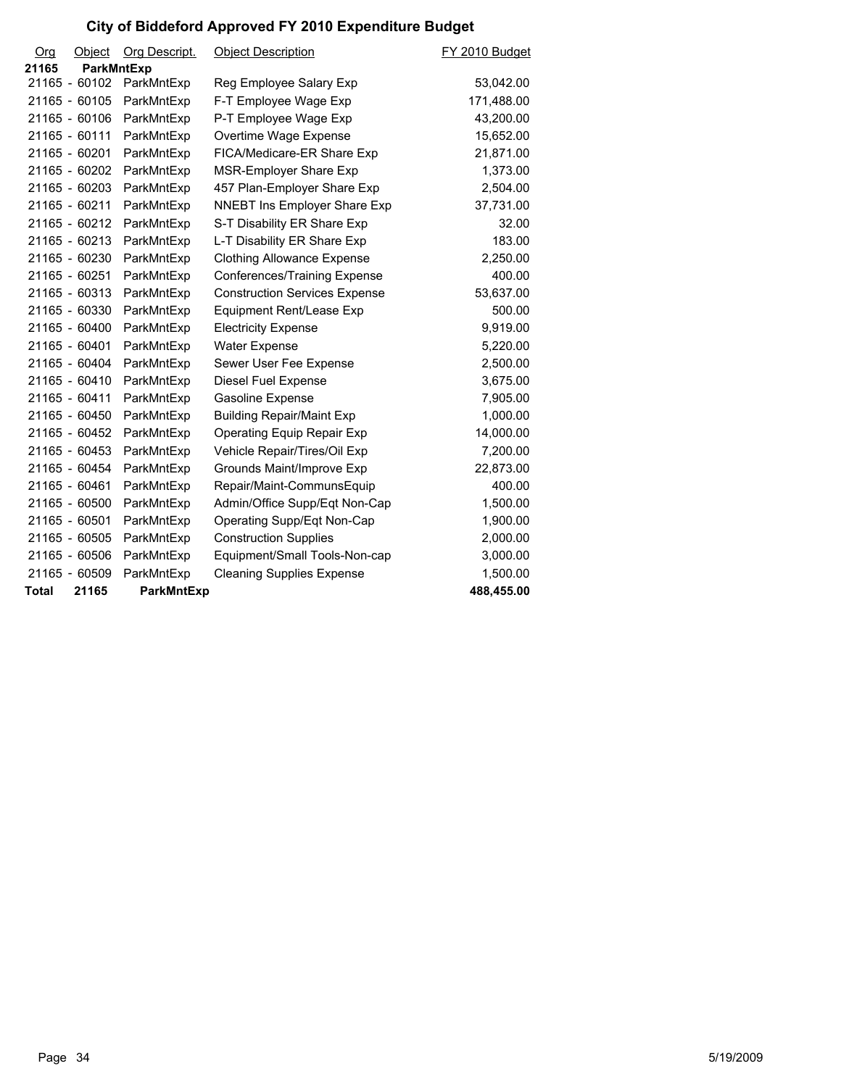| O <sub>rg</sub> | Object        | Org Descript.     | <b>Object Description</b>            | FY 2010 Budget |
|-----------------|---------------|-------------------|--------------------------------------|----------------|
| 21165           | ParkMntExp    |                   |                                      |                |
|                 | 21165 - 60102 | ParkMntExp        | Reg Employee Salary Exp              | 53,042.00      |
|                 | 21165 - 60105 | ParkMntExp        | F-T Employee Wage Exp                | 171,488.00     |
|                 | 21165 - 60106 | ParkMntExp        | P-T Employee Wage Exp                | 43,200.00      |
|                 | 21165 - 60111 | ParkMntExp        | Overtime Wage Expense                | 15,652.00      |
|                 | 21165 - 60201 | ParkMntExp        | FICA/Medicare-ER Share Exp           | 21,871.00      |
|                 | 21165 - 60202 | ParkMntExp        | MSR-Employer Share Exp               | 1,373.00       |
|                 | 21165 - 60203 | ParkMntExp        | 457 Plan-Employer Share Exp          | 2,504.00       |
|                 | 21165 - 60211 | ParkMntExp        | <b>NNEBT Ins Employer Share Exp</b>  | 37,731.00      |
|                 | 21165 - 60212 | ParkMntExp        | S-T Disability ER Share Exp          | 32.00          |
|                 | 21165 - 60213 | ParkMntExp        | L-T Disability ER Share Exp          | 183.00         |
|                 | 21165 - 60230 | ParkMntExp        | <b>Clothing Allowance Expense</b>    | 2,250.00       |
|                 | 21165 - 60251 | ParkMntExp        | Conferences/Training Expense         | 400.00         |
|                 | 21165 - 60313 | ParkMntExp        | <b>Construction Services Expense</b> | 53,637.00      |
|                 | 21165 - 60330 | ParkMntExp        | Equipment Rent/Lease Exp             | 500.00         |
|                 | 21165 - 60400 | ParkMntExp        | <b>Electricity Expense</b>           | 9,919.00       |
|                 | 21165 - 60401 | ParkMntExp        | <b>Water Expense</b>                 | 5,220.00       |
|                 | 21165 - 60404 | ParkMntExp        | Sewer User Fee Expense               | 2,500.00       |
|                 | 21165 - 60410 | ParkMntExp        | Diesel Fuel Expense                  | 3,675.00       |
|                 | 21165 - 60411 | ParkMntExp        | <b>Gasoline Expense</b>              | 7,905.00       |
|                 | 21165 - 60450 | ParkMntExp        | <b>Building Repair/Maint Exp</b>     | 1,000.00       |
|                 | 21165 - 60452 | ParkMntExp        | Operating Equip Repair Exp           | 14,000.00      |
|                 | 21165 - 60453 | ParkMntExp        | Vehicle Repair/Tires/Oil Exp         | 7,200.00       |
|                 | 21165 - 60454 | ParkMntExp        | Grounds Maint/Improve Exp            | 22,873.00      |
|                 | 21165 - 60461 | ParkMntExp        | Repair/Maint-CommunsEquip            | 400.00         |
|                 | 21165 - 60500 | ParkMntExp        | Admin/Office Supp/Eqt Non-Cap        | 1,500.00       |
|                 | 21165 - 60501 | ParkMntExp        | Operating Supp/Eqt Non-Cap           | 1,900.00       |
|                 | 21165 - 60505 | ParkMntExp        | <b>Construction Supplies</b>         | 2,000.00       |
|                 | 21165 - 60506 | ParkMntExp        | Equipment/Small Tools-Non-cap        | 3,000.00       |
|                 | 21165 - 60509 | ParkMntExp        | <b>Cleaning Supplies Expense</b>     | 1,500.00       |
| <b>Total</b>    | 21165         | <b>ParkMntExp</b> |                                      | 488,455.00     |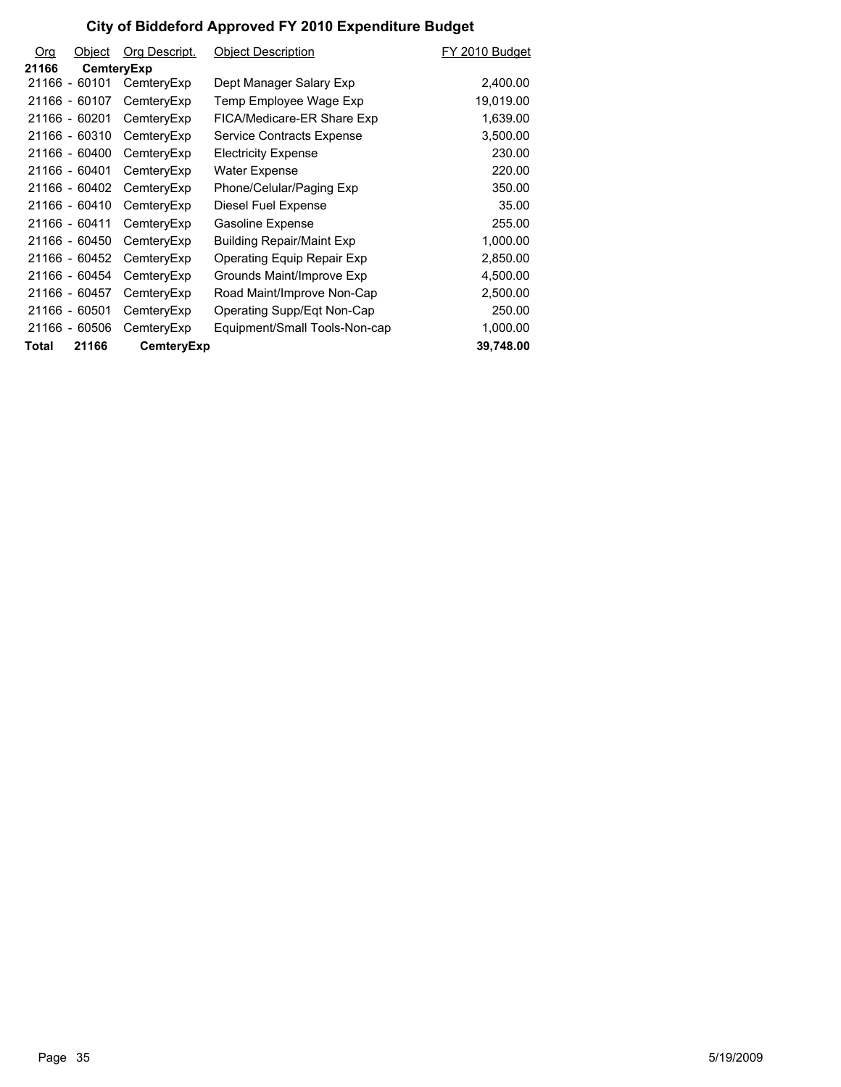| <b>Org</b> | Object        | Org Descript. | <b>Object Description</b>         | FY 2010 Budget |
|------------|---------------|---------------|-----------------------------------|----------------|
| 21166      | CemteryExp    |               |                                   |                |
|            | 21166 - 60101 | CemteryExp    | Dept Manager Salary Exp           | 2,400.00       |
|            | 21166 - 60107 | CemteryExp    | Temp Employee Wage Exp            | 19,019.00      |
|            | 21166 - 60201 | CemteryExp    | FICA/Medicare-ER Share Exp        | 1,639.00       |
|            | 21166 - 60310 | CemteryExp    | Service Contracts Expense         | 3,500.00       |
|            | 21166 - 60400 | CemteryExp    | <b>Electricity Expense</b>        | 230.00         |
|            | 21166 - 60401 | CemteryExp    | Water Expense                     | 220.00         |
|            | 21166 - 60402 | CemteryExp    | Phone/Celular/Paging Exp          | 350.00         |
|            | 21166 - 60410 | CemteryExp    | Diesel Fuel Expense               | 35.00          |
|            | 21166 - 60411 | CemteryExp    | <b>Gasoline Expense</b>           | 255.00         |
|            | 21166 - 60450 | CemteryExp    | <b>Building Repair/Maint Exp</b>  | 1,000.00       |
|            | 21166 - 60452 | CemteryExp    | <b>Operating Equip Repair Exp</b> | 2,850.00       |
|            | 21166 - 60454 | CemteryExp    | Grounds Maint/Improve Exp         | 4,500.00       |
|            | 21166 - 60457 | CemteryExp    | Road Maint/Improve Non-Cap        | 2,500.00       |
|            | 21166 - 60501 | CemteryExp    | Operating Supp/Eqt Non-Cap        | 250.00         |
|            | 21166 - 60506 | CemteryExp    | Equipment/Small Tools-Non-cap     | 1,000.00       |
| Total      | 21166         | CemteryExp    |                                   | 39,748.00      |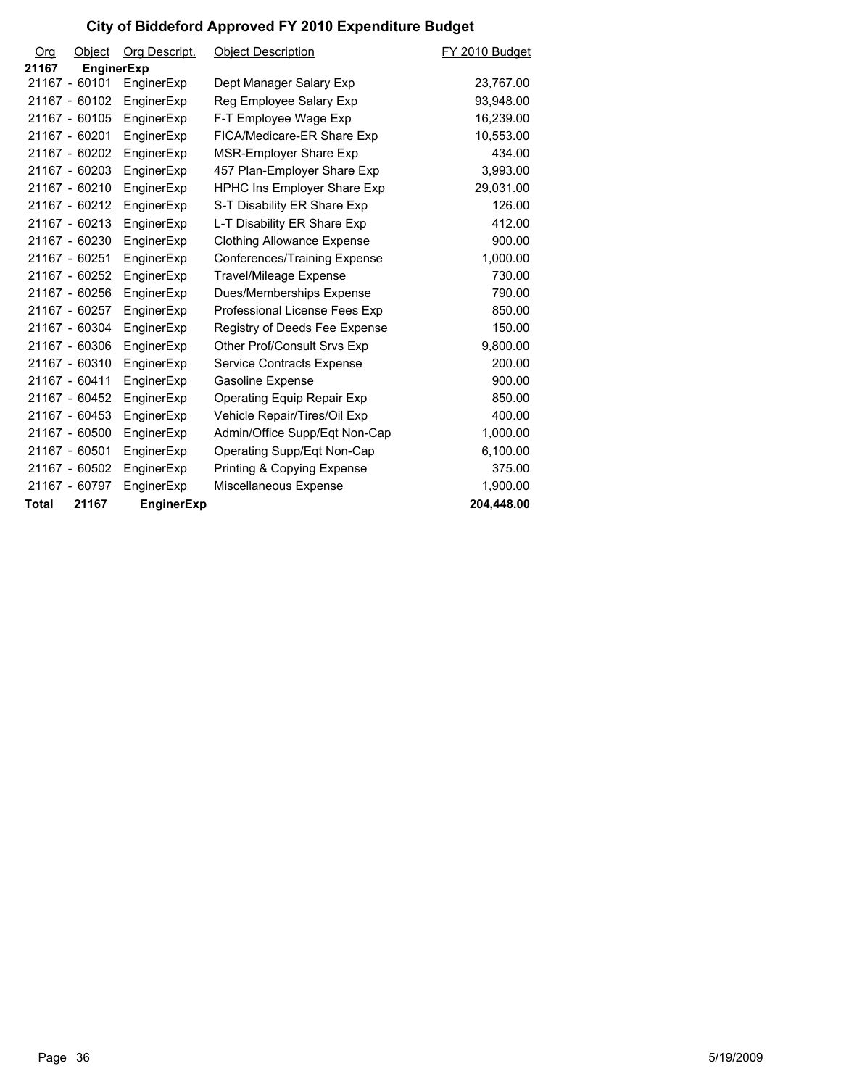| Org          | Object            | Org Descript.     | <b>Object Description</b>          | FY 2010 Budget |
|--------------|-------------------|-------------------|------------------------------------|----------------|
| 21167        | <b>EnginerExp</b> |                   |                                    |                |
|              | 21167 - 60101     | EnginerExp        | Dept Manager Salary Exp            | 23,767.00      |
|              | 21167 - 60102     | EnginerExp        | Reg Employee Salary Exp            | 93,948.00      |
|              | 21167 - 60105     | EnginerExp        | F-T Employee Wage Exp              | 16,239.00      |
|              | 21167 - 60201     | EnginerExp        | FICA/Medicare-ER Share Exp         | 10,553.00      |
|              | 21167 - 60202     | EnginerExp        | MSR-Employer Share Exp             | 434.00         |
|              | 21167 - 60203     | EnginerExp        | 457 Plan-Employer Share Exp        | 3,993.00       |
|              | 21167 - 60210     | EnginerExp        | <b>HPHC Ins Employer Share Exp</b> | 29,031.00      |
|              | 21167 - 60212     | EnginerExp        | S-T Disability ER Share Exp        | 126.00         |
|              | 21167 - 60213     | EnginerExp        | L-T Disability ER Share Exp        | 412.00         |
|              | 21167 - 60230     | EnginerExp        | <b>Clothing Allowance Expense</b>  | 900.00         |
|              | 21167 - 60251     | EnginerExp        | Conferences/Training Expense       | 1,000.00       |
|              | 21167 - 60252     | EnginerExp        | <b>Travel/Mileage Expense</b>      | 730.00         |
|              | 21167 - 60256     | EnginerExp        | Dues/Memberships Expense           | 790.00         |
|              | 21167 - 60257     | EnginerExp        | Professional License Fees Exp      | 850.00         |
|              | 21167 - 60304     | EnginerExp        | Registry of Deeds Fee Expense      | 150.00         |
|              | 21167 - 60306     | EnginerExp        | Other Prof/Consult Srvs Exp        | 9,800.00       |
|              | 21167 - 60310     | EnginerExp        | Service Contracts Expense          | 200.00         |
|              | 21167 - 60411     | EnginerExp        | <b>Gasoline Expense</b>            | 900.00         |
|              | 21167 - 60452     | EnginerExp        | Operating Equip Repair Exp         | 850.00         |
|              | 21167 - 60453     | EnginerExp        | Vehicle Repair/Tires/Oil Exp       | 400.00         |
|              | 21167 - 60500     | EnginerExp        | Admin/Office Supp/Eqt Non-Cap      | 1,000.00       |
|              | 21167 - 60501     | EnginerExp        | Operating Supp/Eqt Non-Cap         | 6,100.00       |
|              | 21167 - 60502     | EnginerExp        | Printing & Copying Expense         | 375.00         |
|              | 21167 - 60797     | EnginerExp        | Miscellaneous Expense              | 1,900.00       |
| <b>Total</b> | 21167             | <b>EnginerExp</b> |                                    | 204,448.00     |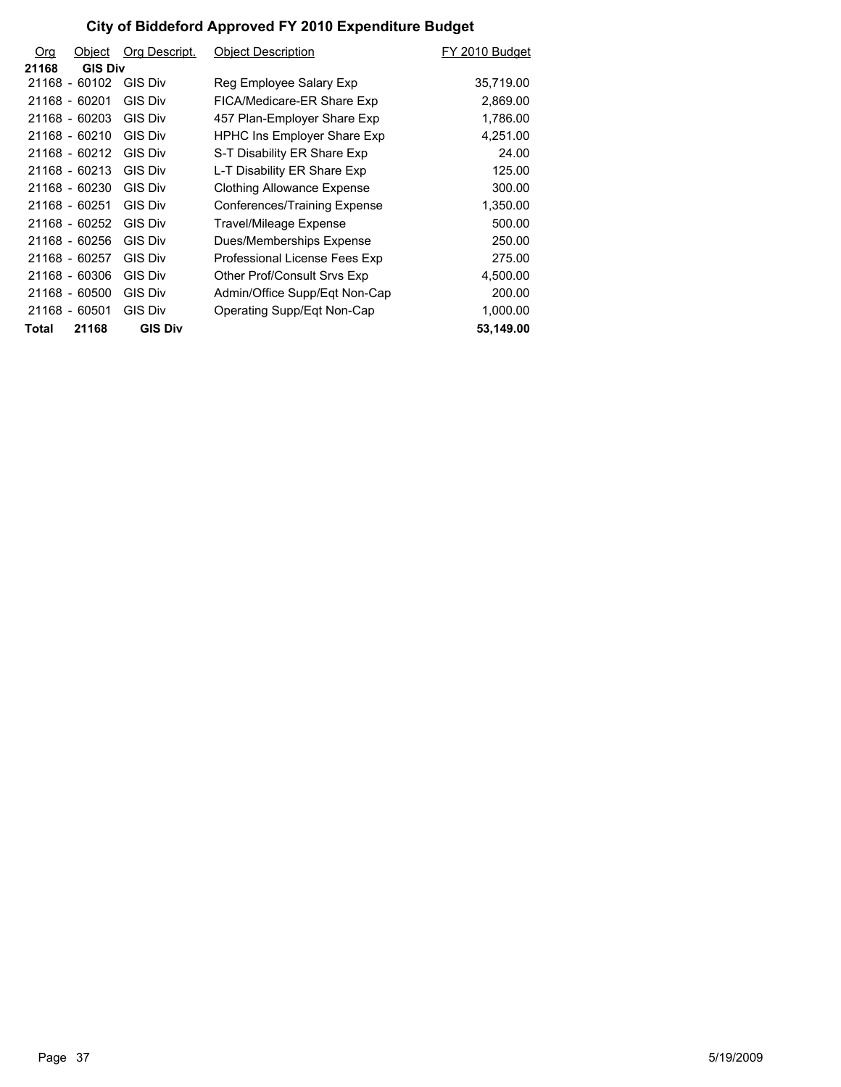| <b>Org</b> | Object         | Org Descript.  | <b>Object Description</b>          | FY 2010 Budget |
|------------|----------------|----------------|------------------------------------|----------------|
| 21168      | <b>GIS Div</b> |                |                                    |                |
|            | 21168 - 60102  | <b>GIS Div</b> | Reg Employee Salary Exp            | 35,719.00      |
|            | 21168 - 60201  | <b>GIS Div</b> | FICA/Medicare-ER Share Exp         | 2,869.00       |
|            | 21168 - 60203  | <b>GIS Div</b> | 457 Plan-Employer Share Exp        | 1,786.00       |
|            | 21168 - 60210  | GIS Div        | <b>HPHC Ins Employer Share Exp</b> | 4,251.00       |
|            | 21168 - 60212  | GIS Div        | S-T Disability ER Share Exp        | 24.00          |
|            | 21168 - 60213  | <b>GIS Div</b> | L-T Disability ER Share Exp        | 125.00         |
|            | 21168 - 60230  | GIS Div        | Clothing Allowance Expense         | 300.00         |
|            | 21168 - 60251  | <b>GIS Div</b> | Conferences/Training Expense       | 1,350.00       |
|            | 21168 - 60252  | <b>GIS Div</b> | Travel/Mileage Expense             | 500.00         |
|            | 21168 - 60256  | GIS Div        | Dues/Memberships Expense           | 250.00         |
|            | 21168 - 60257  | <b>GIS Div</b> | Professional License Fees Exp      | 275.00         |
|            | 21168 - 60306  | GIS Div        | Other Prof/Consult Srvs Exp        | 4,500.00       |
|            | 21168 - 60500  | <b>GIS Div</b> | Admin/Office Supp/Eqt Non-Cap      | 200.00         |
|            | 21168 - 60501  | <b>GIS Div</b> | Operating Supp/Eqt Non-Cap         | 1,000.00       |
| Total      | 21168          | <b>GIS Div</b> |                                    | 53,149.00      |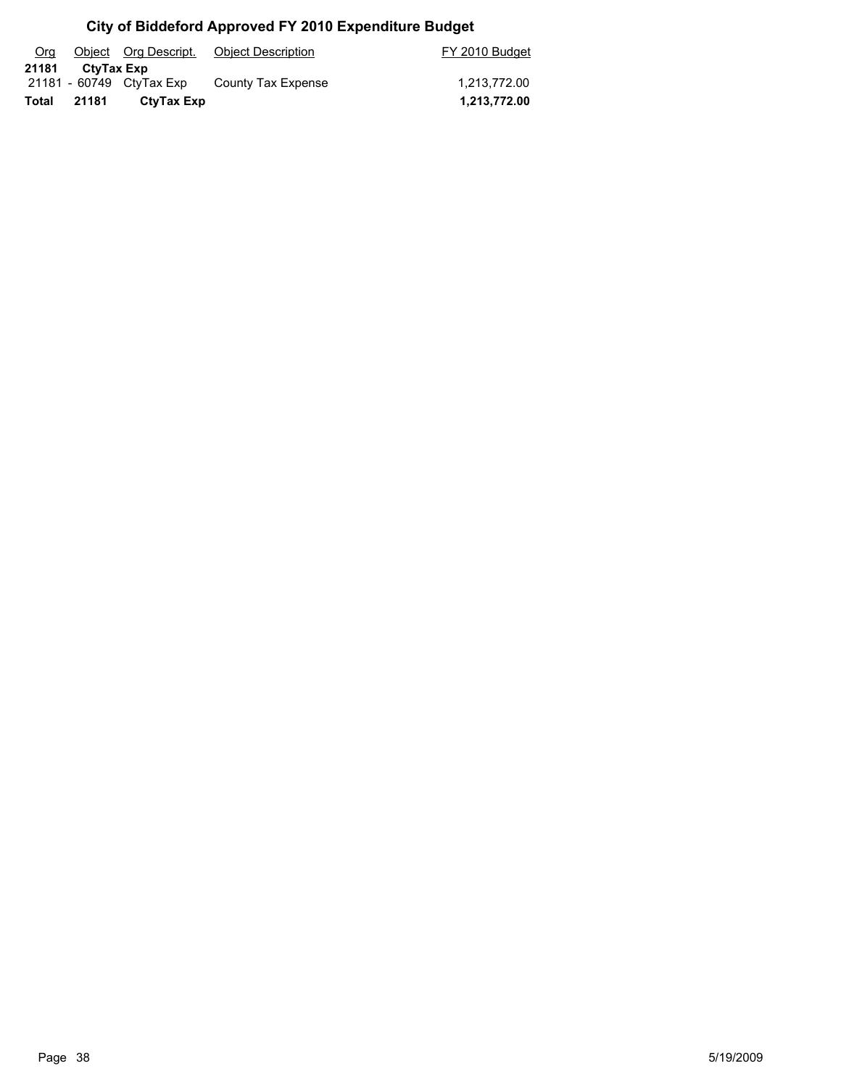| Org   |            |                          | Object Org Descript. Object Description | FY 2010 Budget |
|-------|------------|--------------------------|-----------------------------------------|----------------|
| 21181 | CtyTax Exp |                          |                                         |                |
|       |            | 21181 - 60749 CtyTax Exp | County Tax Expense                      | 1.213.772.00   |
| Total | 21181      | CtyTax Exp               |                                         | 1,213,772.00   |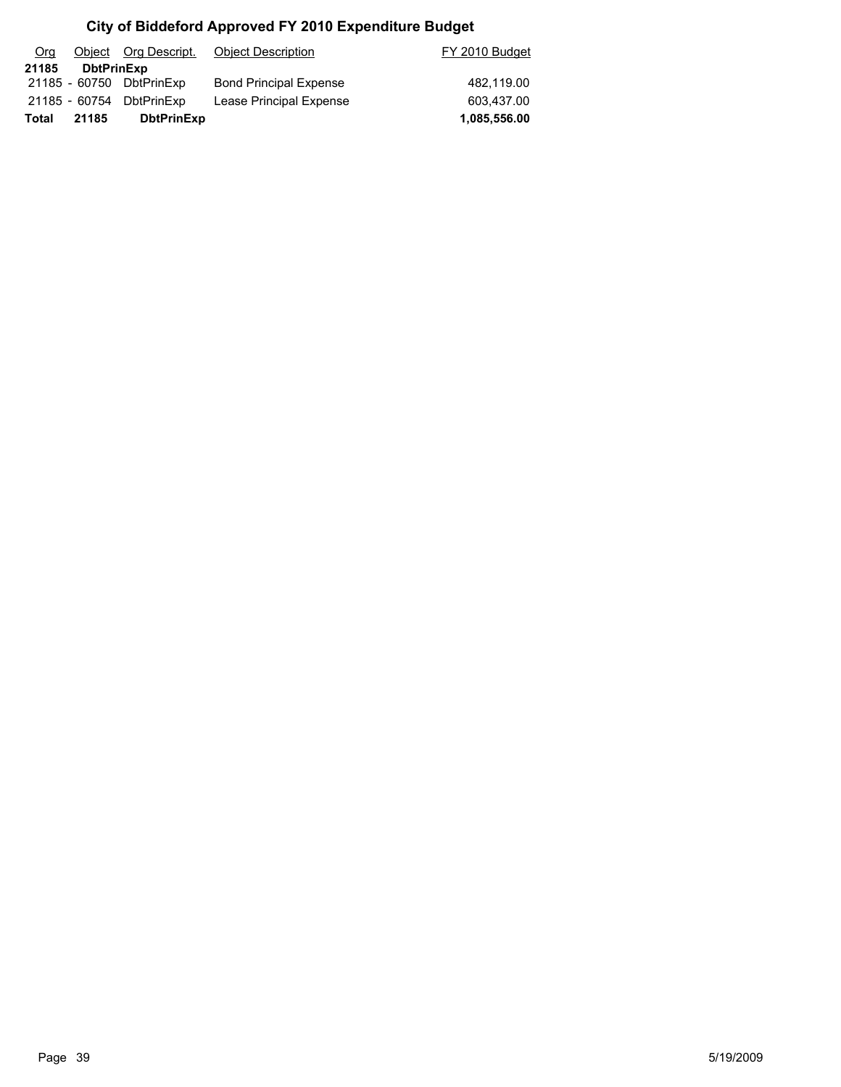| Org   |                   | Object Org Descript.     | <b>Object Description</b>     | FY 2010 Budget |
|-------|-------------------|--------------------------|-------------------------------|----------------|
| 21185 | <b>DbtPrinExp</b> |                          |                               |                |
|       |                   | 21185 - 60750 DbtPrinExp | <b>Bond Principal Expense</b> | 482.119.00     |
|       |                   | 21185 - 60754 DbtPrinExp | Lease Principal Expense       | 603.437.00     |
| Total | 21185             | <b>DbtPrinExp</b>        |                               | 1,085,556.00   |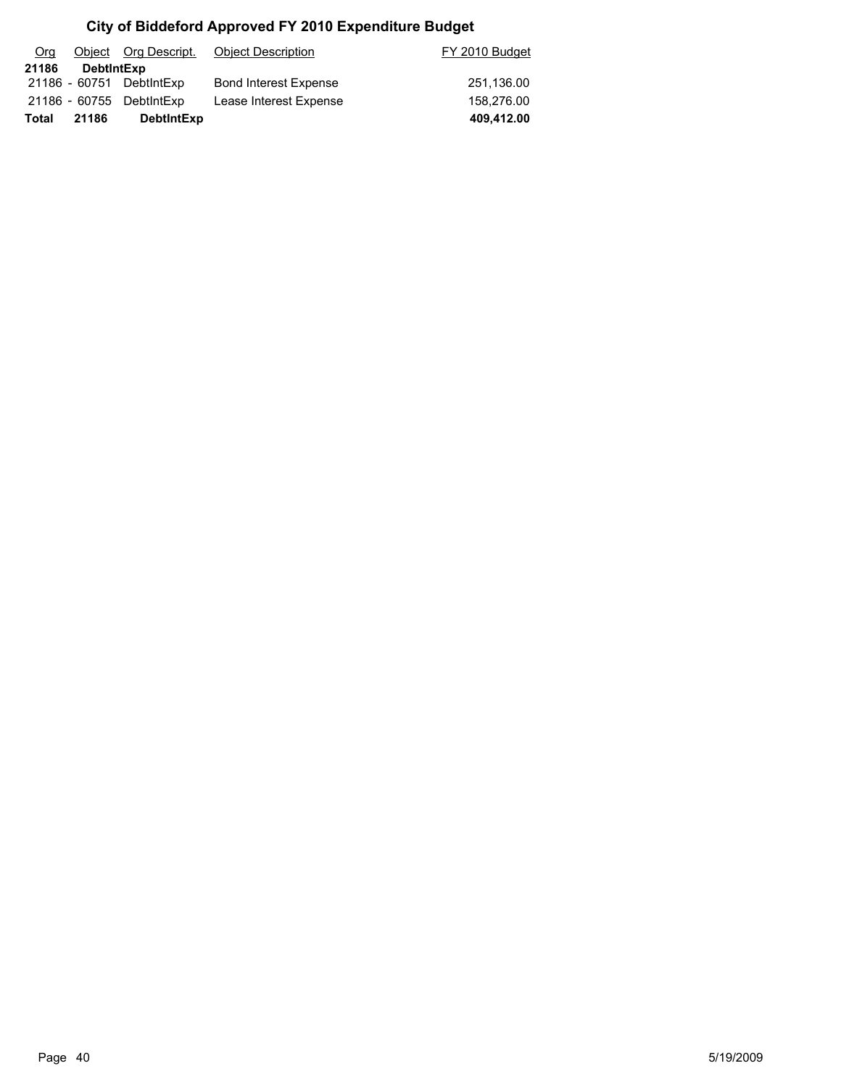| Org   |            | Object Org Descript.     | Object Description           | FY 2010 Budget |
|-------|------------|--------------------------|------------------------------|----------------|
| 21186 | DebtIntExp |                          |                              |                |
|       |            | 21186 - 60751 DebtintExp | <b>Bond Interest Expense</b> | 251,136.00     |
|       |            | 21186 - 60755 DebtlntExp | Lease Interest Expense       | 158.276.00     |
| Total | 21186      | <b>DebtIntExp</b>        |                              | 409,412.00     |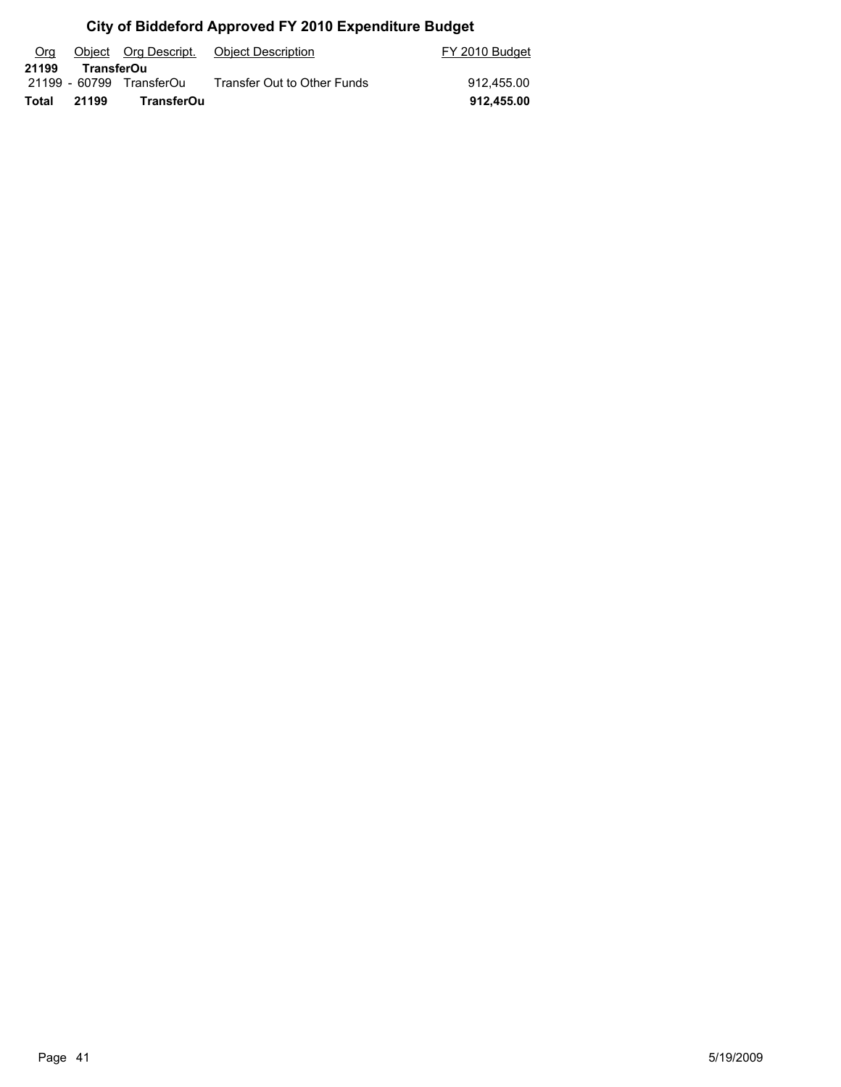| Org   |            | Object Org Descript.     | Object Description          | FY 2010 Budget |
|-------|------------|--------------------------|-----------------------------|----------------|
| 21199 | TransferOu |                          |                             |                |
|       |            | 21199 - 60799 TransferOu | Transfer Out to Other Funds | 912.455.00     |
| Total | 21199      | TransferOu               |                             | 912.455.00     |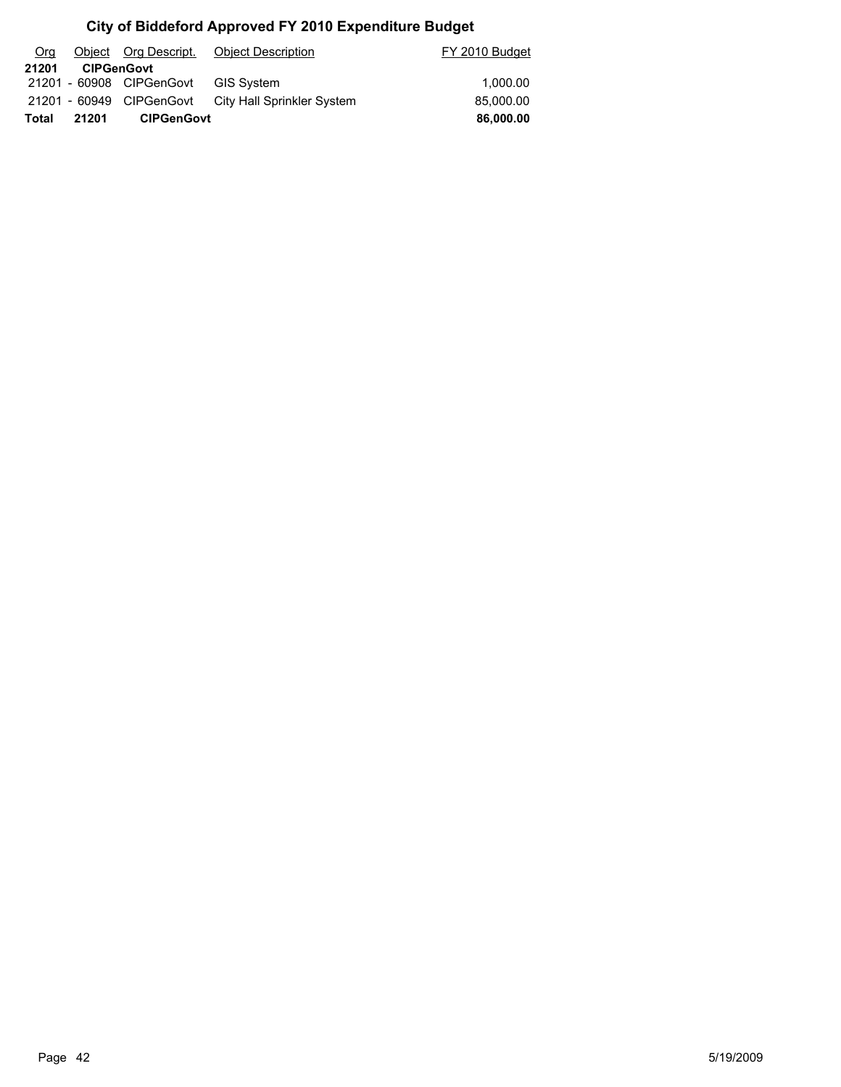| Org   |                   |                          | Object Org Descript. Object Description             | FY 2010 Budget |
|-------|-------------------|--------------------------|-----------------------------------------------------|----------------|
| 21201 | <b>CIPGenGovt</b> |                          |                                                     |                |
|       |                   | 21201 - 60908 CIPGenGovt | <b>GIS Svstem</b>                                   | 1.000.00       |
|       |                   |                          | 21201 - 60949 CIPGenGovt City Hall Sprinkler System | 85,000,00      |
| Total | 21201             | <b>CIPGenGovt</b>        |                                                     | 86,000,00      |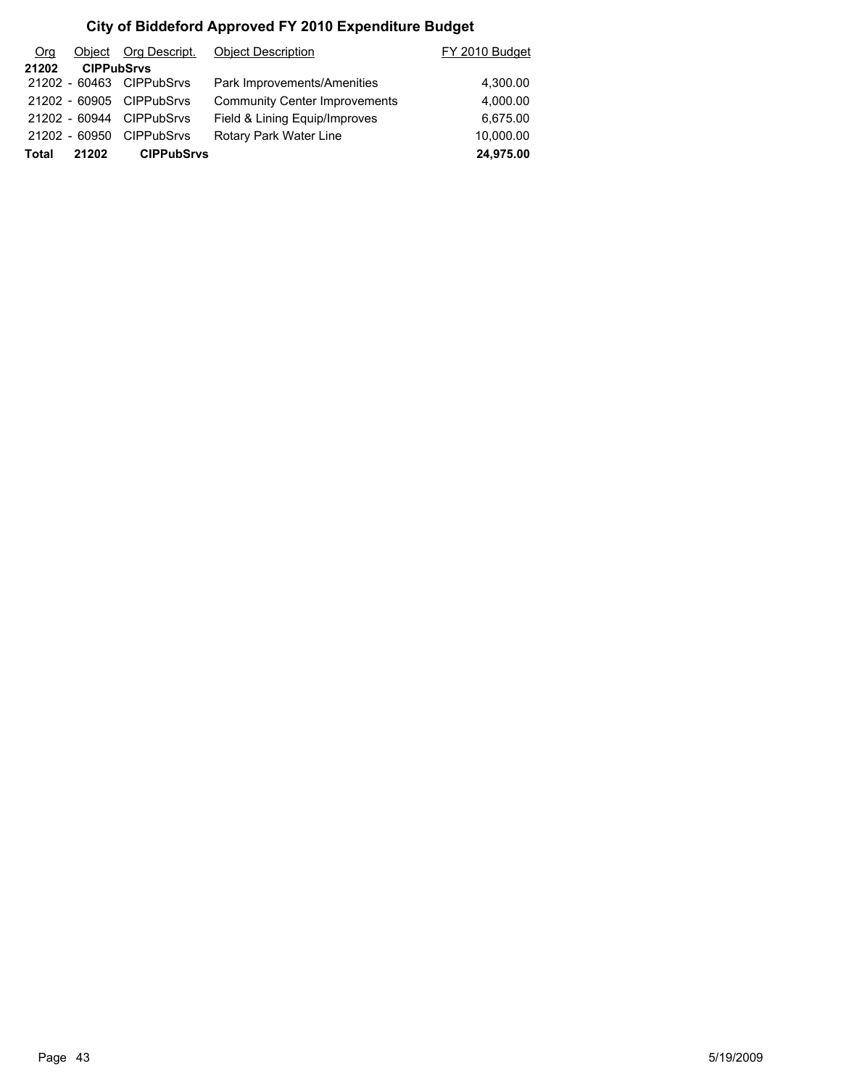| Total | 21202             | <b>CIPPubSrvs</b>        |                                      | 24,975.00      |
|-------|-------------------|--------------------------|--------------------------------------|----------------|
|       | 21202 - 60950     | <b>CIPPubSrvs</b>        | Rotary Park Water Line               | 10,000.00      |
|       | 21202 - 60944     | <b>CIPPubSrvs</b>        | Field & Lining Equip/Improves        | 6,675.00       |
|       |                   | 21202 - 60905 CIPPubSrvs | <b>Community Center Improvements</b> | 4,000.00       |
|       |                   | 21202 - 60463 CIPPubSrvs | Park Improvements/Amenities          | 4,300.00       |
| 21202 | <b>CIPPubSrvs</b> |                          |                                      |                |
| Org   | Object            | Org Descript.            | <b>Object Description</b>            | FY 2010 Budget |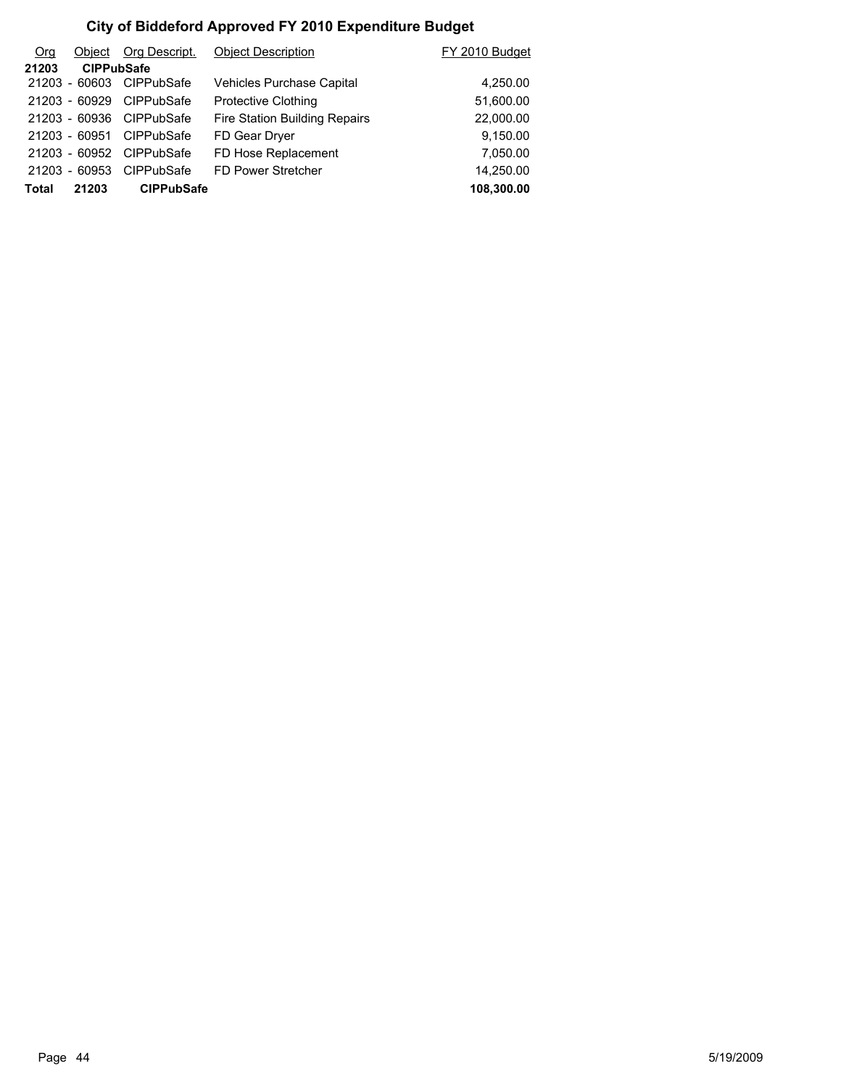| O <sub>rg</sub> | Obiect            | Org Descript.     | <b>Object Description</b>        | FY 2010 Budget |
|-----------------|-------------------|-------------------|----------------------------------|----------------|
| 21203           | <b>CIPPubSafe</b> |                   |                                  |                |
|                 | 21203 - 60603     | CIPPubSafe        | <b>Vehicles Purchase Capital</b> | 4,250.00       |
|                 | 21203 - 60929     | <b>CIPPubSafe</b> | <b>Protective Clothing</b>       | 51,600.00      |
|                 | 21203 - 60936     | CIPPubSafe        | Fire Station Building Repairs    | 22,000.00      |
|                 | 21203 - 60951     | <b>CIPPubSafe</b> | FD Gear Dryer                    | 9,150.00       |
|                 | 21203 - 60952     | <b>CIPPubSafe</b> | FD Hose Replacement              | 7,050.00       |
|                 | 21203 - 60953     | <b>CIPPubSafe</b> | FD Power Stretcher               | 14,250.00      |
| Total           | 21203             | <b>CIPPubSafe</b> |                                  | 108,300.00     |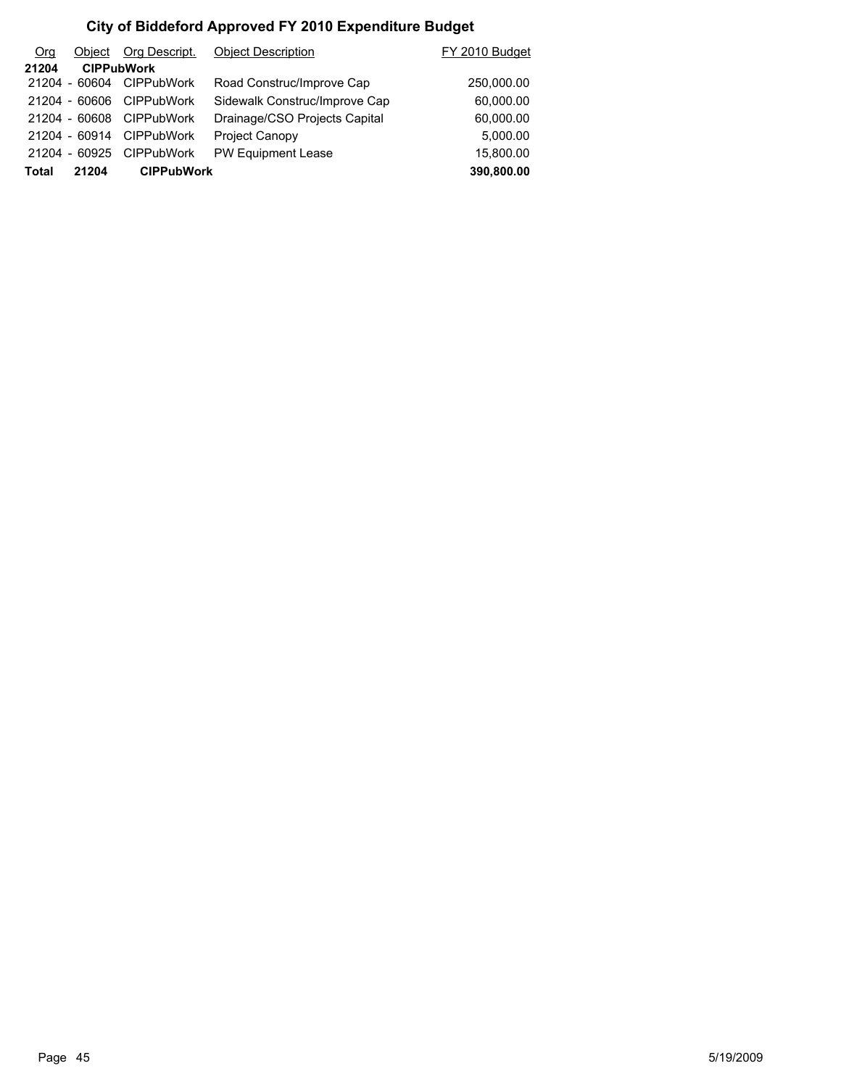| O <sub>rg</sub> | Object        | Org Descript.     | <b>Object Description</b>     | FY 2010 Budget |
|-----------------|---------------|-------------------|-------------------------------|----------------|
| 21204           |               | <b>CIPPubWork</b> |                               |                |
|                 | 21204 - 60604 | <b>CIPPubWork</b> | Road Construc/Improve Cap     | 250,000.00     |
|                 | 21204 - 60606 | <b>CIPPubWork</b> | Sidewalk Construc/Improve Cap | 60,000.00      |
|                 | 21204 - 60608 | <b>CIPPubWork</b> | Drainage/CSO Projects Capital | 60,000.00      |
|                 | 21204 - 60914 | <b>CIPPubWork</b> | <b>Project Canopy</b>         | 5,000.00       |
|                 | 21204 - 60925 | <b>CIPPubWork</b> | <b>PW Equipment Lease</b>     | 15,800.00      |
| <b>Total</b>    | 21204         | <b>CIPPubWork</b> |                               | 390,800.00     |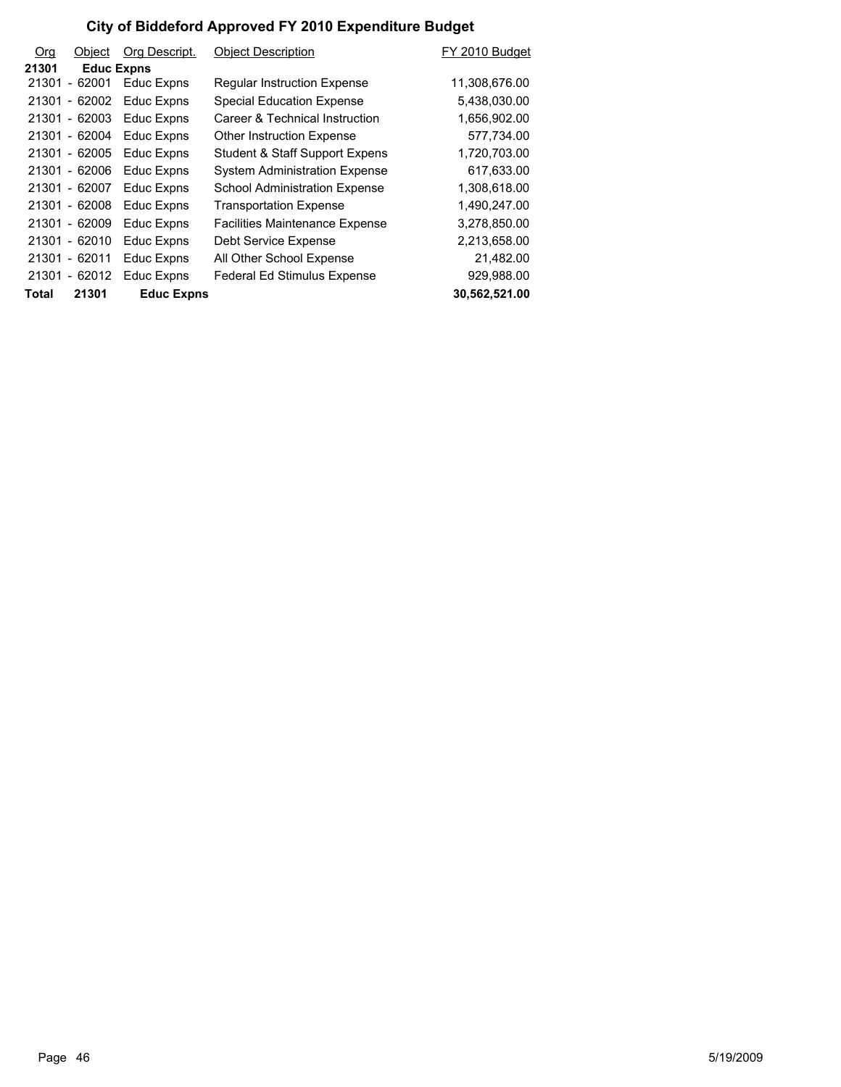| Org   | Object            | Org Descript.     | <b>Object Description</b>             | FY 2010 Budget |
|-------|-------------------|-------------------|---------------------------------------|----------------|
| 21301 | <b>Educ Expns</b> |                   |                                       |                |
|       | 21301 - 62001     | Educ Expns        | <b>Regular Instruction Expense</b>    | 11,308,676.00  |
|       | 21301 - 62002     | Educ Expns        | <b>Special Education Expense</b>      | 5,438,030.00   |
|       | 21301 - 62003     | Educ Expns        | Career & Technical Instruction        | 1,656,902.00   |
|       | 21301 - 62004     | Educ Expns        | <b>Other Instruction Expense</b>      | 577,734.00     |
|       | 21301 - 62005     | Educ Expns        | Student & Staff Support Expens        | 1,720,703.00   |
|       | 21301 - 62006     | Educ Expns        | <b>System Administration Expense</b>  | 617,633.00     |
|       | 21301 - 62007     | Educ Expns        | <b>School Administration Expense</b>  | 1,308,618.00   |
|       | 21301 - 62008     | Educ Expns        | <b>Transportation Expense</b>         | 1,490,247.00   |
|       | 21301 - 62009     | Educ Expns        | <b>Facilities Maintenance Expense</b> | 3,278,850.00   |
|       | 21301 - 62010     | Educ Expns        | Debt Service Expense                  | 2,213,658.00   |
|       | 21301 - 62011     | Educ Expns        | All Other School Expense              | 21,482.00      |
|       | 21301 - 62012     | Educ Expns        | <b>Federal Ed Stimulus Expense</b>    | 929,988.00     |
| Total | 21301             | <b>Educ Expns</b> |                                       | 30,562,521.00  |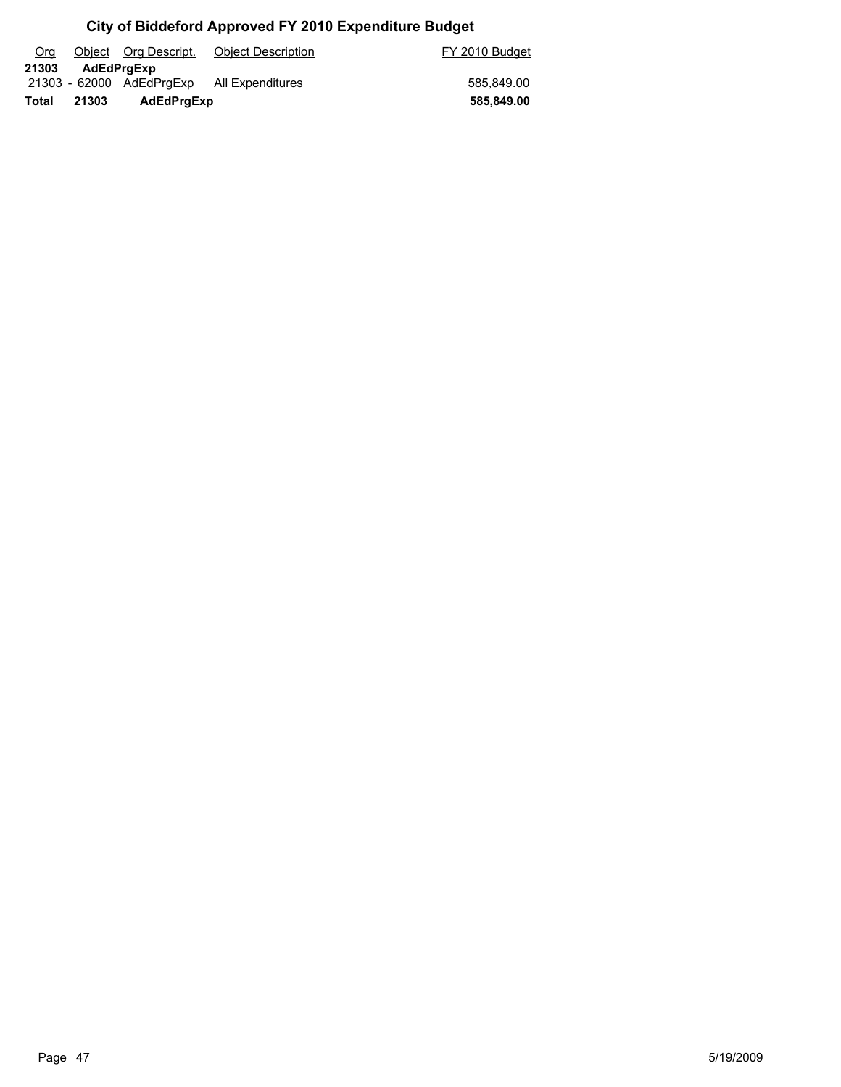| Org   |       | Object Org Descript.     | <b>Object Description</b> | FY 2010 Budget |
|-------|-------|--------------------------|---------------------------|----------------|
| 21303 |       | <b>AdEdPraExp</b>        |                           |                |
|       |       | 21303 - 62000 AdEdPrgExp | All Expenditures          | 585.849.00     |
| Total | 21303 | AdEdPrgExp               |                           | 585,849.00     |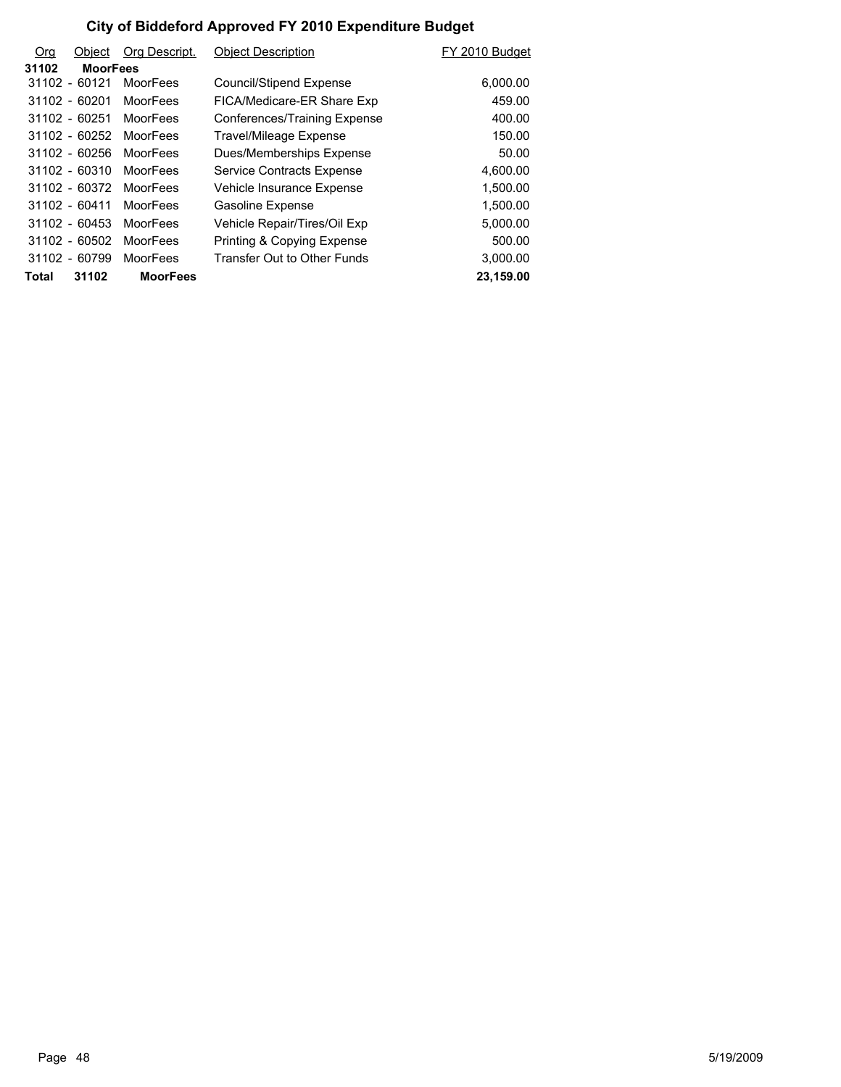| <b>Org</b> | Object          | Org Descript.   | <b>Object Description</b>             | FY 2010 Budget |
|------------|-----------------|-----------------|---------------------------------------|----------------|
| 31102      | <b>MoorFees</b> |                 |                                       |                |
|            | 31102 - 60121   | MoorFees        | Council/Stipend Expense               | 6,000.00       |
|            | 31102 - 60201   | <b>MoorFees</b> | FICA/Medicare-ER Share Exp            | 459.00         |
|            | $31102 - 60251$ | <b>MoorFees</b> | Conferences/Training Expense          | 400.00         |
|            | 31102 - 60252   | <b>MoorFees</b> | Travel/Mileage Expense                | 150.00         |
|            | $31102 - 60256$ | MoorFees        | Dues/Memberships Expense              | 50.00          |
|            | $31102 - 60310$ | <b>MoorFees</b> | Service Contracts Expense             | 4,600.00       |
|            | 31102 - 60372   | <b>MoorFees</b> | Vehicle Insurance Expense             | 1,500.00       |
|            | 31102 - 60411   | <b>MoorFees</b> | Gasoline Expense                      | 1.500.00       |
|            | $31102 - 60453$ | <b>MoorFees</b> | Vehicle Repair/Tires/Oil Exp          | 5,000.00       |
|            | $31102 - 60502$ | <b>MoorFees</b> | <b>Printing &amp; Copying Expense</b> | 500.00         |
|            | 31102 - 60799   | <b>MoorFees</b> | Transfer Out to Other Funds           | 3,000.00       |
| Total      | 31102           | <b>MoorFees</b> |                                       | 23,159.00      |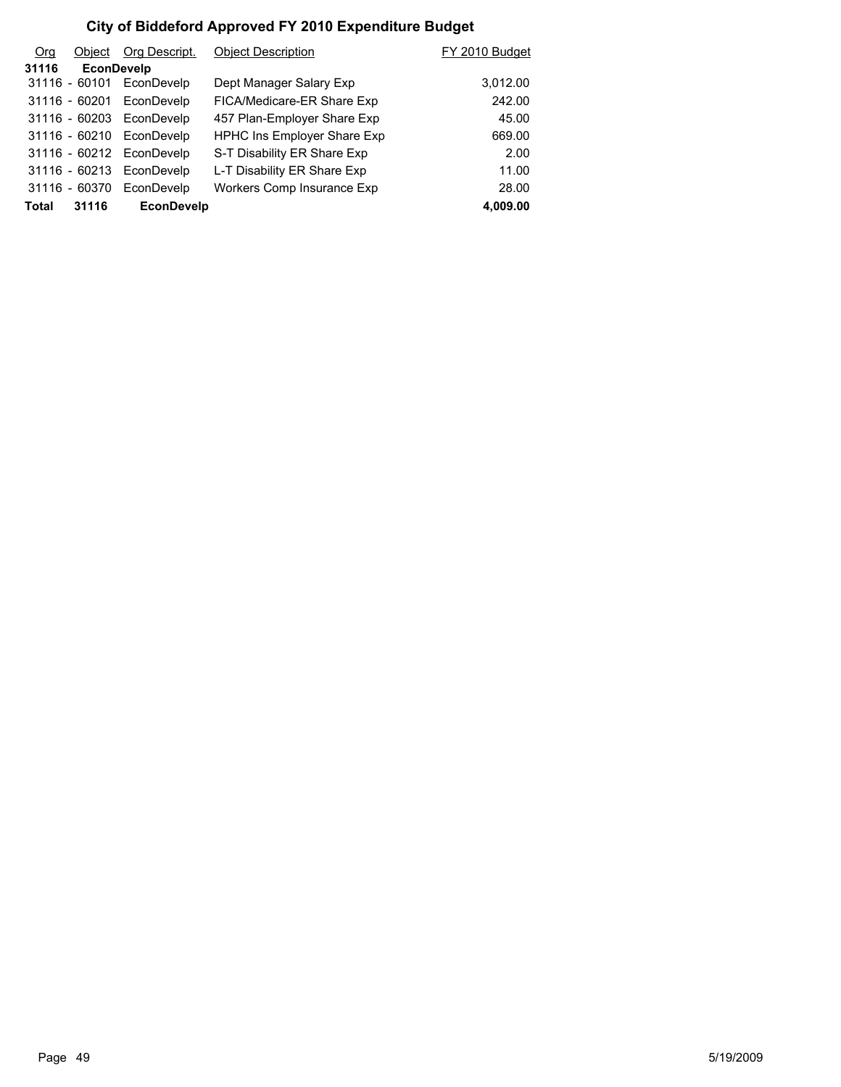| <b>Org</b>   | Object            | Org Descript.            | <b>Object Description</b>          | FY 2010 Budget |
|--------------|-------------------|--------------------------|------------------------------------|----------------|
| 31116        | <b>EconDevelp</b> |                          |                                    |                |
|              | $31116 - 60101$   | EconDevelp               | Dept Manager Salary Exp            | 3,012.00       |
|              | 31116 - 60201     | EconDevelp               | FICA/Medicare-ER Share Exp         | 242.00         |
|              | 31116 - 60203     | EconDevelp               | 457 Plan-Employer Share Exp        | 45.00          |
|              | 31116 - 60210     | EconDevelp               | <b>HPHC Ins Employer Share Exp</b> | 669.00         |
|              |                   | 31116 - 60212 EconDevelp | S-T Disability ER Share Exp        | 2.00           |
|              | 31116 - 60213     | EconDevelp               | L-T Disability ER Share Exp        | 11.00          |
|              | 31116 - 60370     | EconDevelp               | Workers Comp Insurance Exp         | 28.00          |
| <b>Total</b> | 31116             | <b>EconDevelp</b>        |                                    | 4.009.00       |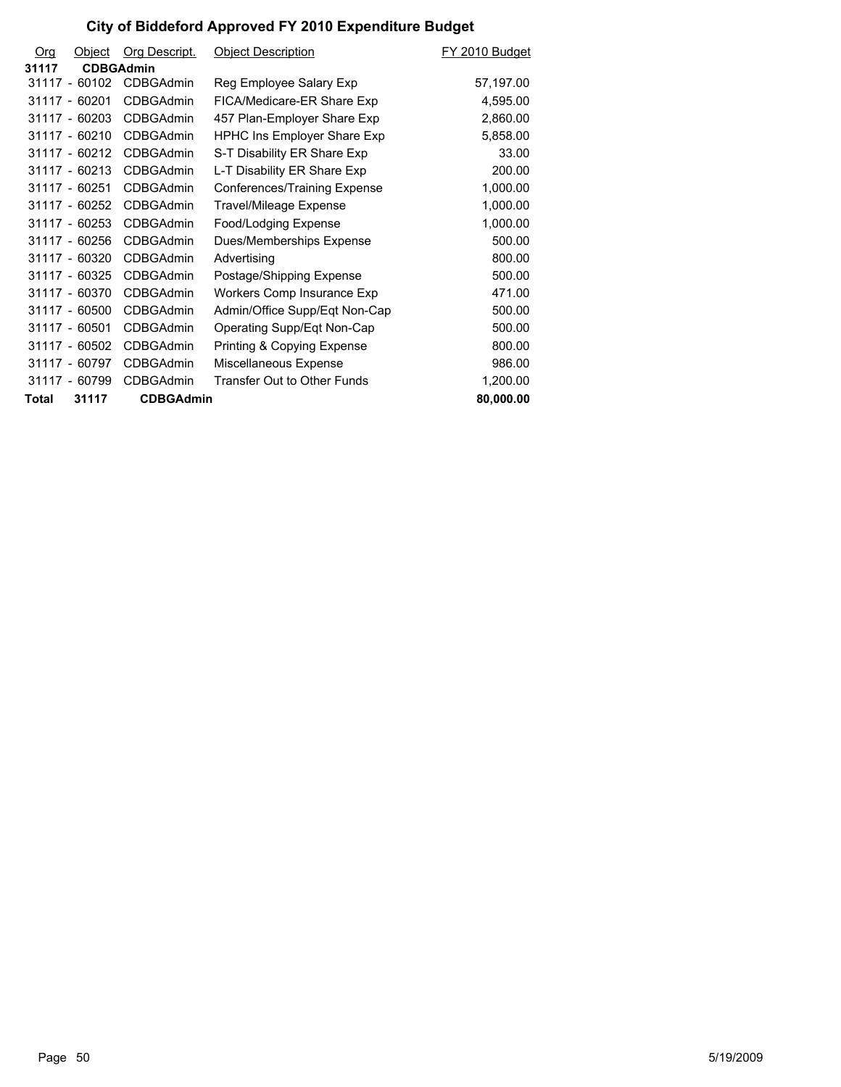| Org   | Object           | Org Descript.    | <b>Object Description</b>          | FY 2010 Budget |
|-------|------------------|------------------|------------------------------------|----------------|
| 31117 | <b>CDBGAdmin</b> |                  |                                    |                |
|       | 31117 - 60102    | <b>CDBGAdmin</b> | Reg Employee Salary Exp            | 57,197.00      |
|       | 31117 - 60201    | <b>CDBGAdmin</b> | FICA/Medicare-ER Share Exp         | 4,595.00       |
|       | 31117 - 60203    | <b>CDBGAdmin</b> | 457 Plan-Employer Share Exp        | 2,860.00       |
|       | 31117 - 60210    | <b>CDBGAdmin</b> | <b>HPHC Ins Employer Share Exp</b> | 5,858.00       |
|       | 31117 - 60212    | <b>CDBGAdmin</b> | S-T Disability ER Share Exp        | 33.00          |
|       | 31117 - 60213    | <b>CDBGAdmin</b> | L-T Disability ER Share Exp        | 200.00         |
|       | 31117 - 60251    | <b>CDBGAdmin</b> | Conferences/Training Expense       | 1,000.00       |
|       | 31117 - 60252    | <b>CDBGAdmin</b> | Travel/Mileage Expense             | 1,000.00       |
|       | 31117 - 60253    | <b>CDBGAdmin</b> | Food/Lodging Expense               | 1,000.00       |
|       | 31117 - 60256    | <b>CDBGAdmin</b> | Dues/Memberships Expense           | 500.00         |
|       | $31117 - 60320$  | <b>CDBGAdmin</b> | Advertising                        | 800.00         |
|       | 31117 - 60325    | <b>CDBGAdmin</b> | Postage/Shipping Expense           | 500.00         |
|       | 31117 - 60370    | <b>CDBGAdmin</b> | Workers Comp Insurance Exp         | 471.00         |
|       | 31117 - 60500    | <b>CDBGAdmin</b> | Admin/Office Supp/Eqt Non-Cap      | 500.00         |
|       | 31117 - 60501    | <b>CDBGAdmin</b> | Operating Supp/Eqt Non-Cap         | 500.00         |
|       | 31117 - 60502    | <b>CDBGAdmin</b> | Printing & Copying Expense         | 800.00         |
|       | 31117 - 60797    | <b>CDBGAdmin</b> | Miscellaneous Expense              | 986.00         |
|       | 31117 - 60799    | <b>CDBGAdmin</b> | Transfer Out to Other Funds        | 1,200.00       |
| Total | 31117            | <b>CDBGAdmin</b> |                                    | 80,000.00      |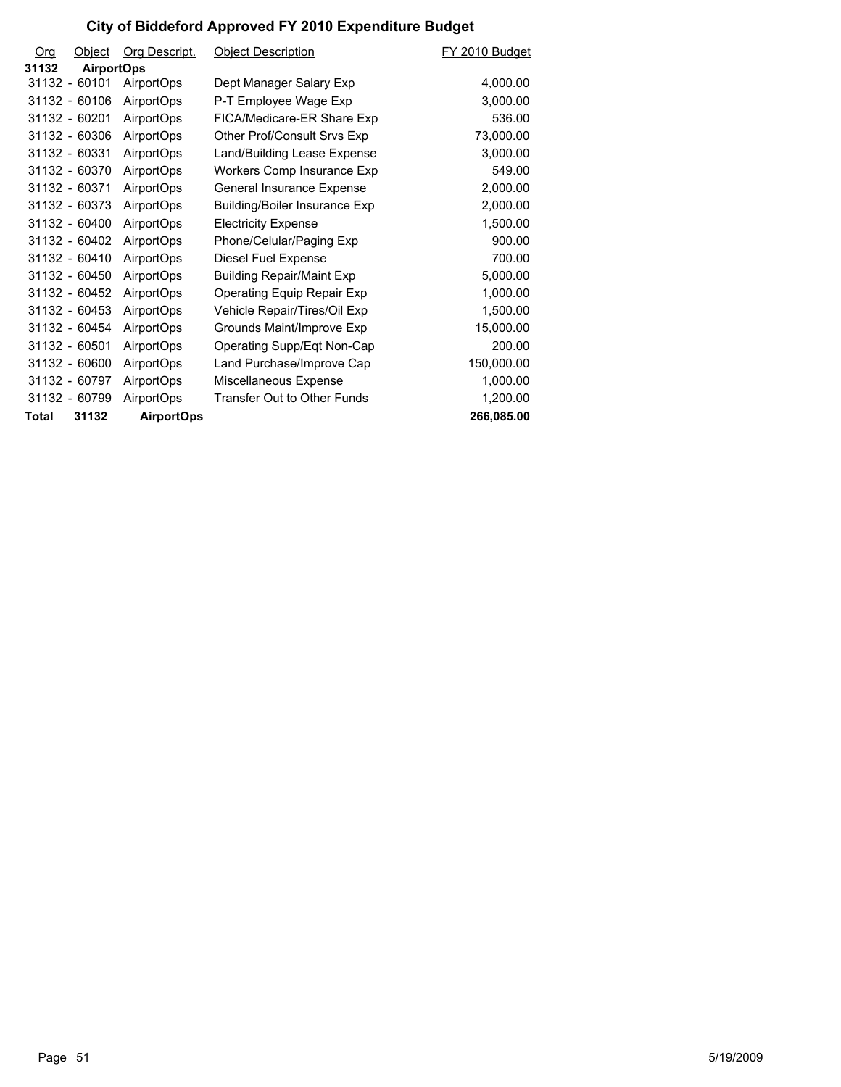| Org   | Object            | Org Descript.     | <b>Object Description</b>            | FY 2010 Budget |
|-------|-------------------|-------------------|--------------------------------------|----------------|
| 31132 | <b>AirportOps</b> |                   |                                      |                |
|       | 31132 - 60101     | <b>AirportOps</b> | Dept Manager Salary Exp              | 4,000.00       |
|       | 31132 - 60106     | <b>AirportOps</b> | P-T Employee Wage Exp                | 3,000.00       |
|       | 31132 - 60201     | AirportOps        | FICA/Medicare-ER Share Exp           | 536.00         |
|       | 31132 - 60306     | <b>AirportOps</b> | Other Prof/Consult Srvs Exp          | 73,000.00      |
|       | 31132 - 60331     | <b>AirportOps</b> | Land/Building Lease Expense          | 3,000.00       |
|       | 31132 - 60370     | <b>AirportOps</b> | Workers Comp Insurance Exp           | 549.00         |
|       | 31132 - 60371     | <b>AirportOps</b> | General Insurance Expense            | 2,000.00       |
|       | 31132 - 60373     | AirportOps        | <b>Building/Boiler Insurance Exp</b> | 2,000.00       |
|       | 31132 - 60400     | <b>AirportOps</b> | <b>Electricity Expense</b>           | 1,500.00       |
|       | 31132 - 60402     | AirportOps        | Phone/Celular/Paging Exp             | 900.00         |
|       | 31132 - 60410     | AirportOps        | Diesel Fuel Expense                  | 700.00         |
|       | 31132 - 60450     | <b>AirportOps</b> | <b>Building Repair/Maint Exp</b>     | 5,000.00       |
|       | 31132 - 60452     | AirportOps        | Operating Equip Repair Exp           | 1,000.00       |
|       | 31132 - 60453     | AirportOps        | Vehicle Repair/Tires/Oil Exp         | 1,500.00       |
|       | 31132 - 60454     | <b>AirportOps</b> | Grounds Maint/Improve Exp            | 15,000.00      |
|       | 31132 - 60501     | AirportOps        | Operating Supp/Eqt Non-Cap           | 200.00         |
|       | 31132 - 60600     | <b>AirportOps</b> | Land Purchase/Improve Cap            | 150,000.00     |
|       | 31132 - 60797     | <b>AirportOps</b> | Miscellaneous Expense                | 1,000.00       |
|       | 31132 - 60799     | <b>AirportOps</b> | Transfer Out to Other Funds          | 1,200.00       |
| Total | 31132             | <b>AirportOps</b> |                                      | 266,085.00     |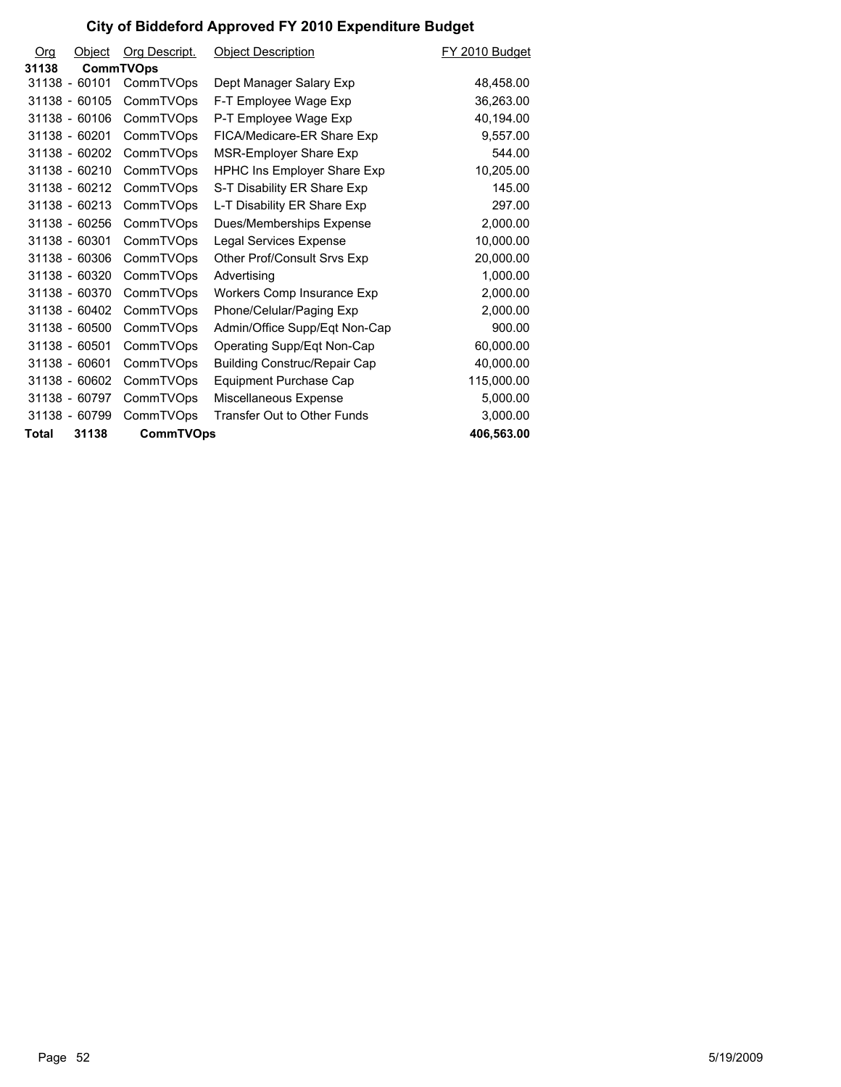| O <sub>rg</sub> | Object          | Org Descript.    | <b>Object Description</b>           | FY 2010 Budget |
|-----------------|-----------------|------------------|-------------------------------------|----------------|
| 31138           |                 | <b>CommTVOps</b> |                                     |                |
|                 | 31138 - 60101   | CommTVOps        | Dept Manager Salary Exp             | 48,458.00      |
|                 | 31138 - 60105   | CommTVOps        | F-T Employee Wage Exp               | 36,263.00      |
|                 | 31138 - 60106   | CommTVOps        | P-T Employee Wage Exp               | 40,194.00      |
|                 | 31138 - 60201   | CommTVOps        | FICA/Medicare-ER Share Exp          | 9,557.00       |
|                 | 31138 - 60202   | CommTVOps        | MSR-Employer Share Exp              | 544.00         |
|                 | $31138 - 60210$ | CommTVOps        | <b>HPHC Ins Employer Share Exp</b>  | 10,205.00      |
|                 | 31138 - 60212   | CommTVOps        | S-T Disability ER Share Exp         | 145.00         |
|                 | 31138 - 60213   | CommTVOps        | L-T Disability ER Share Exp         | 297.00         |
|                 | 31138 - 60256   | CommTVOps        | Dues/Memberships Expense            | 2,000.00       |
|                 | 31138 - 60301   | CommTVOps        | Legal Services Expense              | 10,000.00      |
|                 | 31138 - 60306   | CommTVOps        | Other Prof/Consult Srvs Exp         | 20,000.00      |
|                 | 31138 - 60320   | CommTVOps        | Advertising                         | 1,000.00       |
|                 | 31138 - 60370   | CommTVOps        | Workers Comp Insurance Exp          | 2,000.00       |
|                 | 31138 - 60402   | CommTVOps        | Phone/Celular/Paging Exp            | 2,000.00       |
|                 | 31138 - 60500   | CommTVOps        | Admin/Office Supp/Eqt Non-Cap       | 900.00         |
|                 | 31138 - 60501   | CommTVOps        | Operating Supp/Eqt Non-Cap          | 60,000.00      |
|                 | 31138 - 60601   | CommTVOps        | <b>Building Construc/Repair Cap</b> | 40,000.00      |
|                 | 31138 - 60602   | CommTVOps        | Equipment Purchase Cap              | 115,000.00     |
|                 | 31138 - 60797   | CommTVOps        | Miscellaneous Expense               | 5,000.00       |
|                 | 31138 - 60799   | CommTVOps        | Transfer Out to Other Funds         | 3,000.00       |
| Total           | 31138           | <b>CommTVOps</b> |                                     | 406,563.00     |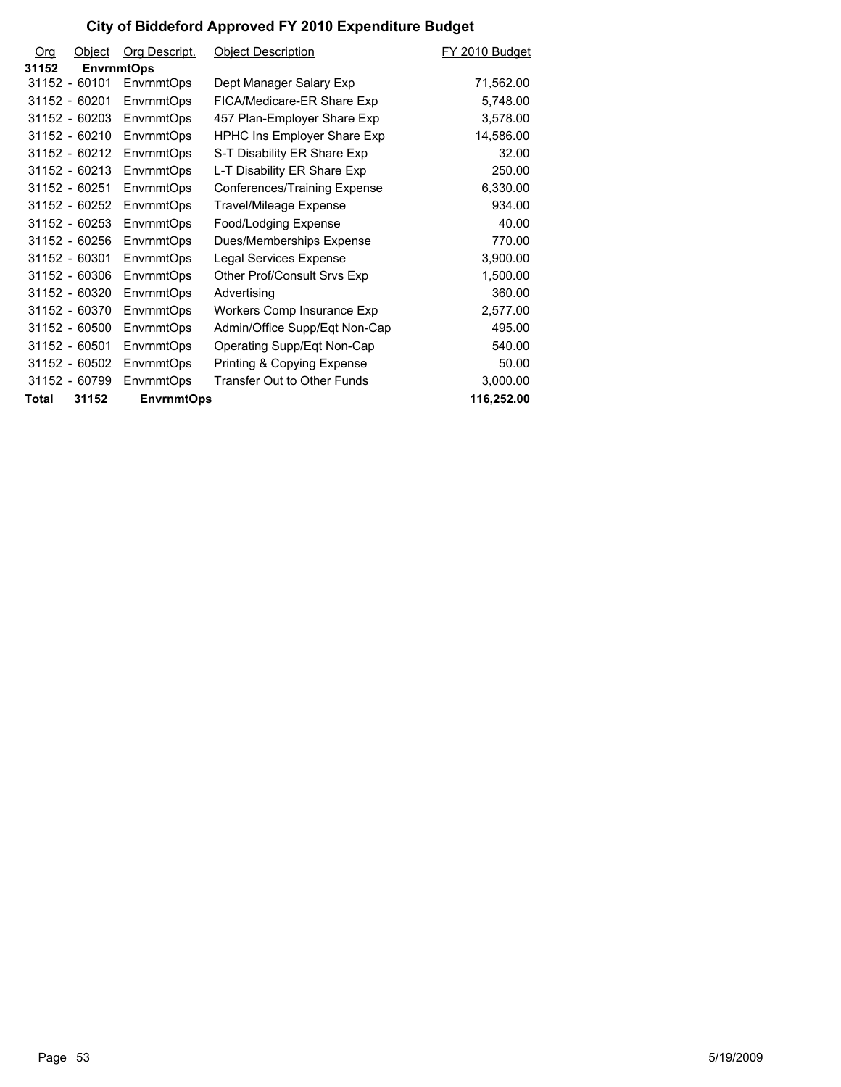| <b>Org</b> | Object            | Org Descript.     | <b>Object Description</b>          | FY 2010 Budget |
|------------|-------------------|-------------------|------------------------------------|----------------|
| 31152      | <b>EnvrnmtOps</b> |                   |                                    |                |
|            | 31152 - 60101     | <b>EnvrnmtOps</b> | Dept Manager Salary Exp            | 71,562.00      |
|            | 31152 - 60201     | EnvrnmtOps        | FICA/Medicare-ER Share Exp         | 5,748.00       |
|            | 31152 - 60203     | EnvrnmtOps        | 457 Plan-Employer Share Exp        | 3,578.00       |
|            | 31152 - 60210     | EnvrnmtOps        | <b>HPHC Ins Employer Share Exp</b> | 14,586.00      |
|            | 31152 - 60212     | EnvrnmtOps        | S-T Disability ER Share Exp        | 32.00          |
|            | 31152 - 60213     | EnvrnmtOps        | L-T Disability ER Share Exp        | 250.00         |
|            | 31152 - 60251     | EnvrnmtOps        | Conferences/Training Expense       | 6,330.00       |
|            | 31152 - 60252     | EnvrnmtOps        | Travel/Mileage Expense             | 934.00         |
|            | 31152 - 60253     | <b>EnvrnmtOps</b> | Food/Lodging Expense               | 40.00          |
|            | 31152 - 60256     | EnvrnmtOps        | Dues/Memberships Expense           | 770.00         |
|            | 31152 - 60301     | EnvrnmtOps        | Legal Services Expense             | 3,900.00       |
|            | 31152 - 60306     | EnvrnmtOps        | Other Prof/Consult Srvs Exp        | 1,500.00       |
|            | 31152 - 60320     | <b>EnvrnmtOps</b> | Advertising                        | 360.00         |
|            | 31152 - 60370     | <b>EnvrnmtOps</b> | Workers Comp Insurance Exp         | 2,577.00       |
|            | 31152 - 60500     | EnvrnmtOps        | Admin/Office Supp/Eqt Non-Cap      | 495.00         |
|            | 31152 - 60501     | EnvrnmtOps        | Operating Supp/Eqt Non-Cap         | 540.00         |
|            | 31152 - 60502     | EnvrnmtOps        | Printing & Copying Expense         | 50.00          |
|            | 31152 - 60799     | <b>EnvrnmtOps</b> | Transfer Out to Other Funds        | 3,000.00       |
| Total      | 31152             | <b>EnvrnmtOps</b> |                                    | 116,252.00     |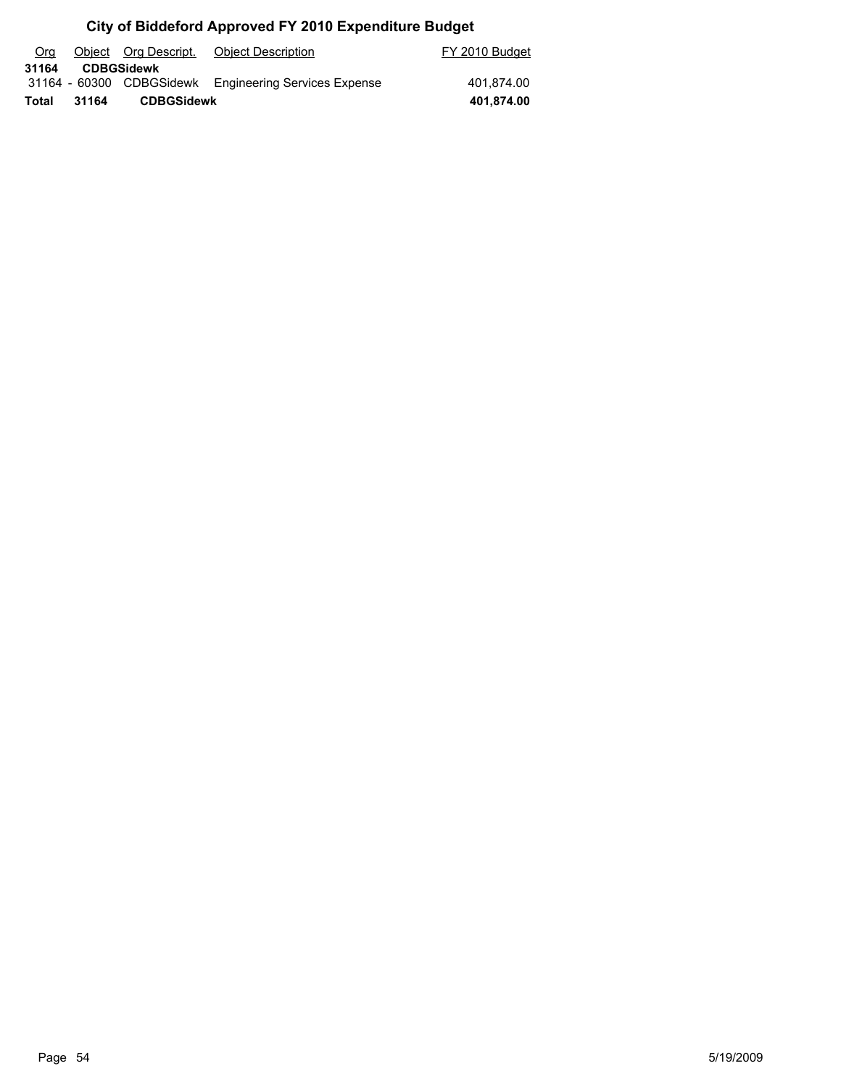| Org   |       | Object Org Descript. | Object Description                                    | FY 2010 Budget |
|-------|-------|----------------------|-------------------------------------------------------|----------------|
| 31164 |       | <b>CDBGSidewk</b>    |                                                       |                |
|       |       |                      | 31164 - 60300 CDBGSidewk Engineering Services Expense | 401.874.00     |
| Total | 31164 | <b>CDBGSidewk</b>    |                                                       | 401,874.00     |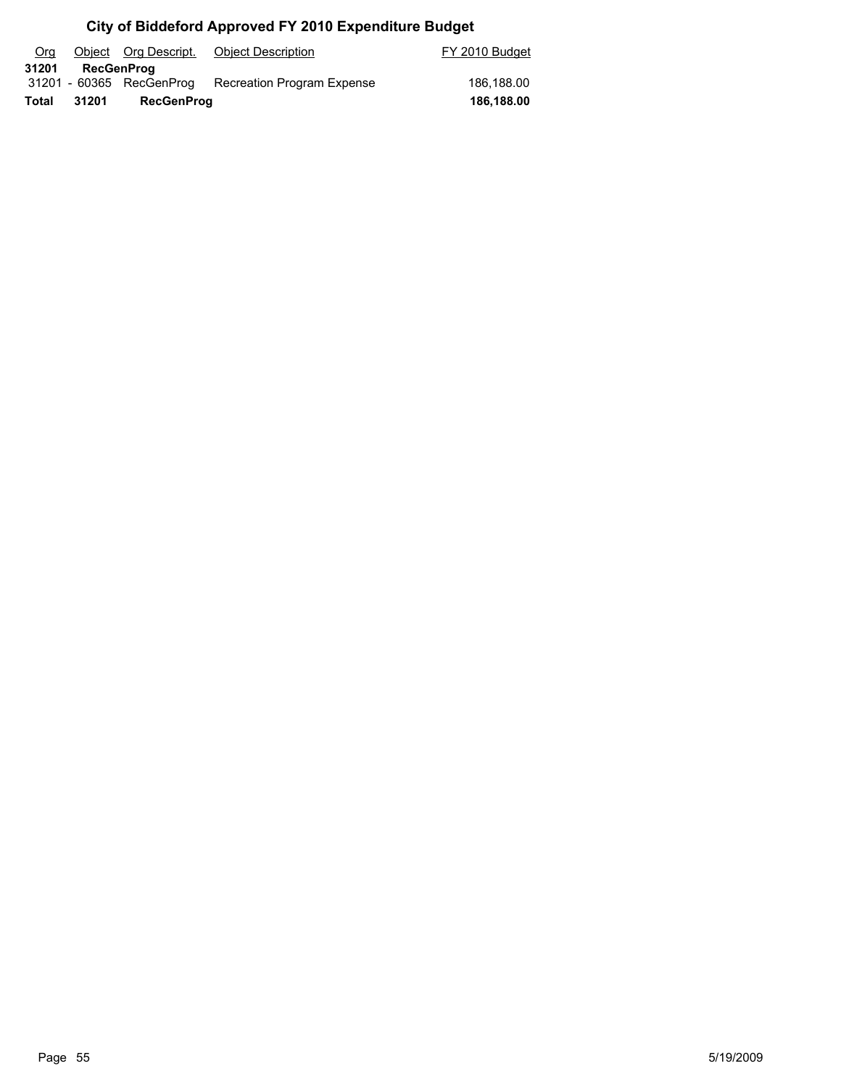| Org   |       | Object Org Descript.     | <b>Object Description</b>         | FY 2010 Budget |
|-------|-------|--------------------------|-----------------------------------|----------------|
| 31201 |       | <b>RecGenProg</b>        |                                   |                |
|       |       | 31201 - 60365 RecGenProg | <b>Recreation Program Expense</b> | 186.188.00     |
| Total | 31201 | <b>RecGenProg</b>        |                                   | 186,188.00     |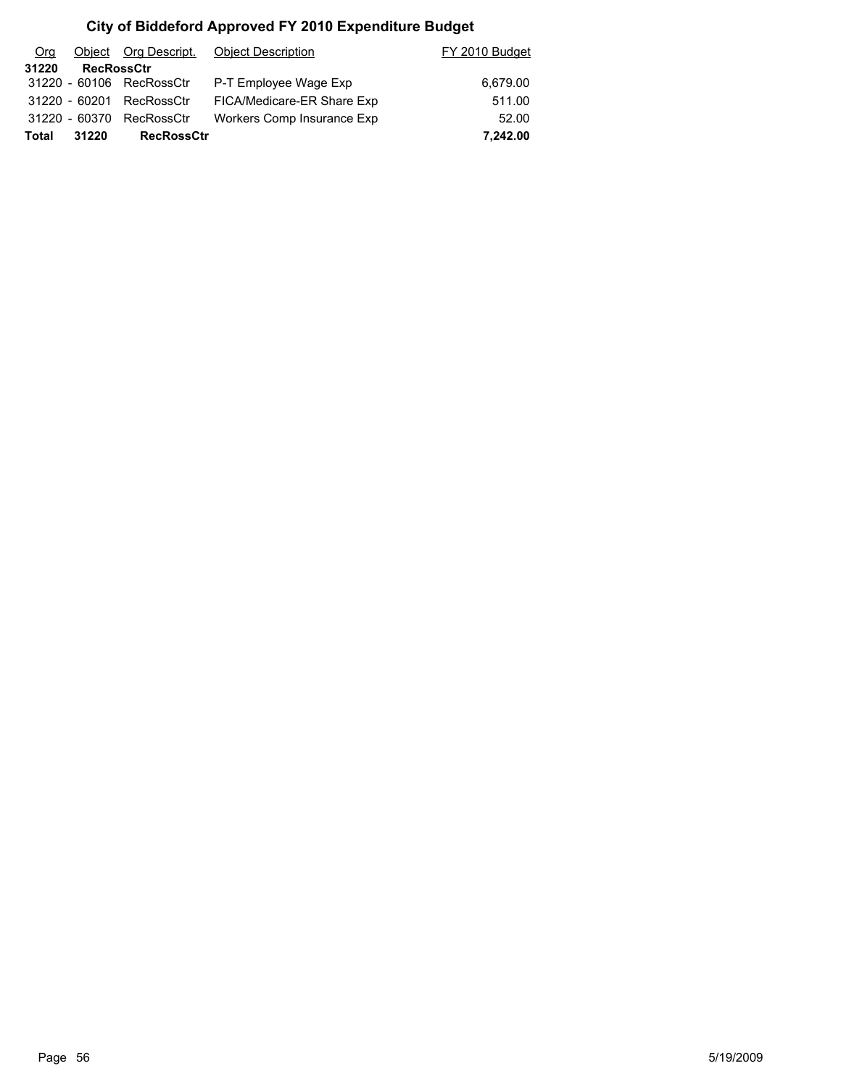| Org          |                   | Object Org Descript.     | <b>Object Description</b>  | FY 2010 Budget |
|--------------|-------------------|--------------------------|----------------------------|----------------|
| 31220        | <b>RecRossCtr</b> |                          |                            |                |
|              |                   | 31220 - 60106 RecRossCtr | P-T Employee Wage Exp      | 6,679.00       |
|              | 31220 - 60201     | RecRossCtr               | FICA/Medicare-ER Share Exp | 511.00         |
|              | 31220 - 60370     | RecRossCtr               | Workers Comp Insurance Exp | 52.00          |
| <b>Total</b> | 31220             | <b>RecRossCtr</b>        |                            | 7,242.00       |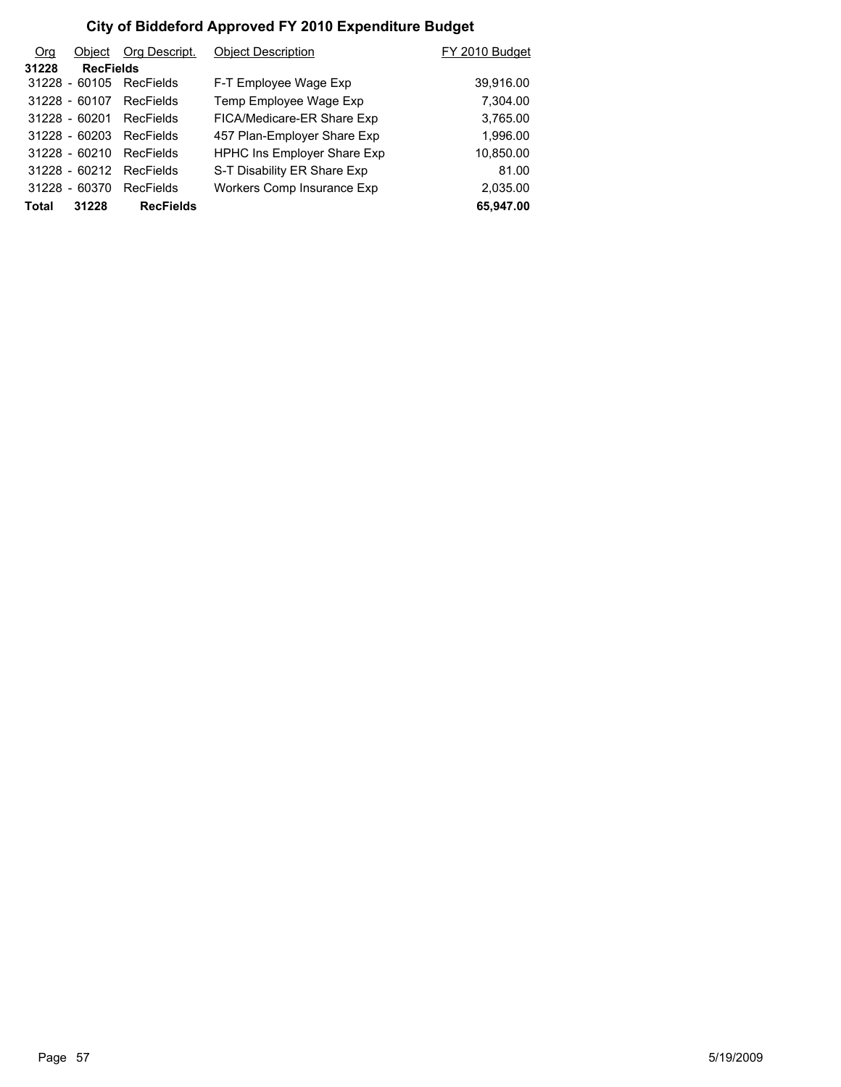| O <sub>rg</sub> | Object           | Org Descript.    | <b>Object Description</b>          | FY 2010 Budget |
|-----------------|------------------|------------------|------------------------------------|----------------|
| 31228           | <b>RecFields</b> |                  |                                    |                |
|                 | 31228 - 60105    | RecFields        | F-T Employee Wage Exp              | 39,916.00      |
|                 | 31228 - 60107    | RecFields        | Temp Employee Wage Exp             | 7,304.00       |
|                 | $31228 - 60201$  | <b>RecFields</b> | FICA/Medicare-ER Share Exp         | 3,765.00       |
|                 | $31228 - 60203$  | RecFields        | 457 Plan-Employer Share Exp        | 1,996.00       |
|                 | $31228 - 60210$  | RecFields        | <b>HPHC Ins Employer Share Exp</b> | 10,850.00      |
|                 | $31228 - 60212$  | <b>RecFields</b> | S-T Disability ER Share Exp        | 81.00          |
|                 | 31228 - 60370    | RecFields        | Workers Comp Insurance Exp         | 2,035.00       |
| Total           | 31228            | <b>RecFields</b> |                                    | 65,947.00      |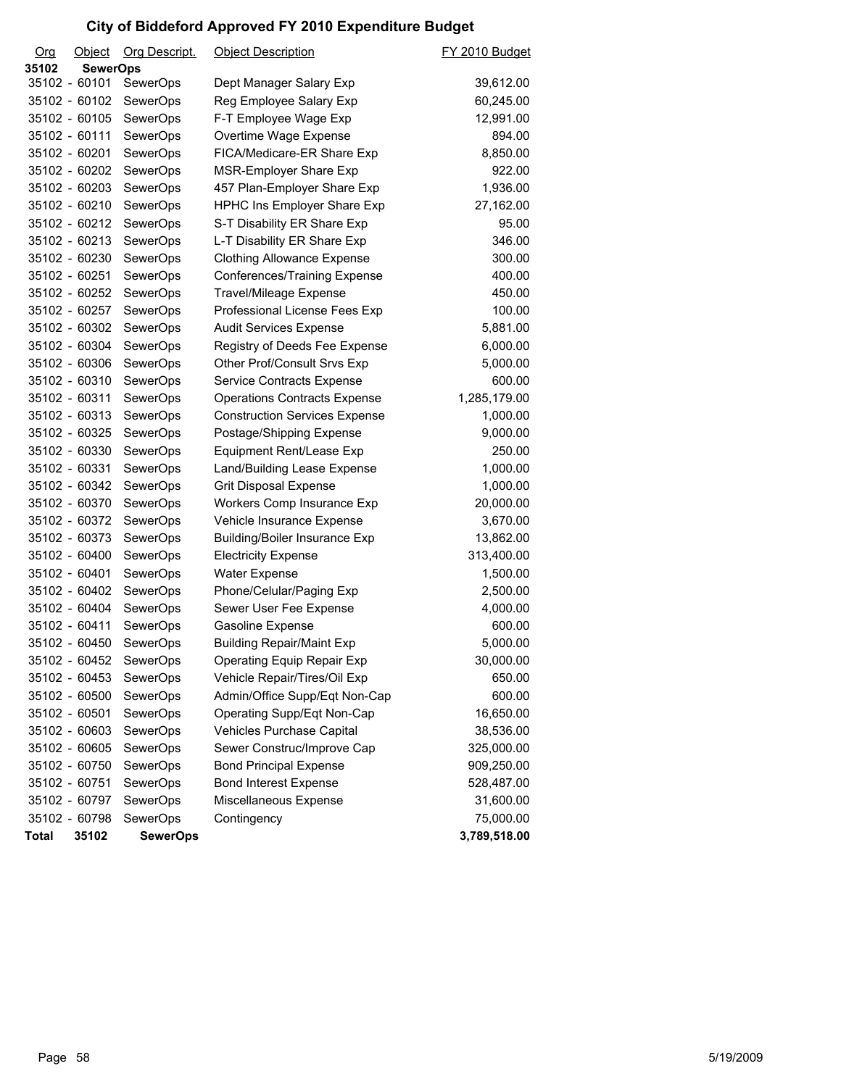| Org           | Object          | Org Descript.   | <b>Object Description</b>            | FY 2010 Budget |
|---------------|-----------------|-----------------|--------------------------------------|----------------|
| 35102         | <b>SewerOps</b> |                 |                                      |                |
| 35102 - 60101 |                 | <b>SewerOps</b> | Dept Manager Salary Exp              | 39,612.00      |
|               | 35102 - 60102   | <b>SewerOps</b> | Reg Employee Salary Exp              | 60,245.00      |
|               | 35102 - 60105   | <b>SewerOps</b> | F-T Employee Wage Exp                | 12,991.00      |
|               | 35102 - 60111   | <b>SewerOps</b> | Overtime Wage Expense                | 894.00         |
|               | 35102 - 60201   | <b>SewerOps</b> | FICA/Medicare-ER Share Exp           | 8,850.00       |
|               | 35102 - 60202   | SewerOps        | MSR-Employer Share Exp               | 922.00         |
|               | 35102 - 60203   | <b>SewerOps</b> | 457 Plan-Employer Share Exp          | 1,936.00       |
|               | 35102 - 60210   | SewerOps        | HPHC Ins Employer Share Exp          | 27,162.00      |
|               | 35102 - 60212   | <b>SewerOps</b> | S-T Disability ER Share Exp          | 95.00          |
|               | 35102 - 60213   | <b>SewerOps</b> | L-T Disability ER Share Exp          | 346.00         |
|               | 35102 - 60230   | <b>SewerOps</b> | <b>Clothing Allowance Expense</b>    | 300.00         |
|               | 35102 - 60251   | SewerOps        | Conferences/Training Expense         | 400.00         |
|               | 35102 - 60252   | <b>SewerOps</b> | Travel/Mileage Expense               | 450.00         |
|               | 35102 - 60257   | SewerOps        | Professional License Fees Exp        | 100.00         |
|               | 35102 - 60302   | <b>SewerOps</b> | <b>Audit Services Expense</b>        | 5,881.00       |
|               | 35102 - 60304   | SewerOps        | Registry of Deeds Fee Expense        | 6,000.00       |
|               | 35102 - 60306   | <b>SewerOps</b> | Other Prof/Consult Srvs Exp          | 5,000.00       |
|               | 35102 - 60310   | <b>SewerOps</b> | <b>Service Contracts Expense</b>     | 600.00         |
|               | 35102 - 60311   | <b>SewerOps</b> | <b>Operations Contracts Expense</b>  | 1,285,179.00   |
|               | 35102 - 60313   | <b>SewerOps</b> | <b>Construction Services Expense</b> | 1,000.00       |
|               | 35102 - 60325   | <b>SewerOps</b> | Postage/Shipping Expense             | 9,000.00       |
|               | 35102 - 60330   | <b>SewerOps</b> | Equipment Rent/Lease Exp             | 250.00         |
|               | 35102 - 60331   | <b>SewerOps</b> | Land/Building Lease Expense          | 1,000.00       |
|               | 35102 - 60342   | SewerOps        | <b>Grit Disposal Expense</b>         | 1,000.00       |
|               | 35102 - 60370   | <b>SewerOps</b> | Workers Comp Insurance Exp           | 20,000.00      |
|               | 35102 - 60372   | <b>SewerOps</b> | Vehicle Insurance Expense            | 3,670.00       |
|               | 35102 - 60373   | <b>SewerOps</b> | <b>Building/Boiler Insurance Exp</b> | 13,862.00      |
|               | 35102 - 60400   | SewerOps        | <b>Electricity Expense</b>           | 313,400.00     |
|               | 35102 - 60401   | <b>SewerOps</b> | Water Expense                        | 1,500.00       |
|               | 35102 - 60402   | SewerOps        | Phone/Celular/Paging Exp             | 2,500.00       |
|               | 35102 - 60404   | SewerOps        | Sewer User Fee Expense               | 4,000.00       |
|               | 35102 - 60411   | SewerOps        | Gasoline Expense                     | 600.00         |
|               | 35102 - 60450   | SewerOps        | <b>Building Repair/Maint Exp</b>     | 5,000.00       |
| 35102 - 60452 |                 | SewerOps        | Operating Equip Repair Exp           | 30,000.00      |
|               | 35102 - 60453   | <b>SewerOps</b> | Vehicle Repair/Tires/Oil Exp         | 650.00         |
|               | 35102 - 60500   | SewerOps        | Admin/Office Supp/Eqt Non-Cap        | 600.00         |
| 35102 - 60501 |                 | <b>SewerOps</b> | Operating Supp/Eqt Non-Cap           | 16,650.00      |
|               | 35102 - 60603   | SewerOps        | Vehicles Purchase Capital            | 38,536.00      |
|               | 35102 - 60605   | SewerOps        | Sewer Construc/Improve Cap           | 325,000.00     |
|               | 35102 - 60750   | SewerOps        | <b>Bond Principal Expense</b>        | 909,250.00     |
| 35102 - 60751 |                 | SewerOps        | <b>Bond Interest Expense</b>         | 528,487.00     |
|               | 35102 - 60797   | SewerOps        | Miscellaneous Expense                | 31,600.00      |
|               | 35102 - 60798   | <b>SewerOps</b> | Contingency                          | 75,000.00      |
| <b>Total</b>  | 35102           | <b>SewerOps</b> |                                      | 3,789,518.00   |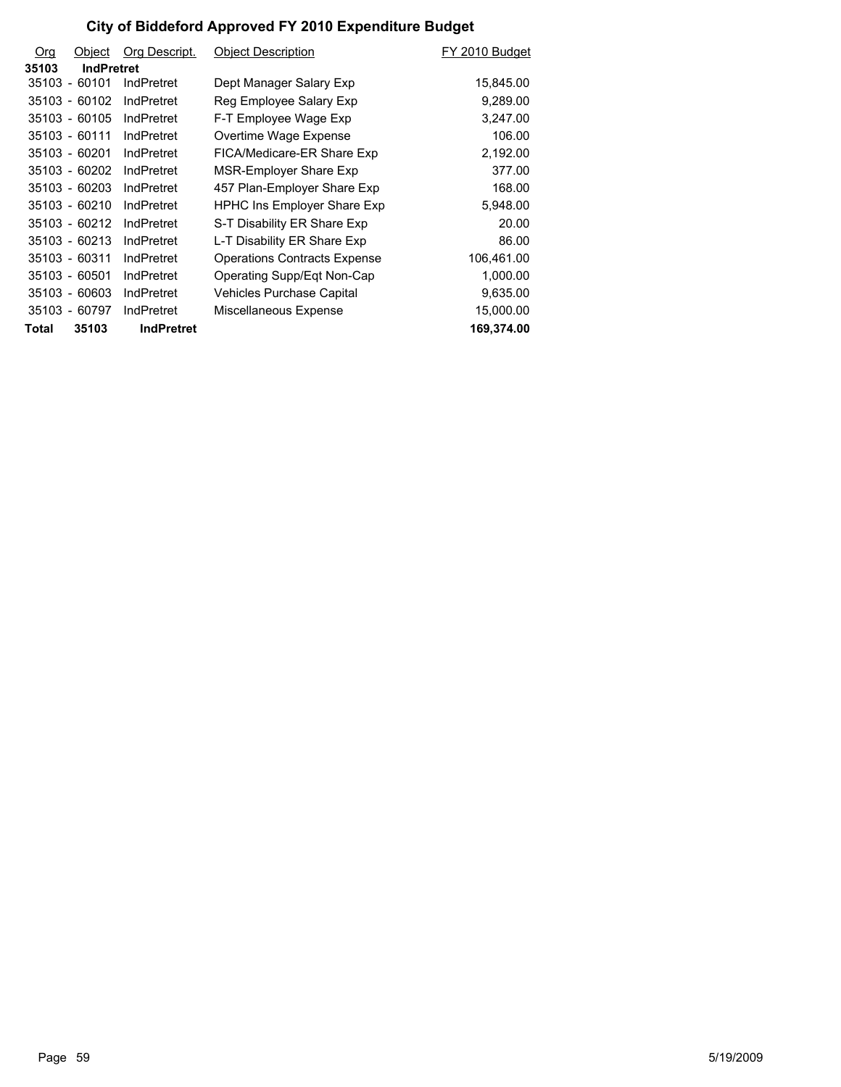| <b>Org</b> | Object            | Org Descript.     | <b>Object Description</b>           | FY 2010 Budget |
|------------|-------------------|-------------------|-------------------------------------|----------------|
| 35103      | <b>IndPretret</b> |                   |                                     |                |
|            | 35103 - 60101     | IndPretret        | Dept Manager Salary Exp             | 15,845.00      |
|            | 35103 - 60102     | IndPretret        | Reg Employee Salary Exp             | 9,289.00       |
|            | 35103 - 60105     | IndPretret        | F-T Employee Wage Exp               | 3,247.00       |
|            | 35103 - 60111     | IndPretret        | Overtime Wage Expense               | 106.00         |
|            | 35103 - 60201     | IndPretret        | FICA/Medicare-ER Share Exp          | 2,192.00       |
|            | 35103 - 60202     | IndPretret        | MSR-Employer Share Exp              | 377.00         |
|            | 35103 - 60203     | IndPretret        | 457 Plan-Employer Share Exp         | 168.00         |
|            | 35103 - 60210     | IndPretret        | <b>HPHC Ins Employer Share Exp</b>  | 5,948.00       |
|            | 35103 - 60212     | IndPretret        | S-T Disability ER Share Exp         | 20.00          |
|            | 35103 - 60213     | IndPretret        | L-T Disability ER Share Exp         | 86.00          |
|            | 35103 - 60311     | IndPretret        | <b>Operations Contracts Expense</b> | 106,461.00     |
|            | 35103 - 60501     | IndPretret        | Operating Supp/Eqt Non-Cap          | 1,000.00       |
|            | 35103 - 60603     | <b>IndPretret</b> | Vehicles Purchase Capital           | 9,635.00       |
|            | 35103 - 60797     | IndPretret        | Miscellaneous Expense               | 15,000.00      |
| Total      | 35103             | <b>IndPretret</b> |                                     | 169,374.00     |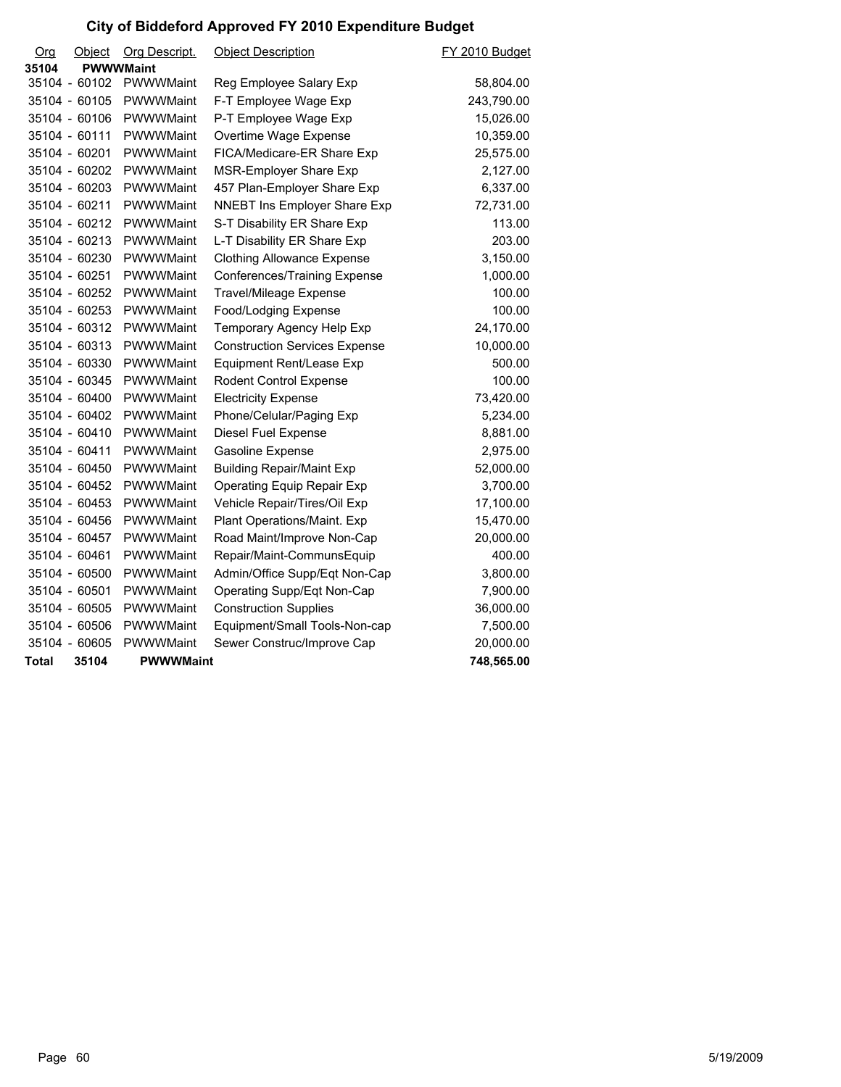| Org   | <u>Object</u> | Org Descript.    | <b>Object Description</b>            | FY 2010 Budget |
|-------|---------------|------------------|--------------------------------------|----------------|
| 35104 |               | <b>PWWWMaint</b> |                                      |                |
|       | 35104 - 60102 | PWWWMaint        | Reg Employee Salary Exp              | 58,804.00      |
|       | 35104 - 60105 | PWWWMaint        | F-T Employee Wage Exp                | 243,790.00     |
|       | 35104 - 60106 | PWWWMaint        | P-T Employee Wage Exp                | 15,026.00      |
|       | 35104 - 60111 | PWWWMaint        | Overtime Wage Expense                | 10,359.00      |
|       | 35104 - 60201 | PWWWMaint        | FICA/Medicare-ER Share Exp           | 25,575.00      |
|       | 35104 - 60202 | PWWWMaint        | MSR-Employer Share Exp               | 2,127.00       |
|       | 35104 - 60203 | PWWWMaint        | 457 Plan-Employer Share Exp          | 6,337.00       |
|       | 35104 - 60211 | PWWWMaint        | NNEBT Ins Employer Share Exp         | 72,731.00      |
|       | 35104 - 60212 | <b>PWWWMaint</b> | S-T Disability ER Share Exp          | 113.00         |
|       | 35104 - 60213 | PWWWMaint        | L-T Disability ER Share Exp          | 203.00         |
|       | 35104 - 60230 | PWWWMaint        | <b>Clothing Allowance Expense</b>    | 3,150.00       |
|       | 35104 - 60251 | PWWWMaint        | Conferences/Training Expense         | 1,000.00       |
|       | 35104 - 60252 | PWWWMaint        | Travel/Mileage Expense               | 100.00         |
|       | 35104 - 60253 | PWWWMaint        | Food/Lodging Expense                 | 100.00         |
|       | 35104 - 60312 | PWWWMaint        | Temporary Agency Help Exp            | 24,170.00      |
|       | 35104 - 60313 | PWWWMaint        | <b>Construction Services Expense</b> | 10,000.00      |
|       | 35104 - 60330 | PWWWMaint        | Equipment Rent/Lease Exp             | 500.00         |
|       | 35104 - 60345 | PWWWMaint        | Rodent Control Expense               | 100.00         |
|       | 35104 - 60400 | PWWWMaint        | <b>Electricity Expense</b>           | 73,420.00      |
|       | 35104 - 60402 | <b>PWWWMaint</b> | Phone/Celular/Paging Exp             | 5,234.00       |
|       | 35104 - 60410 | PWWWMaint        | Diesel Fuel Expense                  | 8,881.00       |
|       | 35104 - 60411 | PWWWMaint        | Gasoline Expense                     | 2,975.00       |
|       | 35104 - 60450 | PWWWMaint        | <b>Building Repair/Maint Exp</b>     | 52,000.00      |
|       | 35104 - 60452 | PWWWMaint        | <b>Operating Equip Repair Exp</b>    | 3,700.00       |
|       | 35104 - 60453 | PWWWMaint        | Vehicle Repair/Tires/Oil Exp         | 17,100.00      |
|       | 35104 - 60456 | PWWWMaint        | Plant Operations/Maint. Exp          | 15,470.00      |
|       | 35104 - 60457 | PWWWMaint        | Road Maint/Improve Non-Cap           | 20,000.00      |
|       | 35104 - 60461 | PWWWMaint        | Repair/Maint-CommunsEquip            | 400.00         |
|       | 35104 - 60500 | PWWWMaint        | Admin/Office Supp/Eqt Non-Cap        | 3,800.00       |
|       | 35104 - 60501 | PWWWMaint        | Operating Supp/Eqt Non-Cap           | 7,900.00       |
|       | 35104 - 60505 | PWWWMaint        | <b>Construction Supplies</b>         | 36,000.00      |
|       | 35104 - 60506 | PWWWMaint        | Equipment/Small Tools-Non-cap        | 7,500.00       |
|       | 35104 - 60605 | PWWWMaint        | Sewer Construc/Improve Cap           | 20,000.00      |
| Total | 35104         | <b>PWWWMaint</b> |                                      | 748,565.00     |